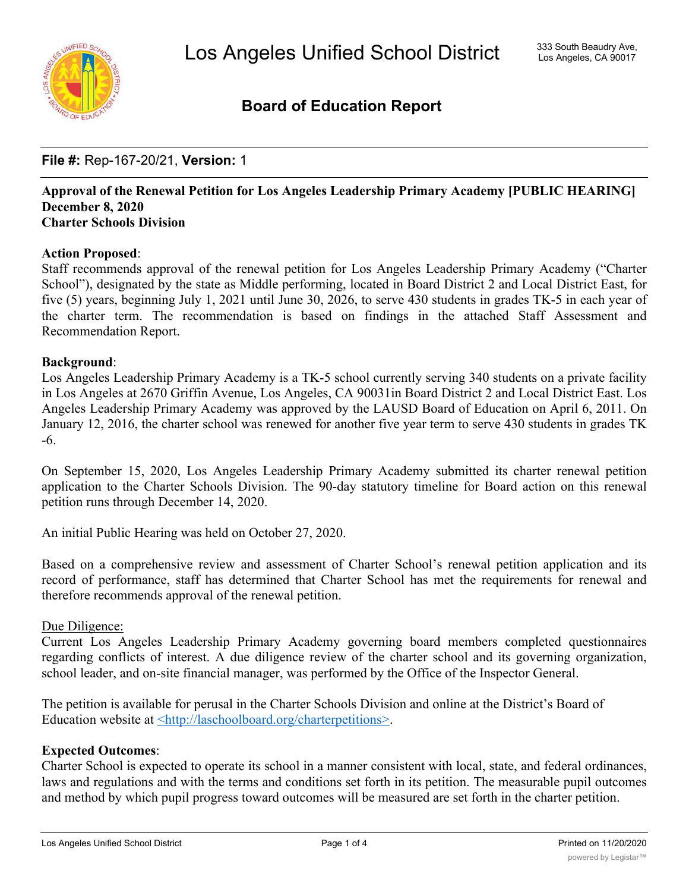

#### **Board of Education Report**

#### **File #:** Rep-167-20/21, **Version:** 1

#### **Approval of the Renewal Petition for Los Angeles Leadership Primary Academy [PUBLIC HEARING] December 8, 2020 Charter Schools Division**

#### **Action Proposed**:

Staff recommends approval of the renewal petition for Los Angeles Leadership Primary Academy ("Charter School"), designated by the state as Middle performing, located in Board District 2 and Local District East, for five (5) years, beginning July 1, 2021 until June 30, 2026, to serve 430 students in grades TK-5 in each year of the charter term. The recommendation is based on findings in the attached Staff Assessment and Recommendation Report.

#### **Background**:

Los Angeles Leadership Primary Academy is a TK-5 school currently serving 340 students on a private facility in Los Angeles at 2670 Griffin Avenue, Los Angeles, CA 90031in Board District 2 and Local District East. Los Angeles Leadership Primary Academy was approved by the LAUSD Board of Education on April 6, 2011. On January 12, 2016, the charter school was renewed for another five year term to serve 430 students in grades TK -6.

On September 15, 2020, Los Angeles Leadership Primary Academy submitted its charter renewal petition application to the Charter Schools Division. The 90-day statutory timeline for Board action on this renewal petition runs through December 14, 2020.

An initial Public Hearing was held on October 27, 2020.

Based on a comprehensive review and assessment of Charter School's renewal petition application and its record of performance, staff has determined that Charter School has met the requirements for renewal and therefore recommends approval of the renewal petition.

#### Due Diligence:

Current Los Angeles Leadership Primary Academy governing board members completed questionnaires regarding conflicts of interest. A due diligence review of the charter school and its governing organization, school leader, and on-site financial manager, was performed by the Office of the Inspector General.

The petition is available for perusal in the Charter Schools Division and online at the District's Board of Education website at <http://laschoolboard.org/charterpetitions>.

#### **Expected Outcomes**:

Charter School is expected to operate its school in a manner consistent with local, state, and federal ordinances, laws and regulations and with the terms and conditions set forth in its petition. The measurable pupil outcomes and method by which pupil progress toward outcomes will be measured are set forth in the charter petition.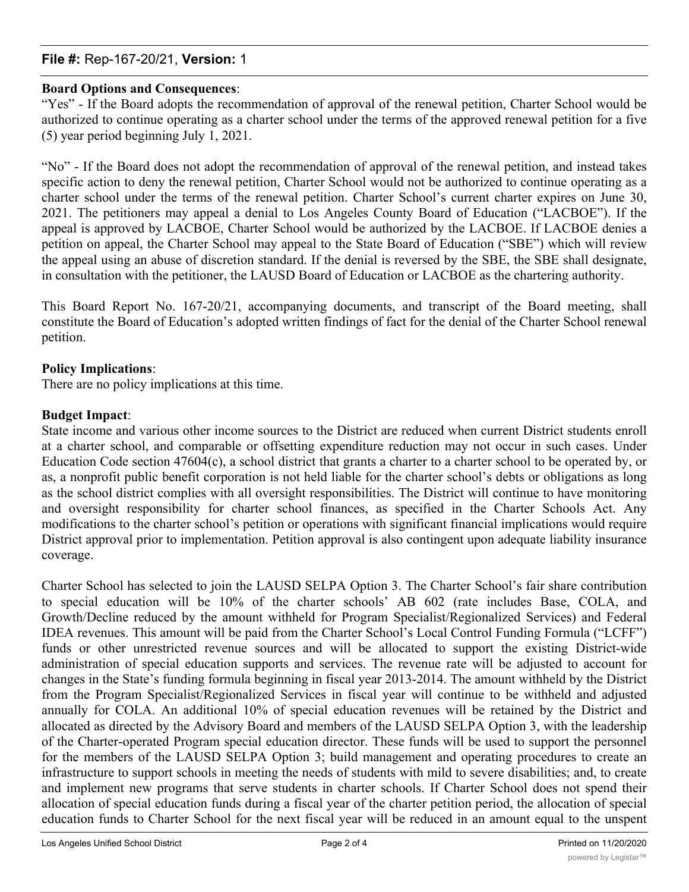#### **File #:** Rep-167-20/21, **Version:** 1

#### **Board Options and Consequences**:

"Yes" - If the Board adopts the recommendation of approval of the renewal petition, Charter School would be authorized to continue operating as a charter school under the terms of the approved renewal petition for a five (5) year period beginning July 1, 2021.

"No" - If the Board does not adopt the recommendation of approval of the renewal petition, and instead takes specific action to deny the renewal petition, Charter School would not be authorized to continue operating as a charter school under the terms of the renewal petition. Charter School's current charter expires on June 30, 2021. The petitioners may appeal a denial to Los Angeles County Board of Education ("LACBOE"). If the appeal is approved by LACBOE, Charter School would be authorized by the LACBOE. If LACBOE denies a petition on appeal, the Charter School may appeal to the State Board of Education ("SBE") which will review the appeal using an abuse of discretion standard. If the denial is reversed by the SBE, the SBE shall designate, in consultation with the petitioner, the LAUSD Board of Education or LACBOE as the chartering authority.

This Board Report No. 167-20/21, accompanying documents, and transcript of the Board meeting, shall constitute the Board of Education's adopted written findings of fact for the denial of the Charter School renewal petition.

#### **Policy Implications**:

There are no policy implications at this time.

#### **Budget Impact**:

State income and various other income sources to the District are reduced when current District students enroll at a charter school, and comparable or offsetting expenditure reduction may not occur in such cases. Under Education Code section 47604(c), a school district that grants a charter to a charter school to be operated by, or as, a nonprofit public benefit corporation is not held liable for the charter school's debts or obligations as long as the school district complies with all oversight responsibilities. The District will continue to have monitoring and oversight responsibility for charter school finances, as specified in the Charter Schools Act. Any modifications to the charter school's petition or operations with significant financial implications would require District approval prior to implementation. Petition approval is also contingent upon adequate liability insurance coverage.

Charter School has selected to join the LAUSD SELPA Option 3. The Charter School's fair share contribution to special education will be 10% of the charter schools' AB 602 (rate includes Base, COLA, and Growth/Decline reduced by the amount withheld for Program Specialist/Regionalized Services) and Federal IDEA revenues. This amount will be paid from the Charter School's Local Control Funding Formula ("LCFF") funds or other unrestricted revenue sources and will be allocated to support the existing District-wide administration of special education supports and services. The revenue rate will be adjusted to account for changes in the State's funding formula beginning in fiscal year 2013-2014. The amount withheld by the District from the Program Specialist/Regionalized Services in fiscal year will continue to be withheld and adjusted annually for COLA. An additional 10% of special education revenues will be retained by the District and allocated as directed by the Advisory Board and members of the LAUSD SELPA Option 3, with the leadership of the Charter-operated Program special education director. These funds will be used to support the personnel for the members of the LAUSD SELPA Option 3; build management and operating procedures to create an infrastructure to support schools in meeting the needs of students with mild to severe disabilities; and, to create and implement new programs that serve students in charter schools. If Charter School does not spend their allocation of special education funds during a fiscal year of the charter petition period, the allocation of special education funds to Charter School for the next fiscal year will be reduced in an amount equal to the unspent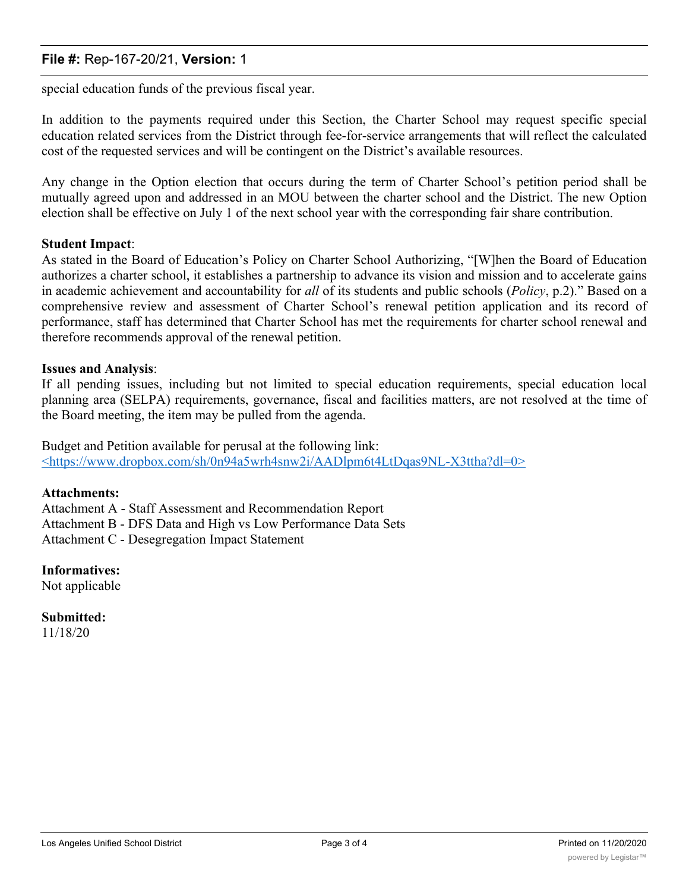#### **File #:** Rep-167-20/21, **Version:** 1

special education funds of the previous fiscal year.

In addition to the payments required under this Section, the Charter School may request specific special education related services from the District through fee-for-service arrangements that will reflect the calculated cost of the requested services and will be contingent on the District's available resources.

Any change in the Option election that occurs during the term of Charter School's petition period shall be mutually agreed upon and addressed in an MOU between the charter school and the District. The new Option election shall be effective on July 1 of the next school year with the corresponding fair share contribution.

#### **Student Impact**:

As stated in the Board of Education's Policy on Charter School Authorizing, "[W]hen the Board of Education authorizes a charter school, it establishes a partnership to advance its vision and mission and to accelerate gains in academic achievement and accountability for *all* of its students and public schools (*Policy*, p.2)." Based on a comprehensive review and assessment of Charter School's renewal petition application and its record of performance, staff has determined that Charter School has met the requirements for charter school renewal and therefore recommends approval of the renewal petition.

#### **Issues and Analysis**:

If all pending issues, including but not limited to special education requirements, special education local planning area (SELPA) requirements, governance, fiscal and facilities matters, are not resolved at the time of the Board meeting, the item may be pulled from the agenda.

Budget and Petition available for perusal at the following link: <https://www.dropbox.com/sh/0n94a5wrh4snw2i/AADlpm6t4LtDqas9NL-X3ttha?dl=0>

#### **Attachments:**

Attachment A - Staff Assessment and Recommendation Report Attachment B - DFS Data and High vs Low Performance Data Sets Attachment C - Desegregation Impact Statement

**Informatives:** Not applicable

**Submitted:** 11/18/20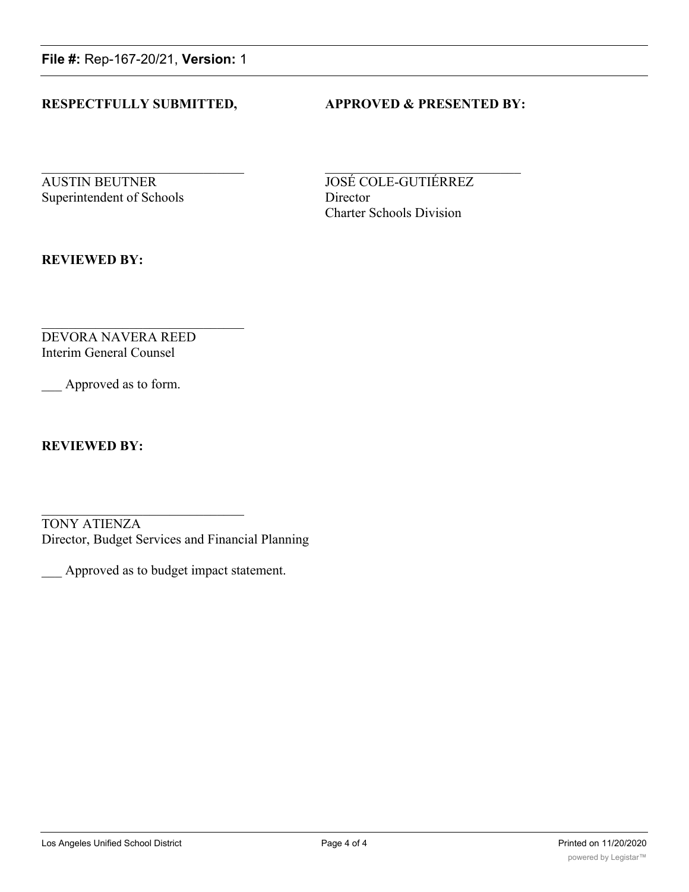**File #:** Rep-167-20/21, **Version:** 1

#### **RESPECTFULLY SUBMITTED, APPROVED & PRESENTED BY:**

**AUSTIN BEUTNER JOSÉ COLE-GUTIÉRREZ** Superintendent of Schools Director

Charter Schools Division

**REVIEWED BY:**

DEVORA NAVERA REED Interim General Counsel

Approved as to form.

**REVIEWED BY:**

TONY ATIENZA Director, Budget Services and Financial Planning

\_\_\_ Approved as to budget impact statement.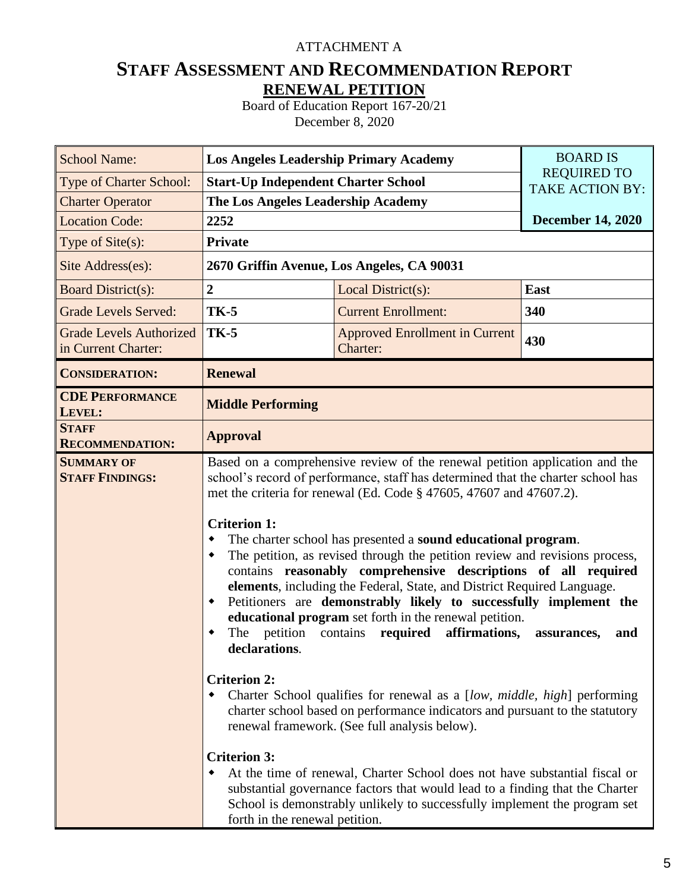#### ATTACHMENT A

#### **STAFF ASSESSMENT AND RECOMMENDATION REPORT RENEWAL PETITION**

Board of Education Report 167-20/21 December 8, 2020

| <b>School Name:</b>                                   | <b>Los Angeles Leadership Primary Academy</b>                                                                                                                    |                                                                                                                                                                                                                                                                                                                                                                                                                                                                                                                                                                                                                                                                                                                                                                                                                                                                                                                                                                                                                                                                                                                                                                     | <b>BOARD IS</b>                              |  |  |  |  |  |  |  |
|-------------------------------------------------------|------------------------------------------------------------------------------------------------------------------------------------------------------------------|---------------------------------------------------------------------------------------------------------------------------------------------------------------------------------------------------------------------------------------------------------------------------------------------------------------------------------------------------------------------------------------------------------------------------------------------------------------------------------------------------------------------------------------------------------------------------------------------------------------------------------------------------------------------------------------------------------------------------------------------------------------------------------------------------------------------------------------------------------------------------------------------------------------------------------------------------------------------------------------------------------------------------------------------------------------------------------------------------------------------------------------------------------------------|----------------------------------------------|--|--|--|--|--|--|--|
| Type of Charter School:                               | <b>Start-Up Independent Charter School</b>                                                                                                                       |                                                                                                                                                                                                                                                                                                                                                                                                                                                                                                                                                                                                                                                                                                                                                                                                                                                                                                                                                                                                                                                                                                                                                                     | <b>REQUIRED TO</b><br><b>TAKE ACTION BY:</b> |  |  |  |  |  |  |  |
| <b>Charter Operator</b>                               | The Los Angeles Leadership Academy                                                                                                                               |                                                                                                                                                                                                                                                                                                                                                                                                                                                                                                                                                                                                                                                                                                                                                                                                                                                                                                                                                                                                                                                                                                                                                                     |                                              |  |  |  |  |  |  |  |
| <b>Location Code:</b>                                 | 2252                                                                                                                                                             |                                                                                                                                                                                                                                                                                                                                                                                                                                                                                                                                                                                                                                                                                                                                                                                                                                                                                                                                                                                                                                                                                                                                                                     | <b>December 14, 2020</b>                     |  |  |  |  |  |  |  |
| Type of Site(s):                                      | <b>Private</b>                                                                                                                                                   |                                                                                                                                                                                                                                                                                                                                                                                                                                                                                                                                                                                                                                                                                                                                                                                                                                                                                                                                                                                                                                                                                                                                                                     |                                              |  |  |  |  |  |  |  |
| Site Address(es):                                     |                                                                                                                                                                  | 2670 Griffin Avenue, Los Angeles, CA 90031                                                                                                                                                                                                                                                                                                                                                                                                                                                                                                                                                                                                                                                                                                                                                                                                                                                                                                                                                                                                                                                                                                                          |                                              |  |  |  |  |  |  |  |
| <b>Board District(s):</b>                             | $\overline{2}$                                                                                                                                                   | Local District(s):                                                                                                                                                                                                                                                                                                                                                                                                                                                                                                                                                                                                                                                                                                                                                                                                                                                                                                                                                                                                                                                                                                                                                  | East                                         |  |  |  |  |  |  |  |
| <b>Grade Levels Served:</b>                           | <b>TK-5</b>                                                                                                                                                      | <b>Current Enrollment:</b>                                                                                                                                                                                                                                                                                                                                                                                                                                                                                                                                                                                                                                                                                                                                                                                                                                                                                                                                                                                                                                                                                                                                          | 340                                          |  |  |  |  |  |  |  |
| <b>Grade Levels Authorized</b><br>in Current Charter: | <b>TK-5</b>                                                                                                                                                      | 430                                                                                                                                                                                                                                                                                                                                                                                                                                                                                                                                                                                                                                                                                                                                                                                                                                                                                                                                                                                                                                                                                                                                                                 |                                              |  |  |  |  |  |  |  |
| <b>CONSIDERATION:</b>                                 | <b>Renewal</b>                                                                                                                                                   |                                                                                                                                                                                                                                                                                                                                                                                                                                                                                                                                                                                                                                                                                                                                                                                                                                                                                                                                                                                                                                                                                                                                                                     |                                              |  |  |  |  |  |  |  |
| <b>CDE PERFORMANCE</b><br>LEVEL:                      | <b>Middle Performing</b>                                                                                                                                         |                                                                                                                                                                                                                                                                                                                                                                                                                                                                                                                                                                                                                                                                                                                                                                                                                                                                                                                                                                                                                                                                                                                                                                     |                                              |  |  |  |  |  |  |  |
| <b>STAFF</b><br><b>RECOMMENDATION:</b>                | <b>Approval</b>                                                                                                                                                  |                                                                                                                                                                                                                                                                                                                                                                                                                                                                                                                                                                                                                                                                                                                                                                                                                                                                                                                                                                                                                                                                                                                                                                     |                                              |  |  |  |  |  |  |  |
| <b>SUMMARY OF</b><br><b>STAFF FINDINGS:</b>           | <b>Criterion 1:</b><br>٠<br>٠<br>٠<br>petition<br>The<br>declarations.<br><b>Criterion 2:</b><br>٠<br><b>Criterion 3:</b><br>٠<br>forth in the renewal petition. | Based on a comprehensive review of the renewal petition application and the<br>school's record of performance, staff has determined that the charter school has<br>met the criteria for renewal (Ed. Code § 47605, 47607 and 47607.2).<br>The charter school has presented a sound educational program.<br>The petition, as revised through the petition review and revisions process,<br>contains reasonably comprehensive descriptions of all required<br>elements, including the Federal, State, and District Required Language.<br>Petitioners are demonstrably likely to successfully implement the<br>educational program set forth in the renewal petition.<br>affirmations,<br>contains<br>required<br>Charter School qualifies for renewal as a [low, middle, high] performing<br>charter school based on performance indicators and pursuant to the statutory<br>renewal framework. (See full analysis below).<br>At the time of renewal, Charter School does not have substantial fiscal or<br>substantial governance factors that would lead to a finding that the Charter<br>School is demonstrably unlikely to successfully implement the program set | assurances,<br>and                           |  |  |  |  |  |  |  |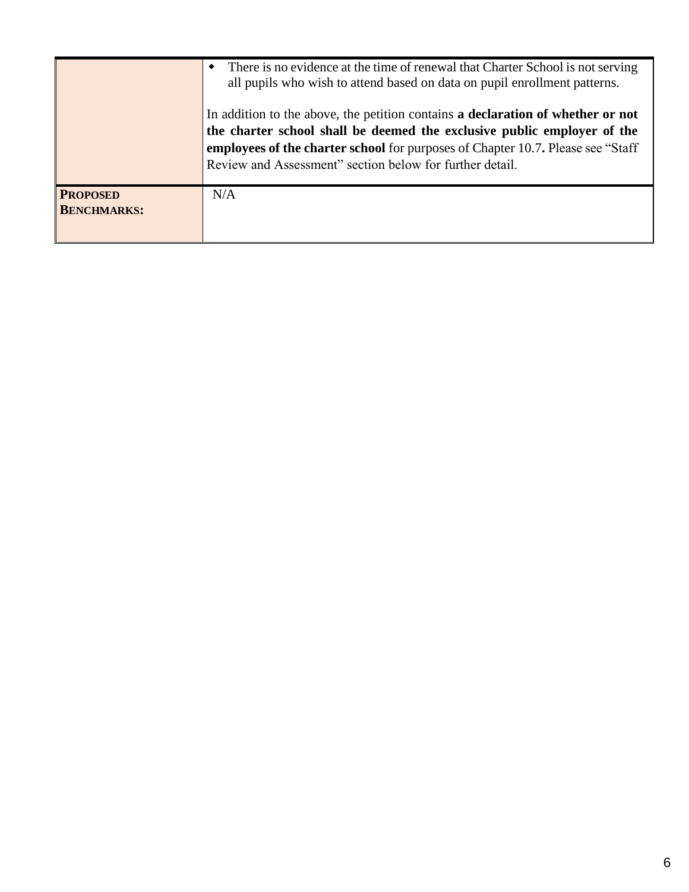|                                       | There is no evidence at the time of renewal that Charter School is not serving<br>all pupils who wish to attend based on data on pupil enrollment patterns.                                                                                                                                                |
|---------------------------------------|------------------------------------------------------------------------------------------------------------------------------------------------------------------------------------------------------------------------------------------------------------------------------------------------------------|
|                                       | In addition to the above, the petition contains a declaration of whether or not<br>the charter school shall be deemed the exclusive public employer of the<br>employees of the charter school for purposes of Chapter 10.7. Please see "Staff"<br>Review and Assessment" section below for further detail. |
| <b>PROPOSED</b><br><b>BENCHMARKS:</b> | N/A                                                                                                                                                                                                                                                                                                        |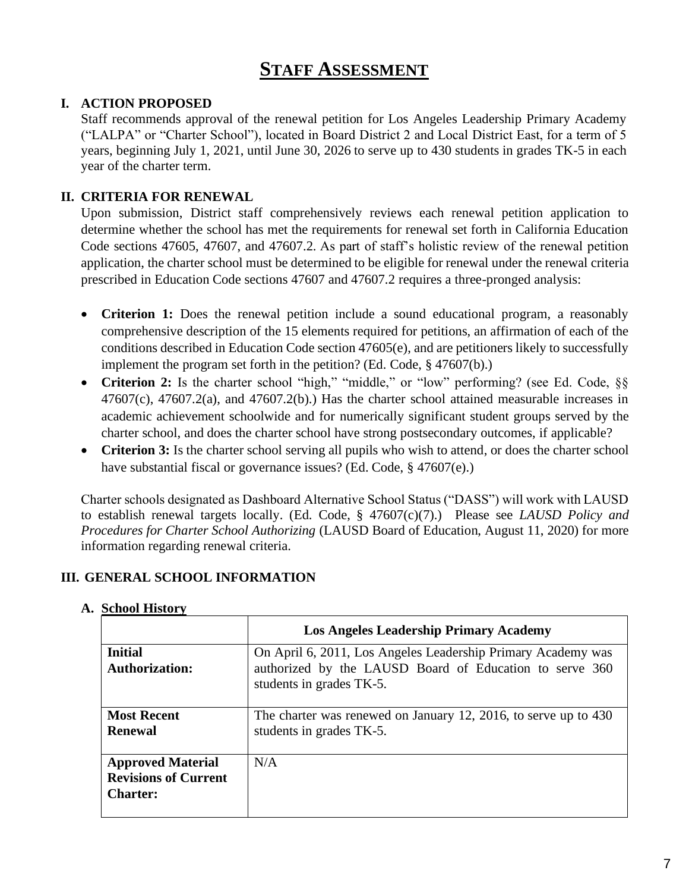#### **STAFF ASSESSMENT**

#### **I. ACTION PROPOSED**

Staff recommends approval of the renewal petition for Los Angeles Leadership Primary Academy ("LALPA" or "Charter School"), located in Board District 2 and Local District East, for a term of 5 years, beginning July 1, 2021, until June 30, 2026 to serve up to 430 students in grades TK-5 in each year of the charter term.

#### **II. CRITERIA FOR RENEWAL**

Upon submission, District staff comprehensively reviews each renewal petition application to determine whether the school has met the requirements for renewal set forth in California Education Code sections 47605, 47607, and 47607.2. As part of staff's holistic review of the renewal petition application, the charter school must be determined to be eligible for renewal under the renewal criteria prescribed in Education Code sections 47607 and 47607.2 requires a three-pronged analysis:

- **Criterion 1:** Does the renewal petition include a sound educational program, a reasonably comprehensive description of the 15 elements required for petitions, an affirmation of each of the conditions described in Education Code section 47605(e), and are petitioners likely to successfully implement the program set forth in the petition? (Ed. Code, § 47607(b).)
- Criterion 2: Is the charter school "high," "middle," or "low" performing? (see Ed. Code, §§  $47607(c)$ ,  $47607.2(a)$ , and  $47607.2(b)$ .) Has the charter school attained measurable increases in academic achievement schoolwide and for numerically significant student groups served by the charter school, and does the charter school have strong postsecondary outcomes, if applicable?
- **Criterion 3:** Is the charter school serving all pupils who wish to attend, or does the charter school have substantial fiscal or governance issues? (Ed. Code, § 47607(e).)

Charter schools designated as Dashboard Alternative School Status ("DASS") will work with LAUSD to establish renewal targets locally. (Ed. Code, § 47607(c)(7).) Please see *LAUSD Policy and Procedures for Charter School Authorizing* (LAUSD Board of Education, August 11, 2020) for more information regarding renewal criteria.

#### **III. GENERAL SCHOOL INFORMATION**

|                                                                            | <b>Los Angeles Leadership Primary Academy</b>                                                                                                       |
|----------------------------------------------------------------------------|-----------------------------------------------------------------------------------------------------------------------------------------------------|
| <b>Initial</b><br><b>Authorization:</b>                                    | On April 6, 2011, Los Angeles Leadership Primary Academy was<br>authorized by the LAUSD Board of Education to serve 360<br>students in grades TK-5. |
| <b>Most Recent</b><br><b>Renewal</b>                                       | The charter was renewed on January 12, 2016, to serve up to 430<br>students in grades TK-5.                                                         |
| <b>Approved Material</b><br><b>Revisions of Current</b><br><b>Charter:</b> | N/A                                                                                                                                                 |

#### **A. School History**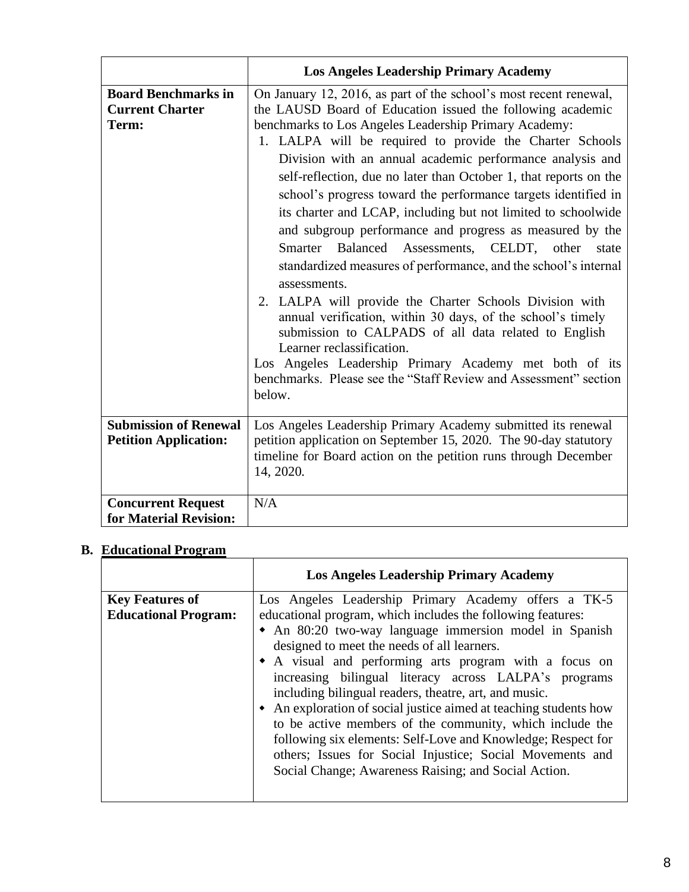|                                                               | <b>Los Angeles Leadership Primary Academy</b>                                                                                                                                                                                                                                                                                                                                                                                                                                                                                                                                                                                                                                                                                                                                                                                                                                                                                                                                                                                                                                       |
|---------------------------------------------------------------|-------------------------------------------------------------------------------------------------------------------------------------------------------------------------------------------------------------------------------------------------------------------------------------------------------------------------------------------------------------------------------------------------------------------------------------------------------------------------------------------------------------------------------------------------------------------------------------------------------------------------------------------------------------------------------------------------------------------------------------------------------------------------------------------------------------------------------------------------------------------------------------------------------------------------------------------------------------------------------------------------------------------------------------------------------------------------------------|
| <b>Board Benchmarks in</b><br><b>Current Charter</b><br>Term: | On January 12, 2016, as part of the school's most recent renewal,<br>the LAUSD Board of Education issued the following academic<br>benchmarks to Los Angeles Leadership Primary Academy:<br>1. LALPA will be required to provide the Charter Schools<br>Division with an annual academic performance analysis and<br>self-reflection, due no later than October 1, that reports on the<br>school's progress toward the performance targets identified in<br>its charter and LCAP, including but not limited to schoolwide<br>and subgroup performance and progress as measured by the<br>Smarter Balanced Assessments, CELDT, other state<br>standardized measures of performance, and the school's internal<br>assessments.<br>2. LALPA will provide the Charter Schools Division with<br>annual verification, within 30 days, of the school's timely<br>submission to CALPADS of all data related to English<br>Learner reclassification.<br>Los Angeles Leadership Primary Academy met both of its<br>benchmarks. Please see the "Staff Review and Assessment" section<br>below. |
| <b>Submission of Renewal</b><br><b>Petition Application:</b>  | Los Angeles Leadership Primary Academy submitted its renewal<br>petition application on September 15, 2020. The 90-day statutory<br>timeline for Board action on the petition runs through December<br>14, 2020.                                                                                                                                                                                                                                                                                                                                                                                                                                                                                                                                                                                                                                                                                                                                                                                                                                                                    |
| <b>Concurrent Request</b><br>for Material Revision:           | N/A                                                                                                                                                                                                                                                                                                                                                                                                                                                                                                                                                                                                                                                                                                                                                                                                                                                                                                                                                                                                                                                                                 |

#### **B. Educational Program**

|                                                       | <b>Los Angeles Leadership Primary Academy</b>                                                                                                                                                                                                                                                                                                                                                                                                                                                                                                                                                                                                                                                                                  |
|-------------------------------------------------------|--------------------------------------------------------------------------------------------------------------------------------------------------------------------------------------------------------------------------------------------------------------------------------------------------------------------------------------------------------------------------------------------------------------------------------------------------------------------------------------------------------------------------------------------------------------------------------------------------------------------------------------------------------------------------------------------------------------------------------|
| <b>Key Features of</b><br><b>Educational Program:</b> | Los Angeles Leadership Primary Academy offers a TK-5<br>educational program, which includes the following features:<br>• An 80:20 two-way language immersion model in Spanish<br>designed to meet the needs of all learners.<br>• A visual and performing arts program with a focus on<br>increasing bilingual literacy across LALPA's programs<br>including bilingual readers, theatre, art, and music.<br>• An exploration of social justice aimed at teaching students how<br>to be active members of the community, which include the<br>following six elements: Self-Love and Knowledge; Respect for<br>others; Issues for Social Injustice; Social Movements and<br>Social Change; Awareness Raising; and Social Action. |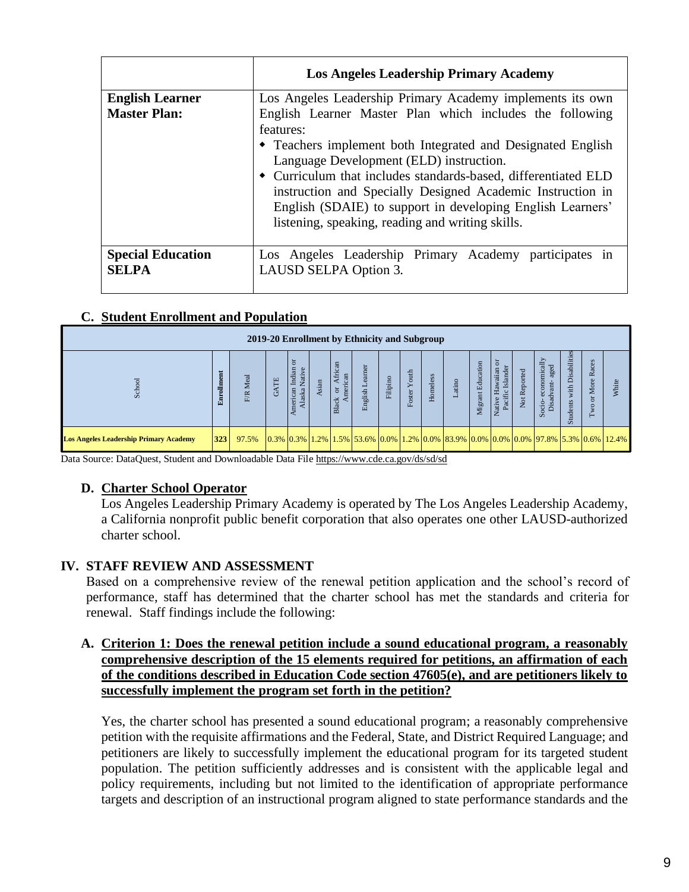|                                          | <b>Los Angeles Leadership Primary Academy</b>                                                                                                                                                                                                                                                                                                                                                                                     |
|------------------------------------------|-----------------------------------------------------------------------------------------------------------------------------------------------------------------------------------------------------------------------------------------------------------------------------------------------------------------------------------------------------------------------------------------------------------------------------------|
| <b>English Learner</b>                   | Los Angeles Leadership Primary Academy implements its own                                                                                                                                                                                                                                                                                                                                                                         |
| <b>Master Plan:</b>                      | English Learner Master Plan which includes the following<br>features:<br>• Teachers implement both Integrated and Designated English<br>Language Development (ELD) instruction.<br>• Curriculum that includes standards-based, differentiated ELD<br>instruction and Specially Designed Academic Instruction in<br>English (SDAIE) to support in developing English Learners'<br>listening, speaking, reading and writing skills. |
| <b>Special Education</b><br><b>SELPA</b> | Los Angeles Leadership Primary Academy participates in<br>LAUSD SELPA Option 3.                                                                                                                                                                                                                                                                                                                                                   |

#### **C. Student Enrollment and Population**

|                                                                                                                                                                                                                                                                                                                                                                                                                                                                                                                                                                                                                                                                                                                                                                                                                                                                            |            |          |             |                                     |       |                              | 2019-20 Enrollment by Ethnicity and Subgroup |          |              |          |        |                   |                                        |              |                                                                                                                   |                            |                   |              |
|----------------------------------------------------------------------------------------------------------------------------------------------------------------------------------------------------------------------------------------------------------------------------------------------------------------------------------------------------------------------------------------------------------------------------------------------------------------------------------------------------------------------------------------------------------------------------------------------------------------------------------------------------------------------------------------------------------------------------------------------------------------------------------------------------------------------------------------------------------------------------|------------|----------|-------------|-------------------------------------|-------|------------------------------|----------------------------------------------|----------|--------------|----------|--------|-------------------|----------------------------------------|--------------|-------------------------------------------------------------------------------------------------------------------|----------------------------|-------------------|--------------|
| School                                                                                                                                                                                                                                                                                                                                                                                                                                                                                                                                                                                                                                                                                                                                                                                                                                                                     | Enrollment | F/R Meal | <b>GATE</b> | American Indian or<br>Alaska Native | Asian | Black or African<br>American | English Learner                              | Filipino | Foster Youth | Homeless | Latino | Migrant Education | Native Hawaiian or<br>Pacific Islander | Not Reported | Socio-economically<br>Disadvant-aged                                                                              | Students with Disabilities | Two or More Races | <b>Nhite</b> |
| <b>Los Angeles Leadership Primary Academy</b>                                                                                                                                                                                                                                                                                                                                                                                                                                                                                                                                                                                                                                                                                                                                                                                                                              | 323        | 97.5%    |             |                                     |       |                              |                                              |          |              |          |        |                   |                                        |              | 0.3%   0.3%   1.2%   1.5%   53.6%   0.0%   1.2%   0.0%   83.9%   0.0%   0.0%   0.0%   97.8%   5.3%   0.6%   12.4% |                            |                   |              |
| Los Angeles Leadership Primary Academy is operated by The Los Angeles Leadership Academy,<br>a California nonprofit public benefit corporation that also operates one other LAUSD-authorized<br>charter school.<br>IV. STAFF REVIEW AND ASSESSMENT<br>Based on a comprehensive review of the renewal petition application and the school's record of<br>performance, staff has determined that the charter school has met the standards and criteria for<br>renewal. Staff findings include the following:<br>A. Criterion 1: Does the renewal petition include a sound educational program, a reasonably<br>comprehensive description of the 15 elements required for petitions, an affirmation of each<br>of the conditions described in Education Code section 47605(e), and are petitioners likely to<br>successfully implement the program set forth in the petition? |            |          |             |                                     |       |                              |                                              |          |              |          |        |                   |                                        |              |                                                                                                                   |                            |                   |              |
| Yes, the charter school has presented a sound educational program; a reasonably comprehensive<br>petition with the requisite affirmations and the Federal, State, and District Required Language; and<br>petitioners are likely to successfully implement the educational program for its targeted student<br>population. The petition sufficiently addresses and is consistent with the applicable legal and<br>policy requirements, including but not limited to the identification of appropriate performance<br>targets and description of an instructional program aligned to state performance standards and the                                                                                                                                                                                                                                                     |            |          |             |                                     |       |                              |                                              |          |              |          |        |                   |                                        |              |                                                                                                                   |                            |                   |              |

#### **D. Charter School Operator**

#### **IV. STAFF REVIEW AND ASSESSMENT**

#### **A. Criterion 1: Does the renewal petition include a sound educational program, a reasonably comprehensive description of the 15 elements required for petitions, an affirmation of each of the conditions described in Education Code section 47605(e), and are petitioners likely to successfully implement the program set forth in the petition?**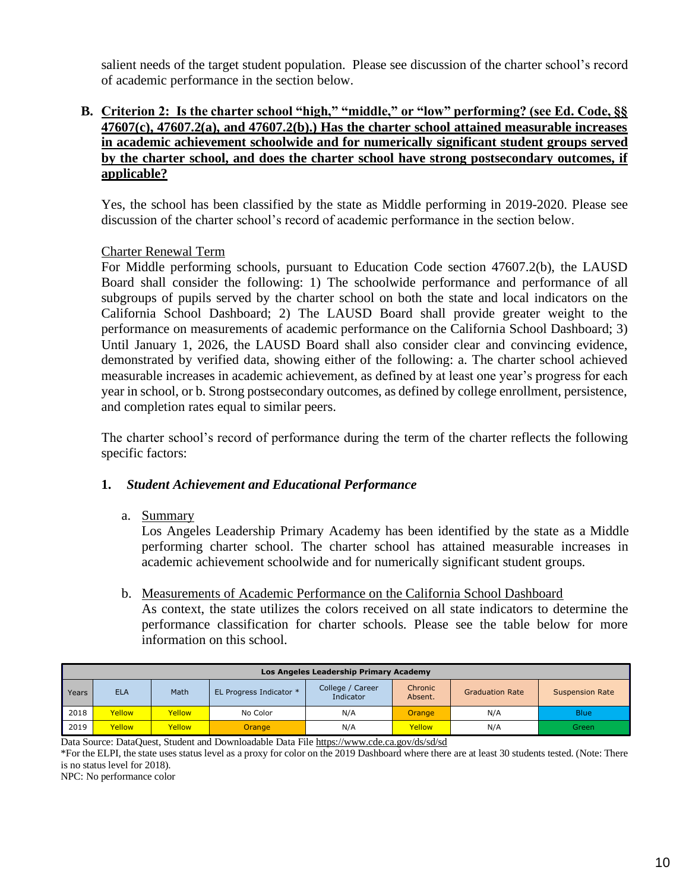salient needs of the target student population. Please see discussion of the charter school's record of academic performance in the section below.

#### **B. Criterion 2: Is the charter school "high," "middle," or "low" performing? (see Ed. Code, §§ 47607(c), 47607.2(a), and 47607.2(b).) Has the charter school attained measurable increases in academic achievement schoolwide and for numerically significant student groups served by the charter school, and does the charter school have strong postsecondary outcomes, if applicable?**

Yes, the school has been classified by the state as Middle performing in 2019-2020. Please see discussion of the charter school's record of academic performance in the section below.

#### Charter Renewal Term

For Middle performing schools, pursuant to Education Code section 47607.2(b), the LAUSD Board shall consider the following: 1) The schoolwide performance and performance of all subgroups of pupils served by the charter school on both the state and local indicators on the California School Dashboard; 2) The LAUSD Board shall provide greater weight to the performance on measurements of academic performance on the California School Dashboard; 3) Until January 1, 2026, the LAUSD Board shall also consider clear and convincing evidence, demonstrated by verified data, showing either of the following: a. The charter school achieved measurable increases in academic achievement, as defined by at least one year's progress for each year in school, or b. Strong postsecondary outcomes, as defined by college enrollment, persistence, and completion rates equal to similar peers.

The charter school's record of performance during the term of the charter reflects the following specific factors:

#### **1.** *Student Achievement and Educational Performance*

a. Summary

Los Angeles Leadership Primary Academy has been identified by the state as a Middle performing charter school. The charter school has attained measurable increases in academic achievement schoolwide and for numerically significant student groups.

#### b. Measurements of Academic Performance on the California School Dashboard

As context, the state utilizes the colors received on all state indicators to determine the performance classification for charter schools. Please see the table below for more information on this school.

|       | Los Angeles Leadership Primary Academy |               |                         |                               |                    |                        |                        |  |  |  |  |  |  |
|-------|----------------------------------------|---------------|-------------------------|-------------------------------|--------------------|------------------------|------------------------|--|--|--|--|--|--|
| Years | <b>ELA</b>                             | Math          | EL Progress Indicator * | College / Career<br>Indicator | Chronic<br>Absent. | <b>Graduation Rate</b> | <b>Suspension Rate</b> |  |  |  |  |  |  |
| 2018  | Yellow                                 | Yellow        | No Color                | N/A                           | Orange             | N/A                    | <b>Blue</b>            |  |  |  |  |  |  |
| 2019  | Yellow                                 | <b>Yellow</b> | <b>Orange</b>           | N/A                           | Yellow             | N/A                    | Green                  |  |  |  |  |  |  |

Data Source: DataQuest, Student and Downloadable Data Fil[e https://www.cde.ca.gov/ds/sd/sd](https://www.cde.ca.gov/ds/sd/sd)

\*For the ELPI, the state uses status level as a proxy for color on the 2019 Dashboard where there are at least 30 students tested. (Note: There is no status level for 2018).

NPC: No performance color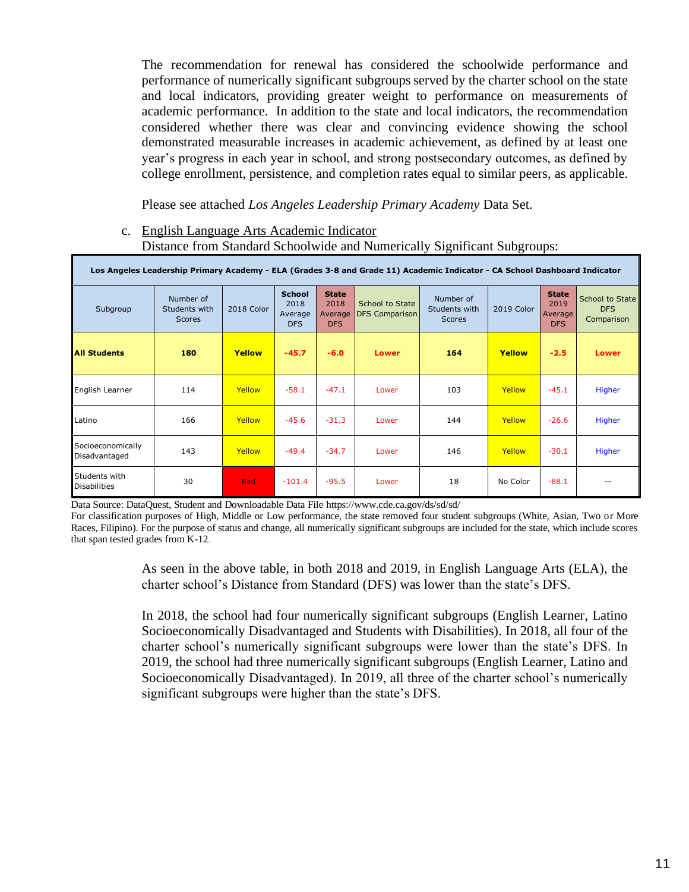The recommendation for renewal has considered the schoolwide performance and performance of numerically significant subgroups served by the charter school on the state and local indicators, providing greater weight to performance on measurements of academic performance. In addition to the state and local indicators, the recommendation considered whether there was clear and convincing evidence showing the school demonstrated measurable increases in academic achievement, as defined by at least one year's progress in each year in school, and strong postsecondary outcomes, as defined by college enrollment, persistence, and completion rates equal to similar peers, as applicable.

Please see attached *Los Angeles Leadership Primary Academy* Data Set.

#### c. English Language Arts Academic Indicator Distance from Standard Schoolwide and Numerically Significant Subgroups:

|                                      | Los Angeles Leadership Primary Academy - ELA (Grades 3-8 and Grade 11) Academic Indicator - CA School Dashboard Indicator |            |                                                |                                               |                                          |                                             |            |                                               |                                             |  |  |  |  |  |
|--------------------------------------|---------------------------------------------------------------------------------------------------------------------------|------------|------------------------------------------------|-----------------------------------------------|------------------------------------------|---------------------------------------------|------------|-----------------------------------------------|---------------------------------------------|--|--|--|--|--|
| Subgroup                             | Number of<br>Students with<br><b>Scores</b>                                                                               | 2018 Color | <b>School</b><br>2018<br>Average<br><b>DFS</b> | <b>State</b><br>2018<br>Average<br><b>DFS</b> | School to State<br><b>DFS Comparison</b> | Number of<br>Students with<br><b>Scores</b> | 2019 Color | <b>State</b><br>2019<br>Average<br><b>DFS</b> | School to State<br><b>DFS</b><br>Comparison |  |  |  |  |  |
| <b>All Students</b>                  | 180                                                                                                                       | Yellow     | $-45.7$                                        | $-6.0$                                        | <b>Lower</b>                             | 164                                         | Yellow     | $-2.5$                                        | <b>Lower</b>                                |  |  |  |  |  |
| English Learner                      | 114                                                                                                                       | Yellow     | $-58.1$                                        | $-47.1$                                       | Lower                                    | 103                                         | Yellow     | $-45.1$                                       | <b>Higher</b>                               |  |  |  |  |  |
| Latino                               | 166                                                                                                                       | Yellow     | $-45.6$                                        | $-31.3$                                       | Lower                                    | 144                                         | Yellow     | $-26.6$                                       | <b>Higher</b>                               |  |  |  |  |  |
| Socioeconomically<br>Disadvantaged   | 143                                                                                                                       | Yellow     | $-49.4$                                        | $-34.7$                                       | Lower                                    | 146                                         | Yellow     | $-30.1$                                       | Higher                                      |  |  |  |  |  |
| Students with<br><b>Disabilities</b> | 30                                                                                                                        | <b>Red</b> | $-101.4$                                       | $-95.5$                                       | Lower                                    | 18                                          | No Color   | $-88.1$                                       | $- -$                                       |  |  |  |  |  |

Data Source: DataQuest, Student and Downloadable Data File https://www.cde.ca.gov/ds/sd/sd/

For classification purposes of High, Middle or Low performance, the state removed four student subgroups (White, Asian, Two or More Races, Filipino). For the purpose of status and change, all numerically significant subgroups are included for the state, which include scores that span tested grades from K-12.

> As seen in the above table, in both 2018 and 2019, in English Language Arts (ELA), the charter school's Distance from Standard (DFS) was lower than the state's DFS.

> In 2018, the school had four numerically significant subgroups (English Learner, Latino Socioeconomically Disadvantaged and Students with Disabilities). In 2018, all four of the charter school's numerically significant subgroups were lower than the state's DFS. In 2019, the school had three numerically significant subgroups (English Learner, Latino and Socioeconomically Disadvantaged). In 2019, all three of the charter school's numerically significant subgroups were higher than the state's DFS.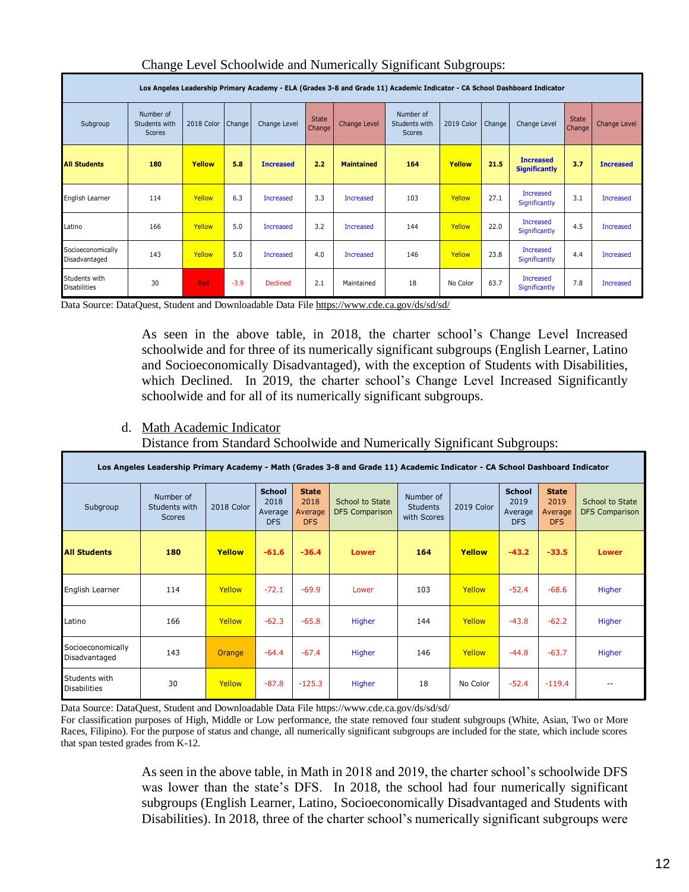|                                      | Los Angeles Leadership Primary Academy - ELA (Grades 3-8 and Grade 11) Academic Indicator - CA School Dashboard Indicator |            |        |                  |                        |                     |                                      |            |        |                                          |                        |                     |  |  |
|--------------------------------------|---------------------------------------------------------------------------------------------------------------------------|------------|--------|------------------|------------------------|---------------------|--------------------------------------|------------|--------|------------------------------------------|------------------------|---------------------|--|--|
| Subgroup                             | Number of<br>Students with<br>Scores                                                                                      | 2018 Color | Change | Change Level     | <b>State</b><br>Change | <b>Change Level</b> | Number of<br>Students with<br>Scores | 2019 Color | Change | Change Level                             | <b>State</b><br>Change | <b>Change Level</b> |  |  |
| <b>All Students</b>                  | 180                                                                                                                       | Yellow     | 5.8    | <b>Increased</b> | 2.2                    | <b>Maintained</b>   | 164                                  | Yellow     | 21.5   | <b>Increased</b><br><b>Significantly</b> | 3.7                    | <b>Increased</b>    |  |  |
| English Learner                      | 114                                                                                                                       | Yellow     | 6.3    | <b>Increased</b> | 3.3                    | <b>Increased</b>    | 103                                  | Yellow     | 27.1   | Increased<br><b>Significantly</b>        | 3.1                    | <b>Increased</b>    |  |  |
| Latino                               | 166                                                                                                                       | Yellow     | 5.0    | <b>Increased</b> | 3.2                    | <b>Increased</b>    | 144                                  | Yellow     | 22.0   | <b>Increased</b><br><b>Significantly</b> | 4.5                    | <b>Increased</b>    |  |  |
| Socioeconomically<br>Disadvantaged   | 143                                                                                                                       | Yellow     | 5.0    | <b>Increased</b> | 4.0                    | <b>Increased</b>    | 146                                  | Yellow     | 23.8   | <b>Increased</b><br><b>Significantly</b> | 4.4                    | <b>Increased</b>    |  |  |
| Students with<br><b>Disabilities</b> | 30                                                                                                                        | <b>Red</b> | $-3.9$ | <b>Declined</b>  | 2.1                    | Maintained          | 18                                   | No Color   | 63.7   | Increased<br><b>Significantly</b>        | 7.8                    | <b>Increased</b>    |  |  |

#### Change Level Schoolwide and Numerically Significant Subgroups:

Data Source: DataQuest, Student and Downloadable Data Fil[e https://www.cde.ca.gov/ds/sd/sd/](https://www.cde.ca.gov/ds/sd/sd/)

As seen in the above table, in 2018, the charter school's Change Level Increased schoolwide and for three of its numerically significant subgroups (English Learner, Latino and Socioeconomically Disadvantaged), with the exception of Students with Disabilities, which Declined. In 2019, the charter school's Change Level Increased Significantly schoolwide and for all of its numerically significant subgroups.

d. Math Academic Indicator

Distance from Standard Schoolwide and Numerically Significant Subgroups:

| Los Angeles Leadership Primary Academy - Math (Grades 3-8 and Grade 11) Academic Indicator - CA School Dashboard Indicator |                                             |               |                                                |                                               |                                          |                                                           |          |                                                |                                               |                                          |  |  |  |
|----------------------------------------------------------------------------------------------------------------------------|---------------------------------------------|---------------|------------------------------------------------|-----------------------------------------------|------------------------------------------|-----------------------------------------------------------|----------|------------------------------------------------|-----------------------------------------------|------------------------------------------|--|--|--|
| Subgroup                                                                                                                   | Number of<br>Students with<br><b>Scores</b> | 2018 Color    | <b>School</b><br>2018<br>Average<br><b>DFS</b> | <b>State</b><br>2018<br>Average<br><b>DFS</b> | School to State<br><b>DFS Comparison</b> | Number of<br>2019 Color<br><b>Students</b><br>with Scores |          | <b>School</b><br>2019<br>Average<br><b>DFS</b> | <b>State</b><br>2019<br>Average<br><b>DFS</b> | School to State<br><b>DFS Comparison</b> |  |  |  |
| <b>All Students</b>                                                                                                        | 180                                         | Yellow        | $-61.6$                                        | $-36.4$                                       | Lower                                    | 164                                                       | Yellow   | $-43.2$                                        | $-33.5$                                       | <b>Lower</b>                             |  |  |  |
| English Learner                                                                                                            | 114                                         | Yellow        | $-72.1$                                        | $-69.9$                                       | Lower                                    | 103                                                       | Yellow   | $-52.4$                                        | $-68.6$                                       | Higher                                   |  |  |  |
| Latino                                                                                                                     | 166                                         | Yellow        | $-62.3$                                        | $-65.8$                                       | Higher                                   | 144                                                       | Yellow   | $-43.8$                                        | $-62.2$                                       | Higher                                   |  |  |  |
| Socioeconomically<br>Disadvantaged                                                                                         | 143                                         | <b>Orange</b> | $-64.4$                                        | $-67.4$                                       | Higher                                   | 146                                                       | Yellow   | $-44.8$                                        | $-63.7$                                       | Higher                                   |  |  |  |
| Students with<br><b>Disabilities</b>                                                                                       | 30                                          | Yellow        | $-87.8$                                        | $-125.3$                                      | Higher                                   | 18                                                        | No Color | $-52.4$                                        | $-119.4$                                      | $- -$                                    |  |  |  |

Data Source: DataQuest, Student and Downloadable Data File https://www.cde.ca.gov/ds/sd/sd/

For classification purposes of High, Middle or Low performance, the state removed four student subgroups (White, Asian, Two or More Races, Filipino). For the purpose of status and change, all numerically significant subgroups are included for the state, which include scores that span tested grades from K-12.

> As seen in the above table, in Math in 2018 and 2019, the charter school's schoolwide DFS was lower than the state's DFS. In 2018, the school had four numerically significant subgroups (English Learner, Latino, Socioeconomically Disadvantaged and Students with Disabilities). In 2018, three of the charter school's numerically significant subgroups were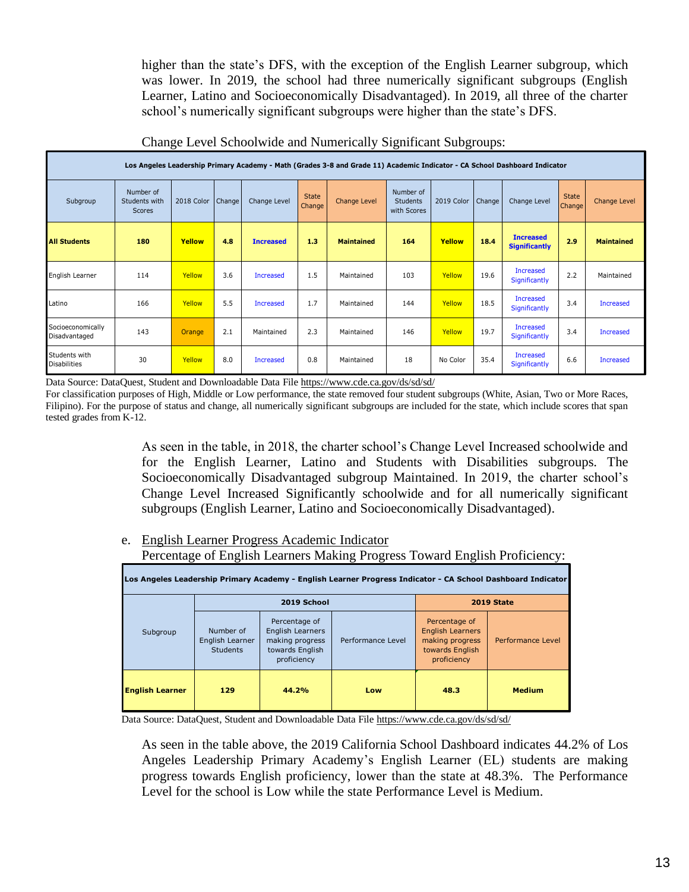higher than the state's DFS, with the exception of the English Learner subgroup, which was lower. In 2019, the school had three numerically significant subgroups (English Learner, Latino and Socioeconomically Disadvantaged). In 2019, all three of the charter school's numerically significant subgroups were higher than the state's DFS.

|                                      | Los Angeles Leadership Primary Academy - Math (Grades 3-8 and Grade 11) Academic Indicator - CA School Dashboard Indicator |               |        |                  |                        |                   |                                             |            |                     |                                          |                        |                     |  |  |
|--------------------------------------|----------------------------------------------------------------------------------------------------------------------------|---------------|--------|------------------|------------------------|-------------------|---------------------------------------------|------------|---------------------|------------------------------------------|------------------------|---------------------|--|--|
| Subgroup                             | Number of<br>Students with<br>Scores                                                                                       | 2018 Color    | Change | Change Level     | <b>State</b><br>Change | Change Level      | Number of<br><b>Students</b><br>with Scores | 2019 Color | Change <sup>1</sup> | Change Level                             | <b>State</b><br>Change | <b>Change Level</b> |  |  |
| <b>All Students</b>                  | 180                                                                                                                        | Yellow        | 4.8    | <b>Increased</b> | 1.3                    | <b>Maintained</b> | 164                                         | Yellow     | 18.4                | <b>Increased</b><br><b>Significantly</b> | 2.9                    | <b>Maintained</b>   |  |  |
| English Learner                      | 114                                                                                                                        | Yellow        | 3.6    | <b>Increased</b> | 1.5                    | Maintained        | 103                                         | Yellow     | 19.6                | <b>Increased</b><br>Significantly        | 2.2                    | Maintained          |  |  |
| Latino                               | 166                                                                                                                        | Yellow        | 5.5    | <b>Increased</b> | 1.7                    | Maintained        | 144                                         | Yellow     | 18.5                | <b>Increased</b><br>Significantly        | 3.4                    | Increased           |  |  |
| Socioeconomically<br>Disadvantaged   | 143                                                                                                                        | <b>Orange</b> | 2.1    | Maintained       | 2.3                    | Maintained        | 146                                         | Yellow     | 19.7                | <b>Increased</b><br>Significantly        | 3.4                    | Increased           |  |  |
| Students with<br><b>Disabilities</b> | 30                                                                                                                         | Yellow        | 8.0    | <b>Increased</b> | 0.8                    | Maintained        | 18                                          | No Color   | 35.4                | <b>Increased</b><br>Significantly        | 6.6                    | Increased           |  |  |

Change Level Schoolwide and Numerically Significant Subgroups:

Data Source: DataQuest, Student and Downloadable Data Fil[e https://www.cde.ca.gov/ds/sd/sd/](https://www.cde.ca.gov/ds/sd/sd/)

For classification purposes of High, Middle or Low performance, the state removed four student subgroups (White, Asian, Two or More Races, Filipino). For the purpose of status and change, all numerically significant subgroups are included for the state, which include scores that span tested grades from K-12.

> As seen in the table, in 2018, the charter school's Change Level Increased schoolwide and for the English Learner, Latino and Students with Disabilities subgroups. The Socioeconomically Disadvantaged subgroup Maintained. In 2019, the charter school's Change Level Increased Significantly schoolwide and for all numerically significant subgroups (English Learner, Latino and Socioeconomically Disadvantaged).

e. English Learner Progress Academic Indicator

Percentage of English Learners Making Progress Toward English Proficiency:

|                        |                                                 |                                                                                        | Los Angeles Leadership Primary Academy - English Learner Progress Indicator - CA School Dashboard Indicator |                                                                                               |                   |
|------------------------|-------------------------------------------------|----------------------------------------------------------------------------------------|-------------------------------------------------------------------------------------------------------------|-----------------------------------------------------------------------------------------------|-------------------|
|                        |                                                 | 2019 School                                                                            |                                                                                                             |                                                                                               | <b>2019 State</b> |
| Subgroup               | Number of<br>English Learner<br><b>Students</b> | Percentage of<br>English Learners<br>making progress<br>towards English<br>proficiency | Performance Level                                                                                           | Percentage of<br><b>English Learners</b><br>making progress<br>towards English<br>proficiency | Performance Level |
| <b>English Learner</b> | 129                                             | 44.2%                                                                                  | Low                                                                                                         | 48.3                                                                                          | <b>Medium</b>     |

Data Source: DataQuest, Student and Downloadable Data Fil[e https://www.cde.ca.gov/ds/sd/sd/](https://www.cde.ca.gov/ds/sd/sd/)

As seen in the table above, the 2019 California School Dashboard indicates 44.2% of Los Angeles Leadership Primary Academy's English Learner (EL) students are making progress towards English proficiency, lower than the state at 48.3%. The Performance Level for the school is Low while the state Performance Level is Medium.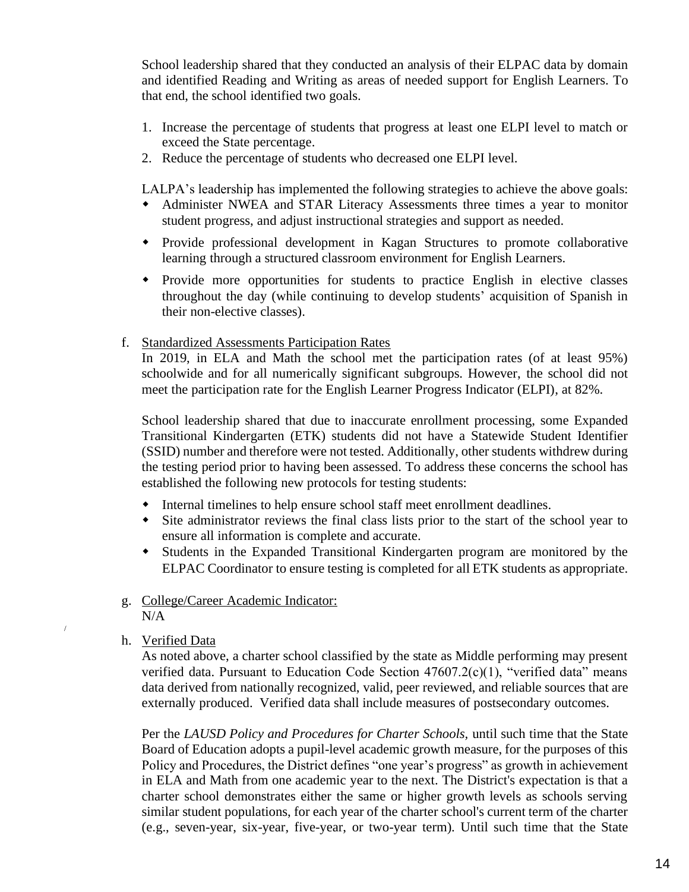School leadership shared that they conducted an analysis of their ELPAC data by domain and identified Reading and Writing as areas of needed support for English Learners. To that end, the school identified two goals.

- 1. Increase the percentage of students that progress at least one ELPI level to match or exceed the State percentage.
- 2. Reduce the percentage of students who decreased one ELPI level.

LALPA's leadership has implemented the following strategies to achieve the above goals:

- Administer NWEA and STAR Literacy Assessments three times a year to monitor student progress, and adjust instructional strategies and support as needed.
- Provide professional development in Kagan Structures to promote collaborative learning through a structured classroom environment for English Learners.
- Provide more opportunities for students to practice English in elective classes throughout the day (while continuing to develop students' acquisition of Spanish in their non-elective classes).
- f. Standardized Assessments Participation Rates

In 2019, in ELA and Math the school met the participation rates (of at least 95%) schoolwide and for all numerically significant subgroups. However, the school did not meet the participation rate for the English Learner Progress Indicator (ELPI), at 82%.

School leadership shared that due to inaccurate enrollment processing, some Expanded Transitional Kindergarten (ETK) students did not have a Statewide Student Identifier (SSID) number and therefore were not tested. Additionally, other students withdrew during the testing period prior to having been assessed. To address these concerns the school has established the following new protocols for testing students:

- Internal timelines to help ensure school staff meet enrollment deadlines.
- Site administrator reviews the final class lists prior to the start of the school year to ensure all information is complete and accurate.
- Students in the Expanded Transitional Kindergarten program are monitored by the ELPAC Coordinator to ensure testing is completed for all ETK students as appropriate.

#### g. College/Career Academic Indicator:  $N/A$

h. Verified Data

/

As noted above, a charter school classified by the state as Middle performing may present verified data. Pursuant to Education Code Section 47607.2(c)(1), "verified data" means data derived from nationally recognized, valid, peer reviewed, and reliable sources that are externally produced. Verified data shall include measures of postsecondary outcomes.

Per the *LAUSD Policy and Procedures for Charter Schools,* until such time that the State Board of Education adopts a pupil-level academic growth measure, for the purposes of this Policy and Procedures, the District defines "one year's progress" as growth in achievement in ELA and Math from one academic year to the next. The District's expectation is that a charter school demonstrates either the same or higher growth levels as schools serving similar student populations, for each year of the charter school's current term of the charter (e.g., seven-year, six-year, five-year, or two-year term). Until such time that the State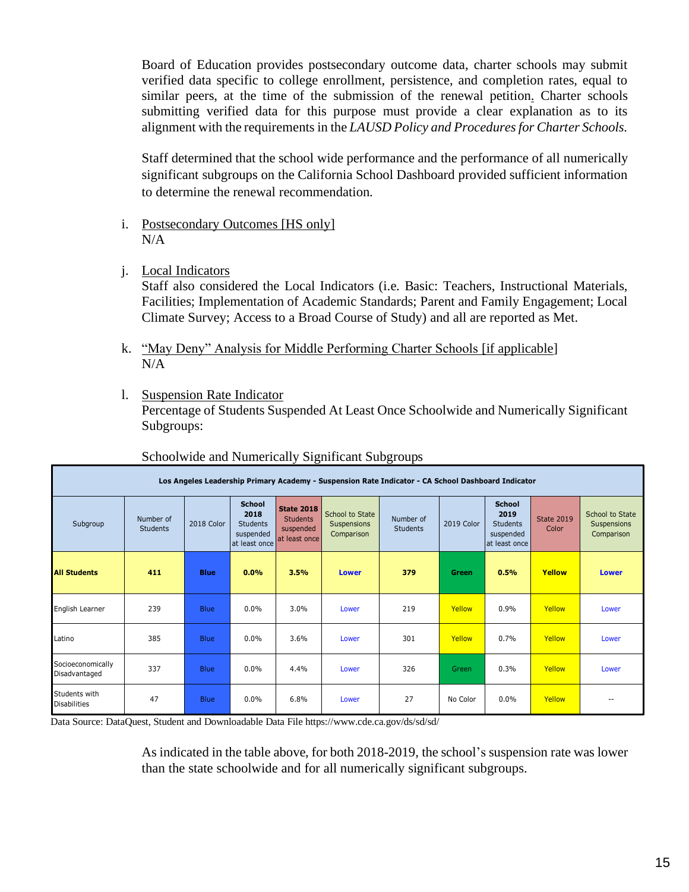Board of Education provides postsecondary outcome data, charter schools may submit verified data specific to college enrollment, persistence, and completion rates, equal to similar peers, at the time of the submission of the renewal petition. Charter schools submitting verified data for this purpose must provide a clear explanation as to its alignment with the requirements in the *LAUSD Policy and Procedures for Charter Schools.*

Staff determined that the school wide performance and the performance of all numerically significant subgroups on the California School Dashboard provided sufficient information to determine the renewal recommendation.

- i. Postsecondary Outcomes [HS only] N/A
- j. Local Indicators

Staff also considered the Local Indicators (i.e. Basic: Teachers, Instructional Materials, Facilities; Implementation of Academic Standards; Parent and Family Engagement; Local Climate Survey; Access to a Broad Course of Study) and all are reported as Met.

- k. "May Deny" Analysis for Middle Performing Charter Schools [if applicable] N/A
- l. Suspension Rate Indicator

Percentage of Students Suspended At Least Once Schoolwide and Numerically Significant Subgroups:

|                                      |                              |             |                                                                        |                                                                    |                                              | Los Angeles Leadership Primary Academy - Suspension Rate Indicator - CA School Dashboard Indicator |            |                                                                        |                            |                                              |
|--------------------------------------|------------------------------|-------------|------------------------------------------------------------------------|--------------------------------------------------------------------|----------------------------------------------|----------------------------------------------------------------------------------------------------|------------|------------------------------------------------------------------------|----------------------------|----------------------------------------------|
| Subgroup                             | Number of<br><b>Students</b> | 2018 Color  | <b>School</b><br>2018<br><b>Students</b><br>suspended<br>at least once | <b>State 2018</b><br><b>Students</b><br>suspended<br>at least once | School to State<br>Suspensions<br>Comparison | Number of<br><b>Students</b>                                                                       | 2019 Color | <b>School</b><br>2019<br><b>Students</b><br>suspended<br>at least once | <b>State 2019</b><br>Color | School to State<br>Suspensions<br>Comparison |
| <b>All Students</b>                  | 411                          | <b>Blue</b> | 0.0%                                                                   | 3.5%                                                               | <b>Lower</b>                                 | 379                                                                                                | Green      | 0.5%                                                                   | Yellow                     | Lower                                        |
| English Learner                      | 239                          | <b>Blue</b> | $0.0\%$                                                                | 3.0%                                                               | Lower                                        | 219                                                                                                | Yellow     | 0.9%                                                                   | Yellow                     | Lower                                        |
| Latino                               | 385                          | <b>Blue</b> | $0.0\%$                                                                | 3.6%                                                               | Lower                                        | 301                                                                                                | Yellow     | 0.7%                                                                   | Yellow                     | Lower                                        |
| Socioeconomically<br>Disadvantaged   | 337                          | <b>Blue</b> | 0.0%                                                                   | 4.4%                                                               | Lower                                        | 326                                                                                                | Green      | 0.3%                                                                   | Yellow                     | Lower                                        |
| Students with<br><b>Disabilities</b> | 47                           | <b>Blue</b> | $0.0\%$                                                                | 6.8%                                                               | Lower                                        | 27                                                                                                 | No Color   | 0.0%                                                                   | Yellow                     | $-$                                          |

#### Schoolwide and Numerically Significant Subgroups

Data Source: DataQuest, Student and Downloadable Data File https://www.cde.ca.gov/ds/sd/sd/

As indicated in the table above, for both 2018-2019, the school's suspension rate was lower than the state schoolwide and for all numerically significant subgroups.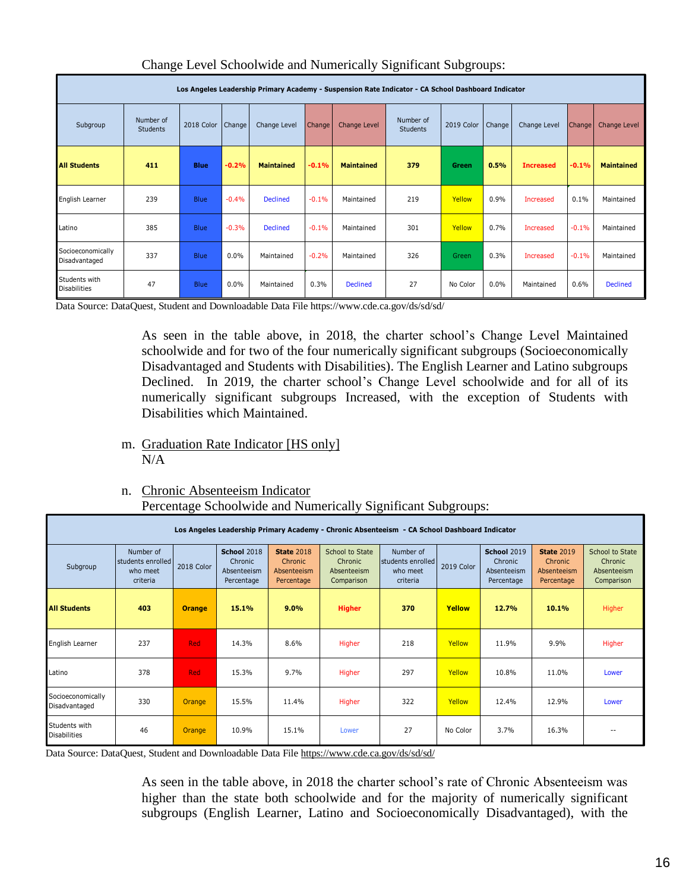|                                      |                              |             |         | Los Angeles Leadership Primary Academy - Suspension Rate Indicator - CA School Dashboard Indicator |         |                   |                              |              |         |                  |         |                   |
|--------------------------------------|------------------------------|-------------|---------|----------------------------------------------------------------------------------------------------|---------|-------------------|------------------------------|--------------|---------|------------------|---------|-------------------|
| Subgroup                             | Number of<br><b>Students</b> | 2018 Color  | Change  | Change Level                                                                                       | Change  | Change Level      | Number of<br><b>Students</b> | 2019 Color   | Change  | Change Level     | Change  | Change Level      |
| <b>All Students</b>                  | 411                          | <b>Blue</b> | $-0.2%$ | <b>Maintained</b>                                                                                  | $-0.1%$ | <b>Maintained</b> | 379                          | <b>Green</b> | 0.5%    | <b>Increased</b> | $-0.1%$ | <b>Maintained</b> |
| English Learner                      | 239                          | <b>Blue</b> | $-0.4%$ | <b>Declined</b>                                                                                    | $-0.1%$ | Maintained        | 219                          | Yellow       | 0.9%    | <b>Increased</b> | 0.1%    | Maintained        |
| Latino                               | 385                          | <b>Blue</b> | $-0.3%$ | <b>Declined</b>                                                                                    | $-0.1%$ | Maintained        | 301                          | Yellow       | 0.7%    | Increased        | $-0.1%$ | Maintained        |
| Socioeconomically<br>Disadvantaged   | 337                          | <b>Blue</b> | $0.0\%$ | Maintained                                                                                         | $-0.2%$ | Maintained        | 326                          | Green        | 0.3%    | Increased        | $-0.1%$ | Maintained        |
| Students with<br><b>Disabilities</b> | 47                           | <b>Blue</b> | $0.0\%$ | Maintained                                                                                         | 0.3%    | <b>Declined</b>   | 27                           | No Color     | $0.0\%$ | Maintained       | 0.6%    | <b>Declined</b>   |

#### Change Level Schoolwide and Numerically Significant Subgroups:

Data Source: DataQuest, Student and Downloadable Data File https://www.cde.ca.gov/ds/sd/sd/

As seen in the table above, in 2018, the charter school's Change Level Maintained schoolwide and for two of the four numerically significant subgroups (Socioeconomically Disadvantaged and Students with Disabilities). The English Learner and Latino subgroups Declined. In 2019, the charter school's Change Level schoolwide and for all of its numerically significant subgroups Increased, with the exception of Students with Disabilities which Maintained.

m. Graduation Rate Indicator [HS only]  $N/A$ 

#### n. Chronic Absenteeism Indicator Percentage Schoolwide and Numerically Significant Subgroups:

|                                      |                                                         |               |                                                            |                                                            |                                                         | Los Angeles Leadership Primary Academy - Chronic Absenteeism - CA School Dashboard Indicator |            |                                                            |                                                           |                                                         |
|--------------------------------------|---------------------------------------------------------|---------------|------------------------------------------------------------|------------------------------------------------------------|---------------------------------------------------------|----------------------------------------------------------------------------------------------|------------|------------------------------------------------------------|-----------------------------------------------------------|---------------------------------------------------------|
| Subgroup                             | Number of<br>Istudents enrolled<br>who meet<br>criteria | 2018 Color    | <b>School 2018</b><br>Chronic<br>Absenteeism<br>Percentage | <b>State 2018</b><br>Chronic.<br>Absenteeism<br>Percentage | School to State<br>Chronic<br>Absenteeism<br>Comparison | Number of<br>students enrolled<br>who meet<br>criteria                                       | 2019 Color | <b>School 2019</b><br>Chronic<br>Absenteeism<br>Percentage | <b>State 2019</b><br>Chronic<br>Absenteeism<br>Percentage | School to State<br>Chronic<br>Absenteeism<br>Comparison |
| <b>All Students</b>                  | 403                                                     | <b>Orange</b> | 15.1%                                                      | 9.0%                                                       | <b>Higher</b>                                           | 370                                                                                          | Yellow     | 12.7%                                                      | 10.1%                                                     | Higher                                                  |
| English Learner                      | 237                                                     | <b>Red</b>    | 14.3%                                                      | 8.6%                                                       | Higher                                                  | 218                                                                                          | Yellow     | 11.9%                                                      | 9.9%                                                      | Higher                                                  |
| Latino                               | 378                                                     | <b>Red</b>    | 15.3%                                                      | 9.7%                                                       | Higher                                                  | 297                                                                                          | Yellow     | 10.8%                                                      | 11.0%                                                     | Lower                                                   |
| Socioeconomically<br>Disadvantaged   | 330                                                     | Orange        | 15.5%                                                      | 11.4%                                                      | Higher                                                  | 322                                                                                          | Yellow     | 12.4%                                                      | 12.9%                                                     | Lower                                                   |
| Students with<br><b>Disabilities</b> | 46                                                      | Orange        | 10.9%                                                      | 15.1%                                                      | Lower                                                   | 27                                                                                           | No Color   | 3.7%                                                       | 16.3%                                                     |                                                         |

Data Source: DataQuest, Student and Downloadable Data Fil[e https://www.cde.ca.gov/ds/sd/sd/](https://www.cde.ca.gov/ds/sd/sd/)

As seen in the table above, in 2018 the charter school's rate of Chronic Absenteeism was higher than the state both schoolwide and for the majority of numerically significant subgroups (English Learner, Latino and Socioeconomically Disadvantaged), with the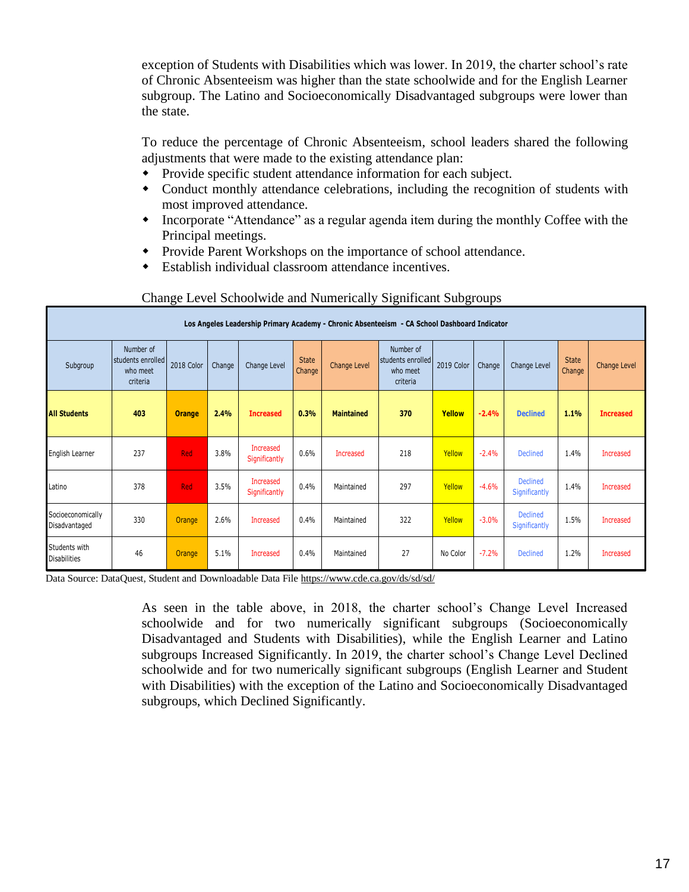exception of Students with Disabilities which was lower. In 2019, the charter school's rate of Chronic Absenteeism was higher than the state schoolwide and for the English Learner subgroup. The Latino and Socioeconomically Disadvantaged subgroups were lower than the state.

To reduce the percentage of Chronic Absenteeism, school leaders shared the following adjustments that were made to the existing attendance plan:

- Provide specific student attendance information for each subject.
- Conduct monthly attendance celebrations, including the recognition of students with most improved attendance.
- Incorporate "Attendance" as a regular agenda item during the monthly Coffee with the Principal meetings.
- Provide Parent Workshops on the importance of school attendance.
- Establish individual classroom attendance incentives.

|                                      |                                                        |               |        |                                   |                        | Los Angeles Leadership Primary Academy - Chronic Absenteeism - CA School Dashboard Indicator |                                                        |            |         |                                  |                        |                     |
|--------------------------------------|--------------------------------------------------------|---------------|--------|-----------------------------------|------------------------|----------------------------------------------------------------------------------------------|--------------------------------------------------------|------------|---------|----------------------------------|------------------------|---------------------|
| Subgroup                             | Number of<br>students enrolled<br>who meet<br>criteria | 2018 Color    | Change | Change Level                      | <b>State</b><br>Change | Change Level                                                                                 | Number of<br>students enrolled<br>who meet<br>criteria | 2019 Color | Change  | Change Level                     | <b>State</b><br>Change | <b>Change Level</b> |
| <b>All Students</b>                  | 403                                                    | <b>Orange</b> | 2.4%   | <b>Increased</b>                  | 0.3%                   | <b>Maintained</b>                                                                            | 370                                                    | Yellow     | $-2.4%$ | <b>Declined</b>                  | 1.1%                   | <b>Increased</b>    |
| English Learner                      | 237                                                    | Red           | 3.8%   | <b>Increased</b><br>Significantly | 0.6%                   | Increased                                                                                    | 218                                                    | Yellow     | $-2.4%$ | <b>Declined</b>                  | 1.4%                   | <b>Increased</b>    |
| Latino                               | 378                                                    | Red           | 3.5%   | <b>Increased</b><br>Significantly | 0.4%                   | Maintained                                                                                   | 297                                                    | Yellow     | $-4.6%$ | <b>Declined</b><br>Significantly | 1.4%                   | Increased           |
| Socioeconomically<br>Disadvantaged   | 330                                                    | <b>Orange</b> | 2.6%   | <b>Increased</b>                  | 0.4%                   | Maintained                                                                                   | 322                                                    | Yellow     | $-3.0%$ | Declined<br>Significantly        | 1.5%                   | Increased           |
| Students with<br><b>Disabilities</b> | 46                                                     | <b>Orange</b> | 5.1%   | <b>Increased</b>                  | 0.4%                   | Maintained                                                                                   | 27                                                     | No Color   | $-7.2%$ | <b>Declined</b>                  | 1.2%                   | <b>Increased</b>    |

#### Change Level Schoolwide and Numerically Significant Subgroups

Data Source: DataQuest, Student and Downloadable Data Fil[e https://www.cde.ca.gov/ds/sd/sd/](https://www.cde.ca.gov/ds/sd/sd/)

As seen in the table above, in 2018, the charter school's Change Level Increased schoolwide and for two numerically significant subgroups (Socioeconomically Disadvantaged and Students with Disabilities), while the English Learner and Latino subgroups Increased Significantly. In 2019, the charter school's Change Level Declined schoolwide and for two numerically significant subgroups (English Learner and Student with Disabilities) with the exception of the Latino and Socioeconomically Disadvantaged subgroups, which Declined Significantly.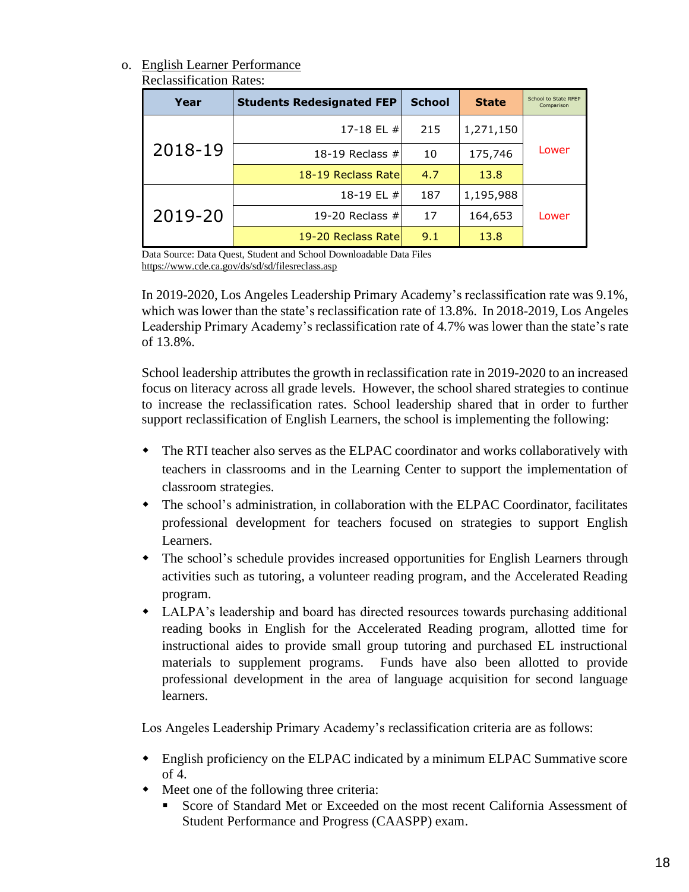#### o. English Learner Performance

| <b>Reclassification Rates:</b> |  |
|--------------------------------|--|
|--------------------------------|--|

| Year    | <b>Students Redesignated FEP</b>                                                                                      | <b>School</b> | <b>State</b> | School to State RFEP<br>Comparison |
|---------|-----------------------------------------------------------------------------------------------------------------------|---------------|--------------|------------------------------------|
|         | 17-18 EL #                                                                                                            | 215           | 1,271,150    |                                    |
| 2018-19 | 18-19 Reclass $#$                                                                                                     | 10            | 175,746      | Lower                              |
|         | 18-19 Reclass Rate                                                                                                    | 4.7           | 13.8         |                                    |
|         | 18-19 EL #                                                                                                            | 187           | 1,195,988    |                                    |
| 2019-20 | 19-20 Reclass $#$                                                                                                     | 17            | 164,653      | Lower                              |
|         | 19-20 Reclass Rate                                                                                                    | 9.1           | 13.8         |                                    |
|         | Data Source: Data Ouest, Student and School Downloadable Data Files<br>ttps://www.cde.co.gov/de/ed/ed/filecreates.com |               |              |                                    |

Data Source: Data Quest, Student and School Downloadable Data Files <https://www.cde.ca.gov/ds/sd/sd/filesreclass.asp>

In 2019-2020, Los Angeles Leadership Primary Academy's reclassification rate was 9.1%, which was lower than the state's reclassification rate of  $13.8\%$ . In 2018-2019, Los Angeles Leadership Primary Academy's reclassification rate of 4.7% was lower than the state's rate of 13.8%.

School leadership attributes the growth in reclassification rate in 2019-2020 to an increased focus on literacy across all grade levels. However, the school shared strategies to continue to increase the reclassification rates. School leadership shared that in order to further support reclassification of English Learners, the school is implementing the following:

- The RTI teacher also serves as the ELPAC coordinator and works collaboratively with teachers in classrooms and in the Learning Center to support the implementation of classroom strategies.
- The school's administration, in collaboration with the ELPAC Coordinator, facilitates professional development for teachers focused on strategies to support English Learners.
- The school's schedule provides increased opportunities for English Learners through activities such as tutoring, a volunteer reading program, and the Accelerated Reading program.
- LALPA's leadership and board has directed resources towards purchasing additional reading books in English for the Accelerated Reading program, allotted time for instructional aides to provide small group tutoring and purchased EL instructional materials to supplement programs. Funds have also been allotted to provide professional development in the area of language acquisition for second language learners.

Los Angeles Leadership Primary Academy's reclassification criteria are as follows:

- English proficiency on the ELPAC indicated by a minimum ELPAC Summative score of 4.
- Meet one of the following three criteria:
	- Score of Standard Met or Exceeded on the most recent California Assessment of Student Performance and Progress (CAASPP) exam.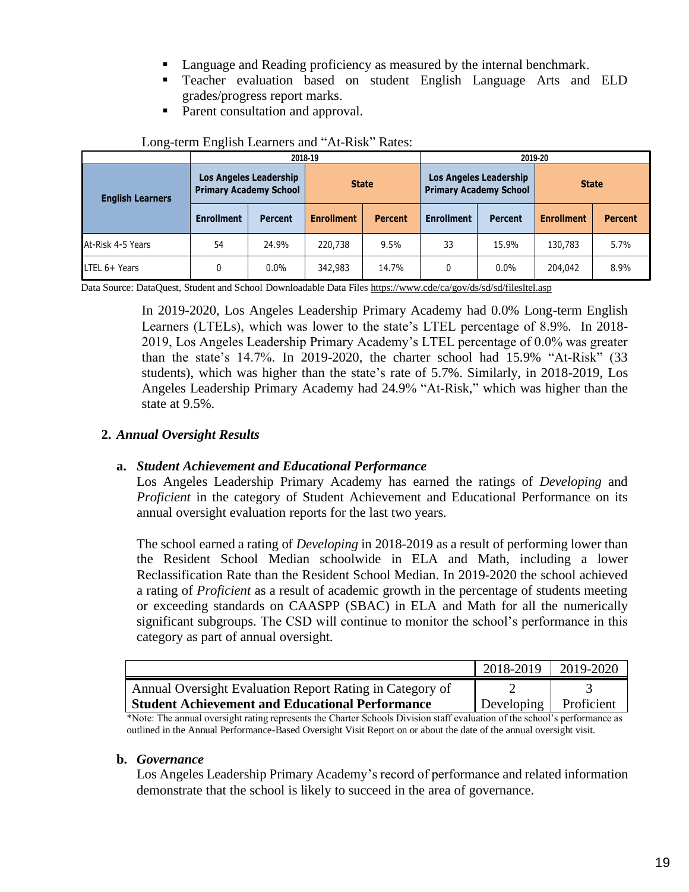- Language and Reading proficiency as measured by the internal benchmark.
- **•** Teacher evaluation based on student English Language Arts and ELD grades/progress report marks.
- Parent consultation and approval.

|                         |                                     |                               | 2018-19           |                | 2019-20                       |                               |                   |                |  |  |  |
|-------------------------|-------------------------------------|-------------------------------|-------------------|----------------|-------------------------------|-------------------------------|-------------------|----------------|--|--|--|
| <b>English Learners</b> | <b>Primary Academy School</b>       | <b>Los Angeles Leadership</b> | <b>State</b>      |                | <b>Primary Academy School</b> | <b>Los Angeles Leadership</b> | <b>State</b>      |                |  |  |  |
|                         | <b>Enrollment</b><br><b>Percent</b> |                               | <b>Enrollment</b> | <b>Percent</b> | <b>Enrollment</b>             | <b>Percent</b>                | <b>Enrollment</b> | <b>Percent</b> |  |  |  |
| At-Risk 4-5 Years       | 54                                  | 24.9%                         | 220,738           | 9.5%           | 33                            | 15.9%                         | 130,783           | 5.7%           |  |  |  |
| LTEL 6+ Years           |                                     | 0.0%                          | 342,983           | 14.7%          | 0                             | 0.0%                          | 204,042           | 8.9%           |  |  |  |

#### Long-term English Learners and "At-Risk" Rates:

Data Source: DataQuest, Student and School Downloadable Data File[s https://www.cde/ca/gov/ds/sd/sd/filesltel.asp](https://www.cde/ca/gov/ds/sd/sd/filesltel.asp)

In 2019-2020, Los Angeles Leadership Primary Academy had 0.0% Long-term English Learners (LTELs), which was lower to the state's LTEL percentage of 8.9%. In 2018- 2019, Los Angeles Leadership Primary Academy's LTEL percentage of 0.0% was greater than the state's 14.7%. In 2019-2020, the charter school had 15.9% "At-Risk" (33 students), which was higher than the state's rate of 5.7%. Similarly, in 2018-2019, Los Angeles Leadership Primary Academy had 24.9% "At-Risk," which was higher than the state at 9.5%.

#### **2.** *Annual Oversight Results*

#### **a.** *Student Achievement and Educational Performance*

Los Angeles Leadership Primary Academy has earned the ratings of *Developing* and *Proficient* in the category of Student Achievement and Educational Performance on its annual oversight evaluation reports for the last two years.

The school earned a rating of *Developing* in 2018-2019 as a result of performing lower than the Resident School Median schoolwide in ELA and Math, including a lower Reclassification Rate than the Resident School Median. In 2019-2020 the school achieved a rating of *Proficient* as a result of academic growth in the percentage of students meeting or exceeding standards on CAASPP (SBAC) in ELA and Math for all the numerically significant subgroups. The CSD will continue to monitor the school's performance in this category as part of annual oversight.

|                                                          | $2018 - 2019$         | 2019-2020 |
|----------------------------------------------------------|-----------------------|-----------|
| Annual Oversight Evaluation Report Rating in Category of |                       |           |
| <b>Student Achievement and Educational Performance</b>   | Developing Proficient |           |

\*Note: The annual oversight rating represents the Charter Schools Division staff evaluation of the school's performance as outlined in the Annual Performance-Based Oversight Visit Report on or about the date of the annual oversight visit.

#### **b.** *Governance*

Los Angeles Leadership Primary Academy's record of performance and related information demonstrate that the school is likely to succeed in the area of governance.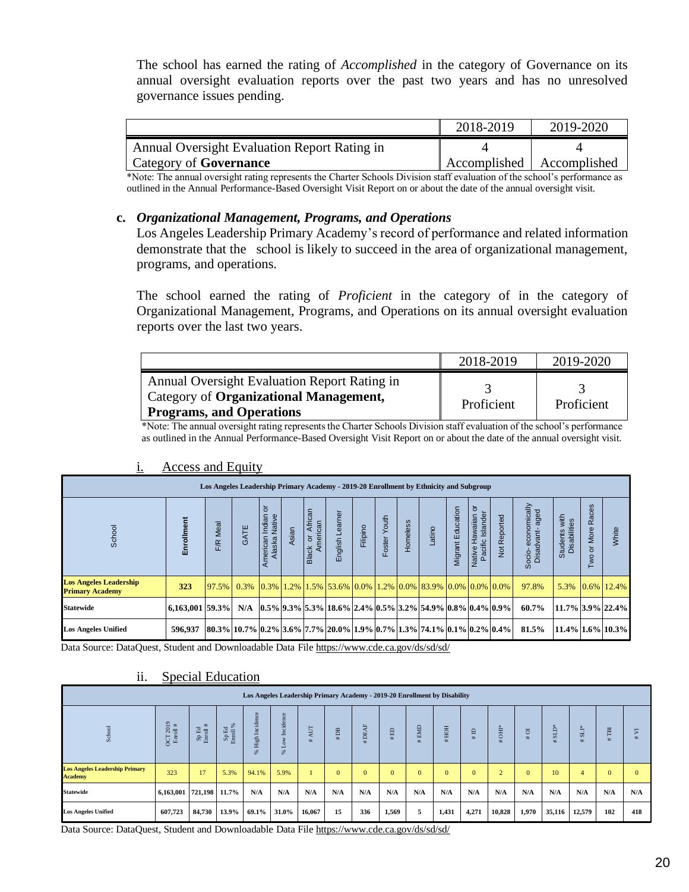The school has earned the rating of *Accomplished* in the category of Governance on its annual oversight evaluation reports over the past two years and has no unresolved governance issues pending.

|                                                     | 2018-2019 | 2019-2020                   |
|-----------------------------------------------------|-----------|-----------------------------|
| <b>Annual Oversight Evaluation Report Rating in</b> |           |                             |
| Category of <b>Governance</b>                       |           | Accomplished   Accomplished |

\*Note: The annual oversight rating represents the Charter Schools Division staff evaluation of the school's performance as outlined in the Annual Performance-Based Oversight Visit Report on or about the date of the annual oversight visit.

#### **c.** *Organizational Management, Programs, and Operations*

Los Angeles Leadership Primary Academy's record of performance and related information demonstrate that the school is likely to succeed in the area of organizational management, programs, and operations.

The school earned the rating of *Proficient* in the category of in the category of Organizational Management, Programs, and Operations on its annual oversight evaluation reports over the last two years.

|                                                                                                                           | 2018-2019  | 2019-2020  |
|---------------------------------------------------------------------------------------------------------------------------|------------|------------|
| Annual Oversight Evaluation Report Rating in<br>Category of Organizational Management,<br><b>Programs, and Operations</b> | Proficient | Proficient |

\*Note: The annual oversight rating represents the Charter Schools Division staff evaluation of the school's performance as outlined in the Annual Performance-Based Oversight Visit Report on or about the date of the annual oversight visit.

|                                                         |                          | Los Angeles Leadership Primary Academy - 2019-20 Enrollment by Ethnicity and Subgroup                                                                                                                                                                                                             |      |                                          |       |                                      |                 |          |              |                 |                                                                                                                                                                                                                                |                   |                        |                           |                                              |                               |                           |               |
|---------------------------------------------------------|--------------------------|---------------------------------------------------------------------------------------------------------------------------------------------------------------------------------------------------------------------------------------------------------------------------------------------------|------|------------------------------------------|-------|--------------------------------------|-----------------|----------|--------------|-----------------|--------------------------------------------------------------------------------------------------------------------------------------------------------------------------------------------------------------------------------|-------------------|------------------------|---------------------------|----------------------------------------------|-------------------------------|---------------------------|---------------|
| School                                                  | Enrollment               | Meal<br><b>F/R</b>                                                                                                                                                                                                                                                                                | GATE | ৯<br>Native<br>ndian<br>erican<br>Alaska | Asian | African<br>American<br>ō<br>ठ<br>Bla | English Learner | Filipino | Foster Youth | <b>domeless</b> | Latino                                                                                                                                                                                                                         | Migrant Education | 5<br>Native Hawaiian o | Reported<br>$\frac{1}{2}$ | economically<br>aged<br>Disadvant-<br>Socio- | Students with<br>Disabilities | Races<br>More<br>ō<br>Two | White         |
| <b>Los Angeles Leadership</b><br><b>Primary Academy</b> | 323                      | $\left[97.5\% \right]$ 0.3% $\left[0.3\% \right]$ 1.2% $\left[1.5\% \right]$ 53.6% $\left[0.0\% \right]$ 1.2% $\left[0.0\% \right]$ 83.9% $\left[0.0\% \right]$ 0.0% $\left[0.0\% \right]$                                                                                                        |      |                                          |       |                                      |                 |          |              |                 |                                                                                                                                                                                                                                |                   |                        |                           | 97.8%                                        | 5.3%                          |                           | $0.6\%$ 12.4% |
| <b>Statewide</b>                                        | $ 6,163,001 59.3\% $ N/A |                                                                                                                                                                                                                                                                                                   |      |                                          |       |                                      |                 |          |              |                 | $ 0.5\% 9.3\% 5.3\% 18.6\% 2.4\% 0.5\% 3.2\% 54.9\% 0.8\% 0.4\% 0.9\% 0.9\% 0.9\% 0.9\% 0.9\% 0.9\% 0.9\% 0.9\% 0.9\% 0.9\% 0.9\% 0.9\% 0.9\% 0.9\% 0.9\% 0.9\% 0.9\% 0.9\% 0.9\% 0.9\% 0.9\% 0.9\% 0.9\% 0.9\% 0.9\% 0.9\% 0$ |                   |                        |                           | 60.7%                                        | $ 11.7\% 3.9\% 22.4\% $       |                           |               |
| <b>Los Angeles Unified</b>                              | 596.937                  | $\left[80.3\% \right]$ $\left[10.7\% \right]$ $\left[0.2\% \right]$ $\left[3.6\% \right]$ $\left[7.7\% \right]$ $\left[20.0\% \right]$ $\left[1.9\% \right]$ $\left[0.7\% \right]$ $\left[1.3\% \right]$ $\left[74.1\% \right]$ $\left[0.1\% \right]$ $\left[0.2\% \right]$ $\left[0.4\% \right]$ |      |                                          |       |                                      |                 |          |              |                 |                                                                                                                                                                                                                                |                   |                        |                           | 81.5%                                        | $ 11.4\% 1.6\% 10.3\% $       |                           |               |

#### i. Access and Equity

| School                                                  | Enrollment           | F/R Meal                                                      | GATE                                                                                                                                                                                               | American Indian<br>Alaska Native | Asian               | Black or African<br>American | English Learner                                                                                                                                                | Filipino         | Foster Youth   | Homeless | Latino       | Migrant Education | Native Hawaiian or<br>Pacific Islander | Not Reported   | Socio-economically<br>Disadvant-aged | Students with<br>Disabilities | Two or More Races | White            |                |
|---------------------------------------------------------|----------------------|---------------------------------------------------------------|----------------------------------------------------------------------------------------------------------------------------------------------------------------------------------------------------|----------------------------------|---------------------|------------------------------|----------------------------------------------------------------------------------------------------------------------------------------------------------------|------------------|----------------|----------|--------------|-------------------|----------------------------------------|----------------|--------------------------------------|-------------------------------|-------------------|------------------|----------------|
| <b>Los Angeles Leadership</b><br><b>Primary Academy</b> | 323                  | 97.5%                                                         | 0.3%                                                                                                                                                                                               |                                  |                     |                              | $\vert 0.3\% \vert 1.2\% \vert 1.5\% \vert 53.6\% \vert 0.0\% \vert 1.2\% \vert 0.0\% \vert 83.9\% \vert 0.0\% \vert 0.0\% \vert 0.0\% \rangle$                |                  |                |          |              |                   |                                        |                | 97.8%                                | 5.3%                          |                   | 0.6% 12.4%       |                |
| <b>Statewide</b>                                        | 6,163,001 59.3%      |                                                               | N/A                                                                                                                                                                                                |                                  |                     |                              | $\left 0.5\% \right  9.3\% \left  5.3\% \right  18.6\% \left  2.4\% \right  0.5\% \left  3.2\% \right  54.9\% \left  0.8\% \right  0.4\% \left  0.9\% \right $ |                  |                |          |              |                   |                                        |                | 60.7%                                |                               |                   | 11.7% 3.9% 22.4% |                |
| <b>Los Angeles Unified</b>                              | 596.937              |                                                               | $\left  80.3\% \right  10.7\% \left  0.2\% \right  3.6\% \left  7.7\% \right  20.0\% \left  1.9\% \right  0.7\% \left  1.3\% \right  74.1\% \left  0.1\% \right  0.2\% \left  0.4\% \right  0.4\%$ |                                  |                     |                              |                                                                                                                                                                |                  |                |          |              |                   |                                        |                | 81.5%                                |                               |                   | 11.4% 1.6% 10.3% |                |
| School                                                  | OCT 2019<br>Enroll # | $_{\rm{Eucol}}^{\rm{SpEd}}$<br>$_{\rm{Euroll}}^{\rm{Sp}\,Ed}$ | % High Incidence                                                                                                                                                                                   |                                  | Low Incidence<br>×. | $\#$ AUT                     | Los Angeles Leadership Primary Academy - 2019-20 Enrollment by Disability<br>#DB                                                                               | <b>DEAF</b><br># | $\Xi$<br>#     |          | $\#$ EMD     | #HOH              | $\pm$ ID                               | $\#$ OHI*      | $\frac{4}{10}$                       | $\mathrm{SLD}^*$<br>#         | $\# SLI^*$        | $\#$ TBI         | #VI            |
| <b>Los Angeles Leadership Primary</b><br><b>Academy</b> | 323                  | 17<br>5.3%                                                    | 94.1%                                                                                                                                                                                              |                                  | 5.9%                | $\mathbf{1}$                 | $\overline{0}$                                                                                                                                                 | $\mathbf{0}$     | $\overline{0}$ |          | $\mathbf{0}$ | $\mathbf{0}$      | $\overline{0}$                         | $\overline{2}$ | $\mathbf{0}$                         | 10                            | $\overline{4}$    | $\overline{0}$   | $\overline{0}$ |
| <b>Statewide</b>                                        | 6,163,001 721,198    | 11.7%                                                         | N/A                                                                                                                                                                                                |                                  | N/A                 | N/A                          | N/A                                                                                                                                                            | N/A              | N/A            |          | N/A          | N/A               | N/A                                    | N/A            | N/A                                  | N/A                           | N/A               | N/A              | N/A            |
| <b>Los Angeles Unified</b>                              | 607,723              | 84,730<br>13.9%                                               | 69.1%                                                                                                                                                                                              |                                  | 31.0%               | 16,067                       | 15                                                                                                                                                             | 336              | 1,569          |          | 5            | 1,431             | 4,271                                  | 10,828         | 1,970                                | 35,116                        | 12,579            | 102              | 418            |

#### ii. Special Education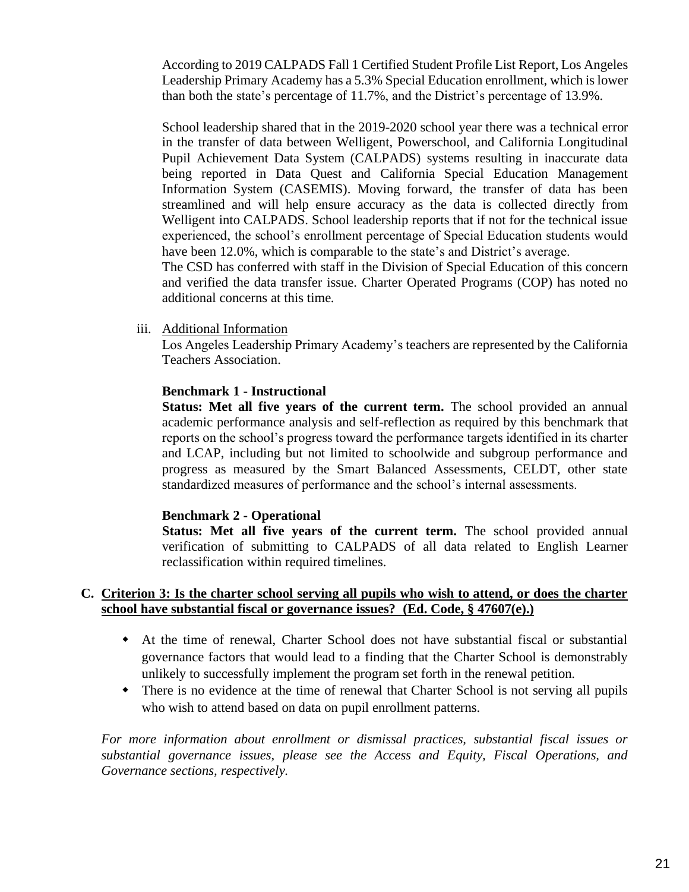According to 2019 CALPADS Fall 1 Certified Student Profile List Report, Los Angeles Leadership Primary Academy has a 5.3% Special Education enrollment, which is lower than both the state's percentage of 11.7%, and the District's percentage of 13.9%.

School leadership shared that in the 2019-2020 school year there was a technical error in the transfer of data between Welligent, Powerschool, and California Longitudinal Pupil Achievement Data System (CALPADS) systems resulting in inaccurate data being reported in Data Quest and California Special Education Management Information System (CASEMIS). Moving forward, the transfer of data has been streamlined and will help ensure accuracy as the data is collected directly from Welligent into CALPADS. School leadership reports that if not for the technical issue experienced, the school's enrollment percentage of Special Education students would have been 12.0%, which is comparable to the state's and District's average.

The CSD has conferred with staff in the Division of Special Education of this concern and verified the data transfer issue. Charter Operated Programs (COP) has noted no additional concerns at this time.

iii. Additional Information

Los Angeles Leadership Primary Academy's teachers are represented by the California Teachers Association.

#### **Benchmark 1 - Instructional**

**Status: Met all five years of the current term.** The school provided an annual academic performance analysis and self-reflection as required by this benchmark that reports on the school's progress toward the performance targets identified in its charter and LCAP, including but not limited to schoolwide and subgroup performance and progress as measured by the Smart Balanced Assessments, CELDT, other state standardized measures of performance and the school's internal assessments.

#### **Benchmark 2 - Operational**

**Status: Met all five years of the current term.** The school provided annual verification of submitting to CALPADS of all data related to English Learner reclassification within required timelines.

#### **C. Criterion 3: Is the charter school serving all pupils who wish to attend, or does the charter school have substantial fiscal or governance issues? (Ed. Code, § 47607(e).)**

- At the time of renewal, Charter School does not have substantial fiscal or substantial governance factors that would lead to a finding that the Charter School is demonstrably unlikely to successfully implement the program set forth in the renewal petition.
- There is no evidence at the time of renewal that Charter School is not serving all pupils who wish to attend based on data on pupil enrollment patterns.

*For more information about enrollment or dismissal practices, substantial fiscal issues or substantial governance issues, please see the Access and Equity, Fiscal Operations, and Governance sections, respectively.*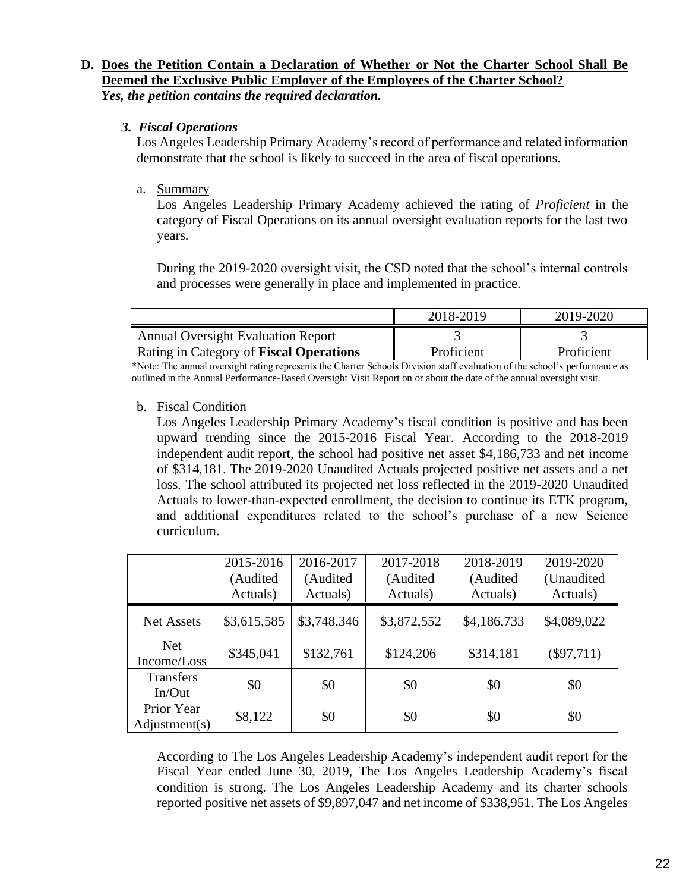#### **D. Does the Petition Contain a Declaration of Whether or Not the Charter School Shall Be Deemed the Exclusive Public Employer of the Employees of the Charter School?**  *Yes, the petition contains the required declaration.*

#### *3. Fiscal Operations*

Los Angeles Leadership Primary Academy's record of performance and related information demonstrate that the school is likely to succeed in the area of fiscal operations.

#### a. Summary

Los Angeles Leadership Primary Academy achieved the rating of *Proficient* in the category of Fiscal Operations on its annual oversight evaluation reports for the last two years.

During the 2019-2020 oversight visit, the CSD noted that the school's internal controls and processes were generally in place and implemented in practice.

|                                           | 2018-2019  | 2019-2020  |
|-------------------------------------------|------------|------------|
| <b>Annual Oversight Evaluation Report</b> |            |            |
| Rating in Category of Fiscal Operations   | Proficient | Proficient |

\*Note: The annual oversight rating represents the Charter Schools Division staff evaluation of the school's performance as outlined in the Annual Performance-Based Oversight Visit Report on or about the date of the annual oversight visit.

b. Fiscal Condition

Los Angeles Leadership Primary Academy's fiscal condition is positive and has been upward trending since the 2015-2016 Fiscal Year. According to the 2018-2019 independent audit report, the school had positive net asset \$4,186,733 and net income of \$314,181. The 2019-2020 Unaudited Actuals projected positive net assets and a net loss. The school attributed its projected net loss reflected in the 2019-2020 Unaudited Actuals to lower-than-expected enrollment, the decision to continue its ETK program, and additional expenditures related to the school's purchase of a new Science curriculum.

|                             | 2015-2016<br>(Audited<br>Actuals) | 2016-2017<br>(Audited<br>Actuals) | 2017-2018<br>(Audited<br>Actuals) | 2018-2019<br>(Audited<br>Actuals) | 2019-2020<br>(Unaudited<br>Actuals) |
|-----------------------------|-----------------------------------|-----------------------------------|-----------------------------------|-----------------------------------|-------------------------------------|
| <b>Net Assets</b>           | \$3,615,585                       | \$3,748,346                       | \$3,872,552                       | \$4,186,733                       | \$4,089,022                         |
| <b>Net</b><br>Income/Loss   | \$345,041                         | \$132,761                         | \$124,206                         | \$314,181                         | $(\$97,711)$                        |
| <b>Transfers</b><br>In/Out  | \$0                               | \$0                               | \$0                               | \$0                               | \$0                                 |
| Prior Year<br>Adjustment(s) | \$8,122                           | \$0                               | \$0                               | \$0                               | \$0                                 |

According to The Los Angeles Leadership Academy's independent audit report for the Fiscal Year ended June 30, 2019, The Los Angeles Leadership Academy's fiscal condition is strong. The Los Angeles Leadership Academy and its charter schools reported positive net assets of \$9,897,047 and net income of \$338,951. The Los Angeles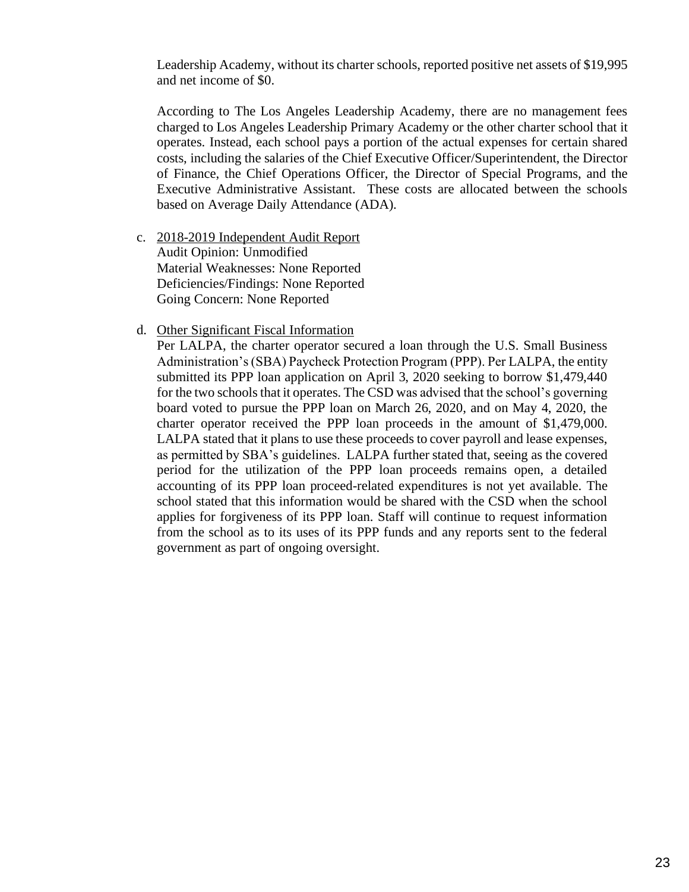Leadership Academy, without its charter schools, reported positive net assets of \$19,995 and net income of \$0.

According to The Los Angeles Leadership Academy, there are no management fees charged to Los Angeles Leadership Primary Academy or the other charter school that it operates. Instead, each school pays a portion of the actual expenses for certain shared costs, including the salaries of the Chief Executive Officer/Superintendent, the Director of Finance, the Chief Operations Officer, the Director of Special Programs, and the Executive Administrative Assistant. These costs are allocated between the schools based on Average Daily Attendance (ADA).

- c. 2018-2019 Independent Audit Report Audit Opinion: Unmodified Material Weaknesses: None Reported Deficiencies/Findings: None Reported Going Concern: None Reported
- d. Other Significant Fiscal Information

Per LALPA, the charter operator secured a loan through the U.S. Small Business Administration's (SBA) Paycheck Protection Program (PPP). Per LALPA, the entity submitted its PPP loan application on April 3, 2020 seeking to borrow \$1,479,440 for the two schools that it operates. The CSD was advised that the school's governing board voted to pursue the PPP loan on March 26, 2020, and on May 4, 2020, the charter operator received the PPP loan proceeds in the amount of \$1,479,000. LALPA stated that it plans to use these proceeds to cover payroll and lease expenses, as permitted by SBA's guidelines. LALPA further stated that, seeing as the covered period for the utilization of the PPP loan proceeds remains open, a detailed accounting of its PPP loan proceed-related expenditures is not yet available. The school stated that this information would be shared with the CSD when the school applies for forgiveness of its PPP loan. Staff will continue to request information from the school as to its uses of its PPP funds and any reports sent to the federal government as part of ongoing oversight.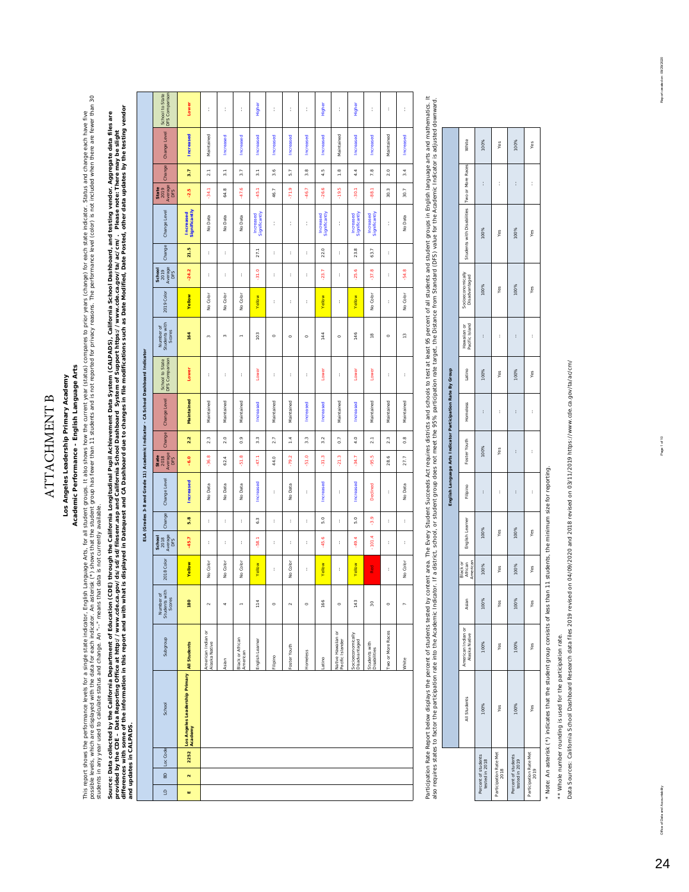### **ATTACHMENT B** ATTACHMENT B

## Los Angeles Leadership Primary Academy **Los Angeles Leadership Primary Academy**

## Academic Performance - English Language Arts **Academic Performance - English Language Arts**

This report shows the performance levels for a single satism froglish Language Arts, for all studies the state of the current year (status) compares to prior years (change) for each state indicator. Status and change each cossible levels, which are data for each indicator. An asterisk (\*) shows that the student group has fewer than 11 students and is not reported for privacy reasons. The performance level (color) is not included when the re This report shows the performance levels for a single state indicator, English Language Arts, for all student groups. It also shows thow the current year (status) compares to prior years (change) for each state indicator. students in any year used to calculate status and change. An "--" means that data is not currently available.

audenta in any year user, used and consider the constrained in the consideration of the main and the state of the main of the main of the main of the main of the main of the main of clusters are considered by the Californ differences with some of the information in this report and with what is displayed in Dataquest and CA Dashboard due to changes in file modifical as Date Modified, Date Posted, other dates by the testing vendor Source: Data collected by the California Department of Education (CDE) through the California Longitudinal Pupil Achievement Data System (CALPADS), California School Dashboard, and testing vendor. Aggregate data files are *provided by the CDE – Data Reporting Office at http://www.cde.ca.gov/ds/sd/sd/filesenr.asp and California School Dashboard System of Support https://www.cde.ca.gov/ta/ac/cm/. Please note: There may be slight and updates in CALPADS.* 

|                                                                                  | School to State<br>DFS Comparison    | Lower                                                  | t                                   | t              | ţ.                           | Higher                     | ť           | t            | t         | Higher                    | ť                                      | Higher                             | t                             | ł                 | ł.            |
|----------------------------------------------------------------------------------|--------------------------------------|--------------------------------------------------------|-------------------------------------|----------------|------------------------------|----------------------------|-------------|--------------|-----------|---------------------------|----------------------------------------|------------------------------------|-------------------------------|-------------------|---------------|
|                                                                                  | Change Level                         | Increased                                              | Maintained                          | Increased      | Increased                    | Increased                  | Increased   | Increased    | Increased | Increased                 | Maintained                             | Increased                          | Increased                     | Maintained        | Increased     |
|                                                                                  | Change                               | 3.7                                                    | 2.1                                 | 3.1            | 3.7                          | 3.1                        | 3.6         | 5.7          | 3.8       | 4.5                       | $\frac{1}{2}$                          | 4.4                                | 7.8                           | 2.0               | 3.4           |
|                                                                                  | Average<br>State<br>2019<br>DFS      | $-2.5$                                                 | $-34.1$                             | 64.8           | $-47.6$                      | $-45.1$                    | 46.7        | $-71.9$      | $-46.7$   | $-26.6$                   | $-19.5$                                | $-30.1$                            | $-88.1$                       | 30.3              | 30.7          |
|                                                                                  | Change Level                         | Significantly<br>Increased                             | No Data                             | No Data        | No Data                      | Increased<br>Significantly | t           | t            | t         | Increased<br>Signifiantly | t                                      | Increased<br>Significantly         | Increased<br>Significantly    | t                 | No Data       |
|                                                                                  | Change                               | 21.5                                                   | ţ.                                  | t              |                              | 27.1                       | t           | ł,           | ţ.        | 22.0                      | ţ.                                     | 23.8                               | 63.7                          | t                 |               |
|                                                                                  | School<br>2019<br>Average<br>DFS     | $-24.2$                                                | ł                                   | t              | ł                            | $-31.0$                    | ł           | ł            | t         | $-23.7$                   | ł                                      | $-25.6$                            | $-37.8$                       | ł                 | $-54.8$       |
|                                                                                  | 2019 Color                           | <b>Yellow</b>                                          | No Color                            | No Color       | No Color                     | Yellow                     | $\mathbf i$ | t            | t         | Yellow                    | t                                      | Yellow                             | No Color                      | ť                 | No Color      |
|                                                                                  | Number of<br>Students with<br>Scores | 164                                                    | $\mathfrak{m}$                      | $\mathfrak{m}$ | $\overline{a}$               | 103                        | $\circ$     | $\circ$      | $\circ$   | 144                       | $\circ$                                | 146                                | $\frac{8}{1}$                 | $\circ$           | $\frac{1}{2}$ |
|                                                                                  | School to State<br>DFS Comparison    | Lower                                                  | t                                   | t              | ţ.                           | Lower                      | t           | t            | t         | Lower                     | t                                      | Lower                              | Lower                         | t                 | t             |
|                                                                                  | Change Level                         | Maintained                                             | Maintained                          | Maintained     | Maintained                   | Increased                  | Maintained  | Maintained   | Increased | Increased                 | Maintained                             | Increased                          | Maintained                    | Maintained        | Maintained    |
|                                                                                  | Change                               | 2.2                                                    | 2.3                                 | 2.0            | $\ddot{\circ}$               | $\frac{3}{3}$              | 2.7         | 1.4          | 3.3       | 3.2                       | 0.7                                    | 4.0                                | $\overline{\phantom{a}}$ 2.1  | 2.3               | 0.8           |
|                                                                                  | State<br>2018<br>Average<br>DFS      | $-6.0$                                                 | $-36.8$                             | 62.4           | $-51.8$                      | $-47.1$                    | 44.0        | $-79.2$      | $-51.0$   | $-31.3$                   | $-21.3$                                | $-34.7$                            | $-95.5$                       | 28.6              | 27.7          |
| ELA (Grades 3-8 and Grade 11) Academic Indicator - CA School Dashboard Indicator | Change Level                         | Increased                                              | No Data                             | No Data        | No Data                      | Increased                  | $\mathbf i$ | No Data      | t         | Increased                 | t                                      | Increased                          | Declined                      | t                 | No Data       |
|                                                                                  | Change                               | 5.8                                                    | ť                                   | t              | ł,                           | 6.3                        | $\mathbf i$ | t            | t         | 5.0                       | ł                                      | 5.0                                | $-3.9$                        | t                 | t             |
|                                                                                  | 2018<br>Average<br>DFS<br>School     | $-45.7$                                                | ť                                   | t              | ţ.                           | $-58.1$                    | ť           | t            | t         | -45.6                     | t                                      | $-49.4$                            | $-101.4$                      | ť                 | t             |
|                                                                                  | 2018 Color                           | <b>Yellow</b>                                          | No Color                            | No Color       | No Color                     | Yellow                     | ť           | No Color     | t         | Yellow                    | ť                                      | Yellow                             | Red                           | ť                 | No Color      |
|                                                                                  | Number of<br>Students with<br>Scores | 180                                                    | $\sim$                              | ¢              | $\overline{a}$               | 114                        | $\circ$     | $\sim$       | $\circ$   | 166                       | $\circ$                                | 143                                | 30                            | $\circ$           | r             |
|                                                                                  | Subgroup                             |                                                        | American Indian or<br>Alaska Native | Asian          | Black or African<br>American | English Learner            | Filipino    | Foster Youth | Homeless  | atino                     | Native Hawailan or<br>Pacific Islander | Socioeconomically<br>Disadvantaged | Students with<br>Disabilities | Two or More Races | White         |
|                                                                                  | School                               | Los Angeles Leadership Primary All Students<br>Academy |                                     |                |                              |                            |             |              |           |                           |                                        |                                    |                               |                   |               |
|                                                                                  | Loc Code                             | 2252                                                   |                                     |                |                              |                            |             |              |           |                           |                                        |                                    |                               |                   |               |
|                                                                                  | 6                                    | $\mathbf{N}$                                           |                                     |                |                              |                            |             |              |           |                           |                                        |                                    |                               |                   |               |
|                                                                                  | $\overline{a}$                       | ш                                                      |                                     |                |                              |                            |             |              |           |                           |                                        |                                    |                               |                   |               |

Participation Rate Report below displays the percent of islanding tested by content area. The Every Student Succeeds Act requires districts and schools to test at least 95 percent of all students and student groups in Engl Participation Rate Report below displays the persent area. The Every sculdents treas. The Every Student Succeeds Act ready inclusions of all students and student groups in English language arts and mathematics. It also requires states to factor the partition rate into the Academic Indication the Academic Indicator, or student group does not meet the 95% participation rate target, the Distance from Standard (DFS) value for the Academ

|                                       |              |                                     |       |                                 |                 |          | English Language Arts Indicator Participation Rate By Group |          |        |                                |                                    |                                              |   |       |
|---------------------------------------|--------------|-------------------------------------|-------|---------------------------------|-----------------|----------|-------------------------------------------------------------|----------|--------|--------------------------------|------------------------------------|----------------------------------------------|---|-------|
|                                       | All Students | American Indian or<br>Alaska Native | Asian | Black or<br>African<br>American | English Learner | Filipino | Foster Youth                                                | Homeless | Latino | Hawaiian or<br>Pacific I sland | Socioeconomically<br>Disadvantaged | Students with Disabilities Two or More Races |   | White |
| Percent of students<br>tested in 2018 | 100%         | 100%                                | 100%  | 100%                            | 100%            | ì        | 100%                                                        | ĵ        | 100%   | ì                              | 100%                               | 100%                                         | ł | 100%  |
| Participation Rate Met<br>2018        | Yes          | Yes                                 | Yes   | Yes                             | Yes             | ì        | Yes                                                         | ì        | Yes    | ì                              | Yes                                | Yes                                          | ì | Yes   |
| Percent of students<br>tested in 2019 | 100%         | 100%                                | 100%  | 100%                            | 100%            | ì        | ĵ                                                           | ì        | 100%   | ì                              | 100%                               | 100%                                         | i | 100%  |
| Participation Rate Met<br>2019        | Yes          | Yes                                 | Yes   | Yes                             | Yes             | ì        | $\ddot{\phantom{0}}$                                        | ì        | Yes    | ì                              | Yes                                | Yes                                          | ì | Yes   |
|                                       |              |                                     |       |                                 |                 |          |                                                             |          |        |                                |                                    |                                              |   |       |

\* Note: An asterisk (\*) indicates that the student group consists of less than 11 students, the minimum size for reporting. \* Note: An asterisk (\*) indicates that the student group consists of less than 11 students, the minimum size for reporting.

\*\* Whole number rounding is used for the participation rate. \*\* Whole number rounding is used for the participation rate.

Data Sources: California School Dashboard Research data files 2019 revised on 04/09/2020 and 2018 revised on 03/11/2019 https://www.cde.ca.gov/ta/ac/cm/ Data Sources: California School Dashboard Research data files 2019 revised on 04/09/2020 and 2018 revised on 03/11/2019 https://www.cde.ca.gov/ta/ac/cm/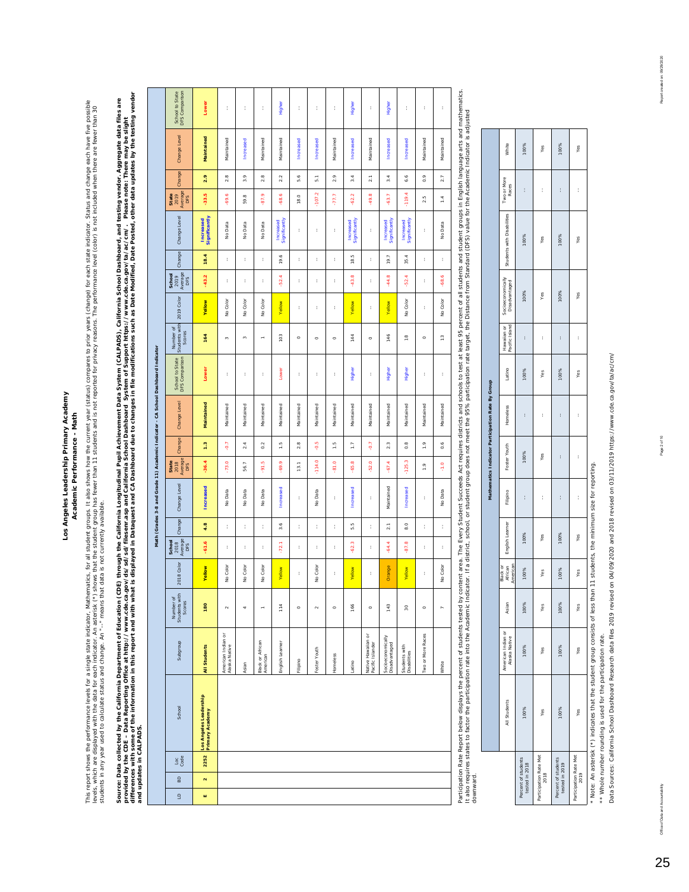#### Los Angeles Leadership Primary Academy **Los Angeles Leadership Primary Academy** Academic Performance - Math **Academic Performance - Math**

This report shows the performance levels for a single state indicator, Mathematics, for all student groups. It also shows how the current year (status) compares to prior years (change) for each state indicator. Status and This report shows the performance levels for a single state indicator, Mathematics, for all student groups. It also shows how the current year (status) compares to prior years (change) for each state indicator. Status and evels, which are displayed with the data for each indicator. An asterist Are student group has fewer than 11 students and is not reported for privacy reasons. The performance level (color) is not included when there are fe students in any year used to calculate status and change. An "--" means that data is not currently available.

Soure: Data collected by the California Department of Education (CDE) through the California Public Market ment Data System (CALPADS), California School Dashboard, and testing vendor. Aggregate data files are<br>provided by t differences with some of the information in this report and with what is displayed in Dataquest and CA Dashboard due to changes in file modifications such as Date Modified, Date Posted, other data updates by the testing ve Source: Data collected by the California Department of Education of Education (CDE) through the Californial Nupli Achievem to Data System (CALPADS), California School Dashboard, and testing vendor. Aggregate data files are *provided by the CDE – Data Reporting Office at http://www.cde.ca.gov/ds/sd/sd/filesenr.asp and California School Dashboard System of Support https://www.cde.ca.gov/ta/ac/cm/. Please note: There may be slight and updates in CALPADS.* 

|              |                                        |                                                                                                                                                                                                                                |                                            |                                             |               |                                  |                  | Math (Grades 3-8 and Grade 11) Academic Indicator - CA School Dashboard Indicator |                                 |                  |              |                                   |                                      |            |                                  |        |                            |                                 |               |                  |                                   |
|--------------|----------------------------------------|--------------------------------------------------------------------------------------------------------------------------------------------------------------------------------------------------------------------------------|--------------------------------------------|---------------------------------------------|---------------|----------------------------------|------------------|-----------------------------------------------------------------------------------|---------------------------------|------------------|--------------|-----------------------------------|--------------------------------------|------------|----------------------------------|--------|----------------------------|---------------------------------|---------------|------------------|-----------------------------------|
| $\mathsf{a}$ | Loc<br>Code<br>$\mathsf{B} \mathsf{D}$ | School                                                                                                                                                                                                                         | Subgroup                                   | Students with<br>Number of<br><b>Scores</b> | 2018 Color    | Average<br>School<br>2018<br>DFS | Change           | Change Level                                                                      | Average<br>2018<br>State<br>DFS | Change           | Change Level | School to State<br>DFS Comparison | Number of<br>Students with<br>Scores | 2019 Color | School<br>2019<br>Average<br>DFS | Change | Change Level               | Average<br>State<br>2019<br>DFS | Change        | Change Level     | School to State<br>DFS Comparison |
| w            | 2252<br>$\mathbf{N}$                   | Los Angeles Leadership<br>Primary Academy                                                                                                                                                                                      | All Students                               | 180                                         | <b>Yellow</b> | $-61.6$                          | 4.8              | Increased                                                                         | $-36.4$                         | 1.3              | Maintained   | Lower                             | 164                                  | Vellow     | $-43.2$                          | 18.4   | Significantly<br>Increased | $-33.5$                         | 2.9           | Maintained       | Lower                             |
|              |                                        |                                                                                                                                                                                                                                | American Indian or<br><b>Vlaska Native</b> | $\sim$                                      | No Color      | t                                | t                | No Data                                                                           | $-73.0$                         | 5                | Maintained   | t                                 | $\mathfrak{m}$                       | No Color   | t                                | ł.     | No Data                    | $-69.6$                         | 2.8           | Maintained       | ł                                 |
|              |                                        |                                                                                                                                                                                                                                | Aslan                                      | 4                                           | No Color      | t                                | t                | No Data                                                                           | 56.7                            | 2.4              | Maintained   | t                                 | $_{\rm eq}$                          | No Color   | ł                                | t      | No Data                    | 59.8                            | 3.9           | Increased        | t                                 |
|              |                                        |                                                                                                                                                                                                                                | Black or African<br>American               | ÷                                           | No Color      | t                                | ţ.               | No Data                                                                           | $-91.5$                         | 0.2              | Maintained   | t                                 | ÷                                    | No Color   | t                                | ł.     | No Data                    | -87.9                           | 2.8           | Maintained       | t                                 |
|              |                                        |                                                                                                                                                                                                                                | English Learner                            | 114                                         | Yellow        | $-72.1$                          | 3.6              | Increased                                                                         | -69.9                           | 1.5              | Maintained   | Lower                             | 103                                  | Yellow     | $-52.4$                          | 19.6   | Increased<br>Significantly | -68.6                           | 2.2           | Maintained       | Higher                            |
|              |                                        |                                                                                                                                                                                                                                | · ilipino                                  | $\circ$                                     | ł             | ţ.                               | ţ.               | ţ.                                                                                | 13.1                            | 2.8              | Maintained   | ţ.                                | $\circ$                              | t          | t                                | ţ.     | ţ.                         | 18.0                            | 5.6           | Increased        | ţ.                                |
|              |                                        |                                                                                                                                                                                                                                | oster Youth                                | $\sim$                                      | No Color      | t                                | t                | No Data                                                                           | $-114.0$                        | $-0.5$           | Maintained   | t                                 | $\circ$                              | t          | t                                | t      | t                          | $-107.2$                        | $\frac{1}{5}$ | Increased        | t                                 |
|              |                                        |                                                                                                                                                                                                                                | <b>Homeless</b>                            | $\circ$                                     | t             | ţ.                               | ţ.               | t                                                                                 | -81.0                           | $\frac{5}{1}$    | Maintained   | t                                 | $\circ$                              | t          | t                                | ţ.     | t                          | $-77.7$                         | 2.9           | Maintained       | t                                 |
|              |                                        |                                                                                                                                                                                                                                | atino                                      | 166                                         | Yellow        | $-62.3$                          | $5.\overline{5}$ | Increased                                                                         | $-65.8$                         | $\overline{1}$ . | Maintained   | Higher                            | 144                                  | Yellow     | $-43.8$                          | 18.5   | Significantly<br>Increased | $-62.2$                         | 3.4           | Increased        | Higher                            |
|              |                                        |                                                                                                                                                                                                                                | Vative Hawailan or<br>Pacific Islander     | $\circ$                                     | t             | t                                | t                | t                                                                                 | $-52.0$                         | Ş                | Maintained   | t                                 | $\circ$                              | t          | t                                | t      | t                          | $-49.8$                         | 2.1           | Maintained       | t                                 |
|              |                                        |                                                                                                                                                                                                                                | Socioeconomically<br>bestracked            | 143                                         | Orange        | $-64.4$                          | $\overline{21}$  | Maintained                                                                        | $-67.4$                         | 2.3              | Maintained   | Higher                            | 146                                  | Yellow     | $-44.8$                          | 19.7   | Increased<br>Significantly | $-63.7$                         | 3.4           | Increased        | Higher                            |
|              |                                        |                                                                                                                                                                                                                                | Students with<br><b>bisabilities</b>       | g                                           | Yellow        | œ<br>-97,                        | 8.0              | Increased                                                                         | $-125.3$                        | $0.\overline{8}$ | Maintained   | Higher                            | $\frac{8}{1}$                        | No Color   | $-52.4$                          | 35.4   | Increased<br>Significantly | $-119.4$                        | 6.6           | <b>Increased</b> | t                                 |
|              |                                        |                                                                                                                                                                                                                                | Two or More Races                          | $\circ$                                     | t             | t                                | ţ                | t                                                                                 | $\frac{9}{1}$                   | $\ddot{ }$ .     | Maintained   | t                                 | $\circ$                              | t          | t                                | ł.     | t                          | 2.5                             | 0.9           | Maintained       | ł                                 |
|              |                                        |                                                                                                                                                                                                                                | White                                      | $\overline{a}$                              | No Color      | t                                | t                | No Data                                                                           | $-1.0$                          | 0.6              | Maintained   | t                                 | $\frac{1}{2}$                        | No Color   | -68.6                            | t      | No Data                    | 1.4                             | 2.7           | Maintained       | ł,                                |
|              |                                        | Participation Rate Report below displays the percept of students issted by content area. The Every Student Succeeds Act requires districts and schools to test at least 05 percept of all students and original modis and math |                                            |                                             |               |                                  |                  |                                                                                   |                                 |                  |              |                                   |                                      |            |                                  |        |                            |                                 |               |                  |                                   |

Participation Rate Report below displays the percent of students tested by content area. The Every Student Succeeds Act requires districts and schools to test at least 95 percent of all students and student groups in Engli r entiquented responses the person of suderits research relations and a substrated a substrated the propose the strategies in a substrate form Standard (DFS) value for the Academic Indicator is adjusted about a disponsible it also requires states to factor the particulator. If a district, school, or student group does not meet the 95% participation rate target, the Distance from Standard (DFS) value for the Academic Indicator is adjusted downward.

|                                       |              |                                       |       |                                |                 |          | Mathematics Indicator Participation Rate By Group |          |        |                               |                                    |                                           |   |       |
|---------------------------------------|--------------|---------------------------------------|-------|--------------------------------|-----------------|----------|---------------------------------------------------|----------|--------|-------------------------------|------------------------------------|-------------------------------------------|---|-------|
|                                       | All Students | American Indian or<br>  Alaska Native | Asian | Mrican<br>American<br>Black or | English Learner | Filipino | Foster Youth                                      | Homeless | Latino | Hawaiian or<br>Pacific Island | Socioeconomically<br>Disadvantaged | Students with Disabilities    Two or More |   | White |
| Percent of students<br>tested in 2018 | 100%         | 100%                                  | 100%  | 100%                           | 100%            | ì        | 100%                                              | ł        | 100%   | ł                             | 100%                               | 100%                                      | ł | 100%  |
| Participation Rate Met<br>2018        | Yes          | Yes                                   | Yes   | Yes                            | Yes             | ł        | Yes                                               | ì        | Yes    | ì                             | Yes                                | Yes                                       | ł | Yes   |
| Percent of students<br>tested in 2019 | 100%         | 100%                                  | 100%  | 100%                           | 100%            | ì        | Í                                                 | ł        | 100%   | ł                             | 100%                               | 100%                                      | ł | 100%  |
| Participation Rate Met<br>2019        | Yes          | Yes                                   | Yes   | Yes                            | Yes             | ì        | ĵ                                                 | ł        | Yes    | ì                             | Yes                                | Yes                                       | ĵ | Yes   |

 $\overline{\phantom{0}}$ T  $\mathcal{L}_{\mathcal{A}}$ ٦

Τ

r Note: An asterisk (\*) indicates that the student group consists of less than 11 students, the minimum size for reporting. \* Note: An asterisk (\*) indicates that the student group consists of less than 11 students, the minimum size for reporting.

\*\* Whole number rounding is used for the participation rate. \*\* Whole number rounding is used for the participation rate.

Data Sources: California School Dashboard Research data files 2019 revised on 04/09/2020 and 2018 revised on 03/11/2019 https://www.cde.ca.gov/ta/ac/cm/ Data Sources: California School Dashboard Research data files 2019 revised on 04/09/2020 and 2018 revised on 03/11/2019 https://www.cde.ca.gov/ta/ac/cm/

25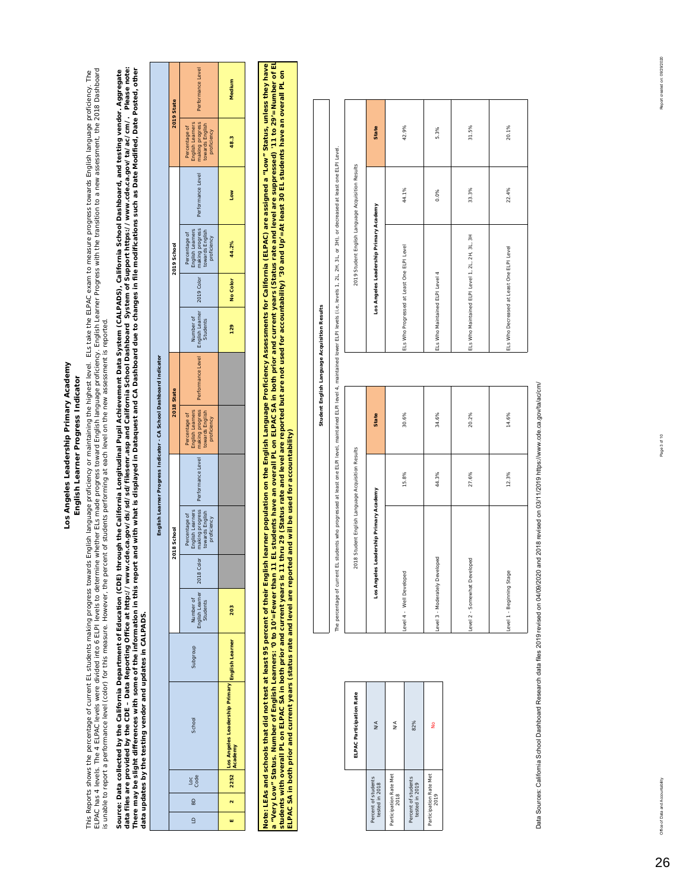### Los Angeles Leadership Primary Academy **Los Angeles Leadership Primary Academy** English Learner Progress Indicator **English Learner Progress Indicator**

This Reports shows the percentage of current EL students making progress towards English language proficiency flo<br>ELPAC has 4 levels. The 4 ELPAC levels were divided into 6 ELPI levels to determine whether ELs made progres ELPAC has 4 ELPAC levels were divided into 6 ELPI levels to determine whether ELs made progress to anguage proficiency. English Learner Progress with the transition to a new assessment, the 2018 Dashdoard This Reports shows the percentage of currents making progress rowards English language proficiency or maintaining the highest level. ELs take the ELPAC exam to measure progress towards English language proficiency. The is unable to report a performance level (color) for this measure. However, the percent of students performing at each level on the new assessment is reported.

*data files are provided by the CDE – Data Reporting Office at http://www.cde.ca.gov/ds/sd/sd/filesenr.asp and California School Dashboard System of Support https://www.cde.ca.gov/ta/ac/cm/. Please note:*  Source: Data collected by the California Department of Education (CDE) through the California Longitudinal Pupil Achievement Data System (CALPADS), California School Dashboard, and testing vendor. Aggregate<br>data files are *There may be slight differences with some of the information in this report and with what is displayed in Dataquest and CA Dashboard due to changes in file modifications such as Date Modified, Date Posted, other Source: Data collected by the California Department of Education (CDE) through the California Longitudinal Pupil Achievement Data System (CALPADS), California School Dashboard, and testing vendor. Aggregate data updates by the testing vendor and updates in CALPADS.*  data updates by the testing vendor and updates in CALPADS.

|                                                                    | 2019 State  | Performance Level                                                                      | Medium                                                                 |
|--------------------------------------------------------------------|-------------|----------------------------------------------------------------------------------------|------------------------------------------------------------------------|
|                                                                    |             | making progress<br>English Learners<br>towards English<br>Percentage of<br>proficiency | 48.3                                                                   |
|                                                                    |             | Performance Level                                                                      | Low                                                                    |
|                                                                    | 2019 School | making progress<br>Percentage of<br>English Learners<br>towards English<br>proficiency | 44.2%                                                                  |
|                                                                    |             |                                                                                        | No Color                                                               |
|                                                                    |             | Number of<br><b>Students</b>                                                           | 129                                                                    |
| English Learner Progress Indicator - CA School Dashboard Indicator | 2018 State  | Performance Level English Learner 2019 Color                                           |                                                                        |
|                                                                    |             | making progress<br>english Learners<br>towards English<br>Percentage of<br>proficiency |                                                                        |
|                                                                    |             | Performance Level                                                                      |                                                                        |
|                                                                    | 2018 School | making progress<br>English Learners<br>Percentage of<br>towards English<br>proficiency |                                                                        |
|                                                                    |             | <b>2018 Col</b>                                                                        |                                                                        |
|                                                                    |             | Number of<br>English Learner   2<br>Students                                           | 203                                                                    |
|                                                                    |             | dno.ban                                                                                |                                                                        |
|                                                                    |             | School                                                                                 | Los Angeles Leadership Primary <mark>English Learner</mark><br>Academy |
|                                                                    |             | Loge<br>Code                                                                           | 2252                                                                   |
|                                                                    |             | 60                                                                                     | $\mathbf{\hat{z}}$                                                     |
|                                                                    |             | ≘                                                                                      |                                                                        |

**a "Very Low" Status. Number of English Learners: '0 to 10'=Fewer than 11 EL students have an overall PL on ELPAC SA in both prior and current years (Status rate and level are suppressed) '11 to 29'=Number of EL Note: LEAs and schools that did not test at least 95 percent of their English learner population on the English Language Proficiency Assessments for California (ELPAC) are assigned a "Low" Status, unless they have**  a "Very Low" Status. Number of English Learners: '0 to 10'=Fewer than 11 EL students have an oerall PL on ELPAC SA in both prior and current years (Status rate and level are suppressed) '11 to 29'=Number of EL<br>students wi ote: LEAs and schools that did not test tast 95 percent of their English learner population on the English Language Proficiency Assessments for California (ELPAC) are assigned a "Low" Status, unless they have **students with overall PL on ELPAC SA in both prior and current years is 11 thru 29 (Status rate and level are reported but are not used for accountability) '30 and Up'=At least 30 EL students have an overall PL on ELPAC SA in both prior and current years (status rate and level are reported and will be used for accountability)** 

|                                       | ELPAC Participation Rate |
|---------------------------------------|--------------------------|
| Percent of students<br>tested in 2018 | N/A                      |
| Participation Rate Met<br>2018        | ∕∕k                      |
| Percent of students<br>tested in 2019 | 82%                      |
| Participation Rate Met<br>2019        | å                        |

| I<br>$\overline{\phantom{a}}$<br>l<br>֚֬<br>֕<br>b<br>l<br>í |  |
|--------------------------------------------------------------|--|
|                                                              |  |
|                                                              |  |
|                                                              |  |

The percentage of current EL students who progressed at least one ELPI level, maintained ELPI level 4, maintained lower ELPI levels (i.e, levels 1, 2L, 2H, 3L, or 3H), or decreased at least one ELPI Level. The percentage of current EL students who progressed at least one ELPI level, maintained ELPI level 4, maintained lower ELPI levels (i.e., levels 1, 2L, 2H, 3L, or 3H), or decreased at least one ELPI Level

| 2018 Student English Language Acquisition Results |       |              | 2019 Student English Language Acquisition Results |         |       |
|---------------------------------------------------|-------|--------------|---------------------------------------------------|---------|-------|
| Los Angeles Leadership Primary Academy            |       | <b>State</b> | Los Angeles Leadership Primary Academy            |         | State |
| Level 4 - Well Developed                          | 15.8% | 30.6%        | ELs Who Progressed at Least One ELPI Level        | 44.1%   | 42.9% |
| Level 3 - Moderately Developed                    | 44.3% | 34.6%        | ELs Who Maintained ELPI Level 4                   | $0.0\%$ | 5.3%  |
| Level 2 - Somewhat Developed                      | 27.6% | 20.2%        | ELs Who Maintained ELPI Level 1, 2L, 2H, 3L, 3H   | 33.3%   | 31.5% |
| Level 1 - Beginning Stage                         | 12.3% | 14.6%        | ELs Who Decreased at Least One ELPI Level         | 22.4%   | 20.1% |
|                                                   |       |              |                                                   |         |       |

42.9%

5.3%

31.5%

20.1%

Data Sources: California School Dashboard Research data files 2019 revised on 04/09/2020 and 2018 revised on 03/11/2019 https://www.cde.ca.gov/ta/ac/cm/ Data Sources: California School Dashboard Research data files 2019 revised on 04/09/2020 and 2018 revised on 03/11/2019 https://www.cde.ca.gov/ta/ac/cm/

26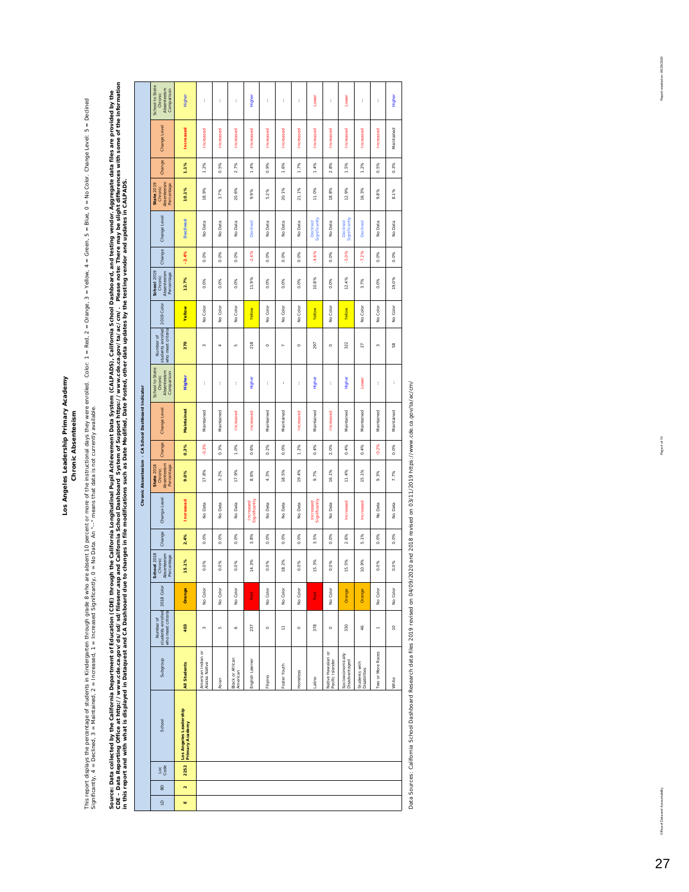#### Los Angeles Leadership Primary Academy **Los Angeles Leadership Primary Academy Chronic Absenteeism Chronic Absenteeism**

This report displays the percentage of students in Kholegarten through grade & when on the instructional days they were enrolled. Color: 1 = Red, 2 = Vellow, 4 = Green, 5 = Blue, 0 = No Color. Change Level: 5 = Declined.<br> This report displays the partents in Kindergarten through grade 8 who are absent 10 percent or more of the instructional days they were enrolled. Color: 1 = Red, 2 = Crange, 3 = Yellow, 4 = Green, 5 = Blue, 0 = No Color. C Significantly, 4 = Declined, 3 = Maintained, 2 = Increased, 1 = Increased Significantly, 0 = No Data. An "--" means that data is not currently available.

Source: Data collected by the California Department of Education (CDE) through the California Pupil Achievement Data System (CALPADS), California School Dashboard, and testing vendor. Aggregate data files are provided by t Data Reporting Office at http://www.cde.ca.gov/ds/sd/sliksenr.asp and California School Dashboard System of System of System of System of System of System of System of System of System of System of System of System of Syst Source: Data collected by the California Department of Education (CDE) through the California Longit ifornia Unglit Achievem (CALPADS), California School Dashboard, and testing vendor. Aggregate data files are provided by *in this report and with what is displayed in Dataquest and CA Dashboard due to changes in file modifications such as Date Modified, Date Posted, other data updates by the testing vendor and updates in CALPADS.* 

 $\mathbf{I}$ 

|                                                     | School to State<br>Absenteeism<br>Comparison<br>Chronic        | Higher                                    | ł                                   | ł                | t                            | Higher                     | t          | ţ            | ł         | Lower                      | ţ                                      | Lower                              | ł                             | t                 | Higher        |
|-----------------------------------------------------|----------------------------------------------------------------|-------------------------------------------|-------------------------------------|------------------|------------------------------|----------------------------|------------|--------------|-----------|----------------------------|----------------------------------------|------------------------------------|-------------------------------|-------------------|---------------|
|                                                     | Change Level                                                   | Increased                                 | Increased                           | <b>Increased</b> | <b>Increased</b>             | Increased                  | Increased  | Increased    | Increased | Increased                  | <b>Increased</b>                       | Increased                          | Increased                     | Increased         | Maintained    |
|                                                     | Change                                                         | 1.1%                                      | $1.2\%$                             | 0.5%             | 2.7%                         | 1.4%                       | 0.9%       | 1.6%         | 1.7%      | 1.4%                       | 2.8%                                   | 1.5%                               | 1.2%                          | 0.5%              | 0.3%          |
|                                                     | Absenteeism<br>Percentage<br><b>State 2019</b><br>Chronic      | 10.1%                                     | 18.9%                               | 3.7%             | 20.6%                        | 9.9%                       | 5.2%       | 20.1%        | 21.1%     | 11.0%                      | 18.8%                                  | 12.9%                              | 16.3%                         | 9.8%              | 8.1%          |
|                                                     | Change Level                                                   | <b>Declined</b>                           | No Data                             | No Data          | No Data                      | Declined                   | No Data    | No Data      | No Data   | Significantly<br>Declined  | No Data                                | Significantly<br>Declined          | Declined                      | No Data           | No Data       |
|                                                     | Change                                                         | $-2.4%$                                   | 0.0%                                | 0.0%             | 0.0%                         | $-2.4%$                    | 0.0%       | 0.0%         | 0.0%      | $-4.6%$                    | 0.0%                                   | $-3.0%$                            | $-7.2%$                       | 0.0%              | 0.0%          |
|                                                     | School 2019<br>Absenteeism<br>Percentage<br>Chronic            | 12.7%                                     | 0.0%                                | 0.0%             | 0.0%                         | 11.9%                      | 0.0%       | 0.0%         | 0.0%      | 10.8%                      | 0.0%                                   | 12.4%                              | 3.7%                          | 0.0%              | 19.0%         |
|                                                     | 2019 Color                                                     | Yellow                                    | No Color                            | No Color         | No Color                     | Yellow                     | No Color   | No Color     | No Color  | Yellow                     | No Color                               | Yellow                             | No Color                      | No Color          | No Color      |
|                                                     | students enrolled<br>who meet criteria<br>Number of            | 370                                       | $\infty$                            | q                | in.                          | 218                        | $\circ$    | b,           | $\circ$   | 297                        | $\circ$                                | 322                                | 27                            | ø                 | $\frac{8}{2}$ |
|                                                     | School to State<br>Absenteeism<br>Comparison<br>Chronic        | Higher                                    | t                                   | t                | t                            | Higher                     | t          | t            | ţ         | Higher                     | t                                      | Higher                             | Lower                         | t                 | t             |
| Chronic Absenteeism - CA School Dashboard Indicator | Change Level                                                   | Maintained                                | Maintained                          | Maintained       | Increased                    | <b>Increased</b>           | Maintained | Maintained   | Increased | Maintained                 | <b>Increased</b>                       | Maintained                         | Maintained                    | Maintained        | Maintained    |
|                                                     | Change                                                         | 0.3%                                      | $-0.3%$                             | 0.3%             | 1.0%                         | 0.6%                       | $2\%$<br>ó | 0.0%         | 1.2%      | 0.4%                       | 2.0%                                   | 0.4%                               | 4%<br>ó                       | $-0.2%$           | 0.0%          |
|                                                     | Absenteeism<br>State 2018<br>Percentage<br>Chronic             | 9.0%                                      | 17.8%                               | 3.2%             | 17.9%                        | 8.6%                       | 4.3%       | 18.5%        | 19.4%     | 9.7%                       | 16.1%                                  | 11.4%                              | 15, 1%                        | 9.3%              | 7.7%          |
|                                                     | Change Level                                                   | Increased                                 | No Data                             | No Data          | No Data                      | Significantly<br>Increased | No Data    | No Data      | No Data   | Increased<br>Significantly | No Data                                | Increased                          | <b>Increased</b>              | No Data           | No Data       |
|                                                     | Change                                                         | 2.4%                                      | 0.0%                                | 0.0%             | 0.0%                         | 3.8%                       | 0.0%       | 0.0%         | 0.0%      | 3.5%                       | 0.0%                                   | 2.6%                               | 5,1%                          | 0.0%              | 0.0%          |
|                                                     | <b>School 2018</b><br>Absenteeism<br>Percentage<br>Chronic     | 15.1%                                     | 0.0%                                | 0.0%             | 0.0%                         | 14.3%                      | 0.0%       | 18.2%        | 0.0%      | 15.3%                      | 0.0%                                   | 15.5%                              | 10.9%                         | 0.0%              | 0.0%          |
|                                                     |                                                                | Orange                                    | No Color                            | No Color         | No Color                     | Red                        | No Color   | No Color     | No Color  | Red                        | No Color                               | Orange                             | Orange                        | No Color          | No Color      |
|                                                     | students enrolled 2018 Color<br>who meet criteria<br>Number of | 403                                       | $\tilde{ }$                         | LD)              | ¢                            | 237                        | $\circ$    | F            | $\circ$   | 378                        | $\circ$                                | 330                                | 46                            | $\overline{a}$    | $\mathsf{P}$  |
|                                                     | dno.bqns                                                       | All Students                              | American Indian or<br>Alaska Native | Asian            | Black or African<br>American | English Learner            | Filipino   | Foster Youth | Homeless  | Latino                     | Native Hawaiian or<br>Pacific Islander | Socioeconomically<br>Disadvantaged | Students with<br>Disabilities | Two or More Races | White         |
|                                                     | School                                                         | Los Angeles Leadership<br>Primary Academy |                                     |                  |                              |                            |            |              |           |                            |                                        |                                    |                               |                   |               |
|                                                     | $rac{1}{3}$                                                    | 2252                                      |                                     |                  |                              |                            |            |              |           |                            |                                        |                                    |                               |                   |               |
|                                                     | 60                                                             | $\mathbf{\tilde{z}}$                      |                                     |                  |                              |                            |            |              |           |                            |                                        |                                    |                               |                   |               |
|                                                     | $\overline{a}$                                                 | w                                         |                                     |                  |                              |                            |            |              |           |                            |                                        |                                    |                               |                   |               |
|                                                     |                                                                |                                           |                                     |                  |                              |                            |            |              |           |                            |                                        |                                    |                               |                   |               |

Data Sources: California School Dashboard Research data files 2019 revised on 04/09/2020 and 2018 revised on 03/11/2019 https://www.cde.ca.gov/ta/ac/cm/ Data Sources: California School Dashboard Research data files 2019 revised on 04/09/2020 and 2018 revised on 03/11/2019 https://www.cde.ca.gov/ta/ac/cm/ Report created on: 09/29/2020

Office of Data and Accountability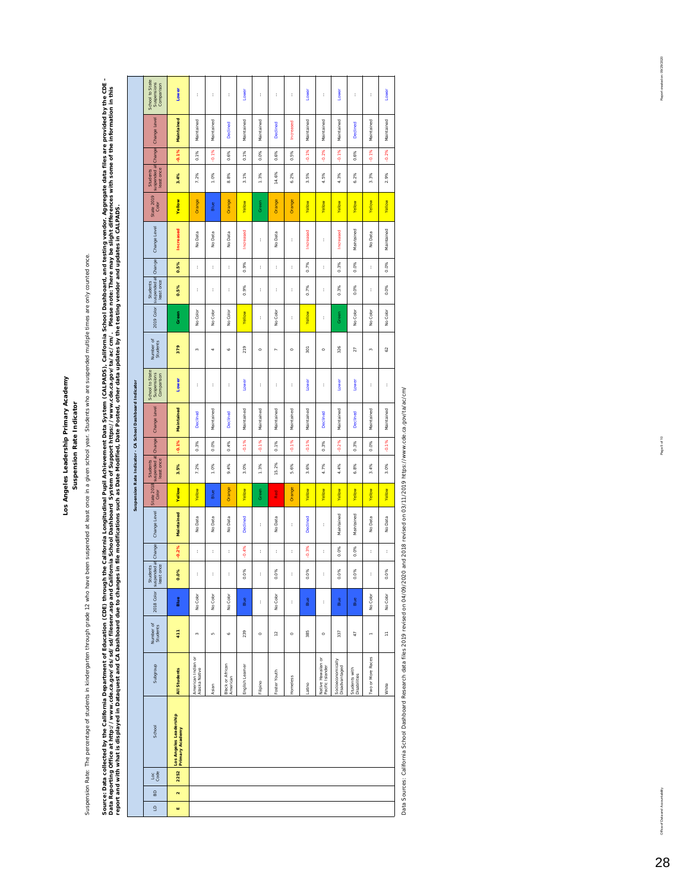Los Angeles Leadership Primary Academy **Los Angeles Leadership Primary Academy** Suspension Rate Indicator **Suspension Rate Indicator**

Suspension Rate: The percentage of students in kindergarten through grade 12 who have been suspended at least once in a given school year. Students who are suspended multiple times are only counted once. Suspension Rate: The percentage of students in kindergarten through grade 12 who have been suspended at least once in a given school year. Students who are suspended multiple times are only counted once. Source: Data collected by the California Department of Education (CDE) throught the Collectional Pupil Achievement Data System (CALPADS), California School Dashboard, and testing vendor. Aggregate data files are provided b Source: Data collected by the California Department of Education (CDE) through the California Longitudinal Pupil Achievement Data System (CALPADS), California School Dashboard, and testing vendor. Aggregate data files are Data Reporting Office at http://www.cde.ca.gov/ds/sd/silesenr.asp and California School Dashboard System of Support https://www.cde.ca.gov/ta/ac/cm/. Please note: There may be slight differences with some of the informatio

|                                                                                                                                                                                                           |                                                           | School to State<br>Suspensions<br>Comparison<br>Change Level<br>suspended at Change<br>least once<br>Students<br>State 2019<br>Color<br>Change Level<br>Students<br>suspended at Change | Lower<br>Maintained<br>$-0.1%$<br>3.4%<br>Yellow<br><b>Increased</b><br>0.5% | t<br>Maintained<br>0.1%<br>7.2%<br>Orange<br>No Data<br>t | t<br>Maintained<br>$-0.1%$<br>1.0%<br>Blue<br>No Data<br>t | t<br><b>Declined</b><br>0.6%<br>8.8%<br>Orange<br>No Data<br>$\mathfrak{t}$ | Lower<br>Maintained<br>0.1%<br>3.1%<br>Yellow<br><b>Increased</b><br>0.9% | t<br>Maintained<br>0.0%<br>1.3%<br>Green<br>t<br>t | t<br><b>Declined</b><br>0.6%<br>14.6%<br>Orange<br>No Data<br>t | t<br>Increased<br>0.5%<br>6.2%<br>Orange<br>t<br>t | Lower<br>Maintained<br>$-0.1%$<br>3.5%<br>Yellow<br>Increased<br>0.7% | ł<br>Maintained<br>$-0.2%$<br>4.5%<br>Yellow<br>t<br>t | Lower<br>Maintained<br>$-0.1%$<br>4.3%<br>Yellow<br>Increased<br>0.3% | t<br>Declined<br>0.6%<br>6.2%<br>Yellow<br>Maintained<br>0.0% | t<br>Maintained<br>$-0.1%$<br>3.3%<br>Yellow<br>No Data<br>t | Lower<br>Maintained<br>$-0.2%$<br>2.9%<br>Yellow<br>Maintained<br>$0.0\%$ |
|-----------------------------------------------------------------------------------------------------------------------------------------------------------------------------------------------------------|-----------------------------------------------------------|-----------------------------------------------------------------------------------------------------------------------------------------------------------------------------------------|------------------------------------------------------------------------------|-----------------------------------------------------------|------------------------------------------------------------|-----------------------------------------------------------------------------|---------------------------------------------------------------------------|----------------------------------------------------|-----------------------------------------------------------------|----------------------------------------------------|-----------------------------------------------------------------------|--------------------------------------------------------|-----------------------------------------------------------------------|---------------------------------------------------------------|--------------------------------------------------------------|---------------------------------------------------------------------------|
|                                                                                                                                                                                                           |                                                           | 2019 Color<br>Number of<br>Students                                                                                                                                                     | Green<br>379                                                                 | No Color<br>$\infty$                                      | No Color<br>÷                                              | No Color<br>ó                                                               | Yellow<br>219                                                             | ł<br>$\circ$                                       | No Color<br>$\sim$                                              | t<br>$\circ$                                       | Yellow<br>$\overline{5}$                                              | ł<br>$\circ$                                           | Green<br>326                                                          | No Color<br>$\overline{27}$                                   | No Color<br>$\sim$                                           | No Color<br>62                                                            |
|                                                                                                                                                                                                           |                                                           | School to State<br>Suspensions<br>Comparison                                                                                                                                            | Lower                                                                        | ł                                                         | t                                                          | t                                                                           | Lower                                                                     | ł                                                  | t                                                               | t                                                  | Lower                                                                 | ł                                                      | Lower                                                                 | Lower                                                         | t                                                            | t                                                                         |
|                                                                                                                                                                                                           | Suspension Rate Indicator - CA School Dashboard Indicator | Change Level                                                                                                                                                                            | Maintained<br>$-0.1%$                                                        | Declined<br>0.3%                                          | Maintained<br>0.0%                                         | Declined<br>0.4%                                                            | Maintained<br>$-0.1%$                                                     | Maintained<br>$-0.1%$                              | Maintained<br>0.1%                                              | Maintained<br>$-0.1%$                              | Maintained<br>$-0.1%$                                                 | <b>Declined</b><br>0.3%                                | Maintained<br>$-0.2%$                                                 | Declined<br>0.3%                                              | Maintained<br>0.0%                                           | Maintained<br>$-0.1%$                                                     |
|                                                                                                                                                                                                           |                                                           | suspended at Change<br>least once<br>Students                                                                                                                                           | 3.5%                                                                         | 7.2%                                                      | 1.0%                                                       | 9.4%                                                                        | 3.0%                                                                      | 1.3%                                               | 15.2%                                                           | 5.6%                                               | 3.6%                                                                  | 4.7%                                                   | 4.4%                                                                  | 6.8%                                                          | 3.4%                                                         | 3.0%                                                                      |
|                                                                                                                                                                                                           |                                                           | <b>State 2018</b><br>Color                                                                                                                                                              | <b>Yellow</b>                                                                | Yellow                                                    | Blue                                                       | Orange                                                                      | Yellow                                                                    | Green                                              | Red                                                             | Orange                                             | Yellow                                                                | Yellow                                                 | Yellow                                                                | Yellow                                                        | Yellow                                                       | Yellow                                                                    |
|                                                                                                                                                                                                           |                                                           | Change Level                                                                                                                                                                            | Maintained                                                                   | No Data                                                   | No Data                                                    | No Data                                                                     | Declined                                                                  | t                                                  | No Data                                                         | t                                                  | <b>Declined</b>                                                       | t                                                      | Maintained                                                            | Maintained                                                    | No Data                                                      | No Data                                                                   |
|                                                                                                                                                                                                           |                                                           |                                                                                                                                                                                         | $-0.2%$                                                                      | t                                                         | t                                                          | t                                                                           | $-0.4%$                                                                   | t                                                  | ţ.                                                              | t                                                  | $-0.3%$                                                               | t                                                      | 0.0%                                                                  | 0.0%                                                          | ł.                                                           | t                                                                         |
|                                                                                                                                                                                                           |                                                           | least once                                                                                                                                                                              | 0.0%                                                                         | î                                                         | ţ                                                          | ĵ                                                                           | 0%<br>Ó                                                                   |                                                    | 0%<br>ó                                                         | ĵ                                                  | 0%<br>ó                                                               | ţ                                                      | 0%<br>ø                                                               | 0%<br>Ó                                                       | ĵ                                                            | 0%<br>Ó                                                                   |
|                                                                                                                                                                                                           |                                                           | Students<br>2018 Color suspended at Change                                                                                                                                              | Blue                                                                         | No Color                                                  | No Color                                                   | No Color                                                                    | Blue                                                                      | ł                                                  | No Color                                                        | t                                                  | Blue                                                                  | t                                                      | Blue                                                                  | Blue                                                          | No Color                                                     | No Color                                                                  |
|                                                                                                                                                                                                           |                                                           | Number of<br>Students                                                                                                                                                                   | 411                                                                          | $\infty$                                                  | in,                                                        | ó                                                                           | 239                                                                       | $\circ$                                            | $\tilde{c}$                                                     | $\circ$                                            | 385                                                                   | $\circ$                                                | 337                                                                   | Ç                                                             | ÷                                                            | Ξ                                                                         |
|                                                                                                                                                                                                           |                                                           | Subgroup                                                                                                                                                                                | All Students                                                                 | American Indian or<br>Alaska Native                       | Asian                                                      | Black or African<br>American                                                | English Learner                                                           | Filipino                                           | Foster Youth                                                    | <b>Homeless</b>                                    | Latino                                                                | Native Hawaiian or<br>Pacific Islander                 | Socioeconomically<br>Disadvantaged                                    | Students with<br>Disabilities                                 | Two or More Races                                            | White                                                                     |
| report and with what is displayed in Dataquest and CA Dashboard due to changes in file modifications such as Date Modified, Date Posted, other data updates by the testing vendor and updates in CALPADS. |                                                           | School<br>Loc<br>Code                                                                                                                                                                   | Los Angeles Leadership<br>Primary Academy<br>2252                            |                                                           |                                                            |                                                                             |                                                                           |                                                    |                                                                 |                                                    |                                                                       |                                                        |                                                                       |                                                               |                                                              |                                                                           |
|                                                                                                                                                                                                           |                                                           | BD                                                                                                                                                                                      | $\mathbf{\tilde{z}}$                                                         |                                                           |                                                            |                                                                             |                                                                           |                                                    |                                                                 |                                                    |                                                                       |                                                        |                                                                       |                                                               |                                                              |                                                                           |
|                                                                                                                                                                                                           |                                                           | $\Xi$                                                                                                                                                                                   | ш                                                                            |                                                           |                                                            |                                                                             |                                                                           |                                                    |                                                                 |                                                    |                                                                       |                                                        |                                                                       |                                                               |                                                              |                                                                           |

Data Sources: California School Dashboard Research data files 2019 revised on 04/09/2020 and 2018 revised on 03/11/2019 https://www.cde.ca.gov/ta/ac/cm/ Data Sources: California School Dashboard Research data files 2019 revised on 04/09/2020 and 2018 revised on 03/11/2019 https://www.cde.ca.gov/ta/ac/cm/

Report created on: 09/29/2020

Office of Data and Accountability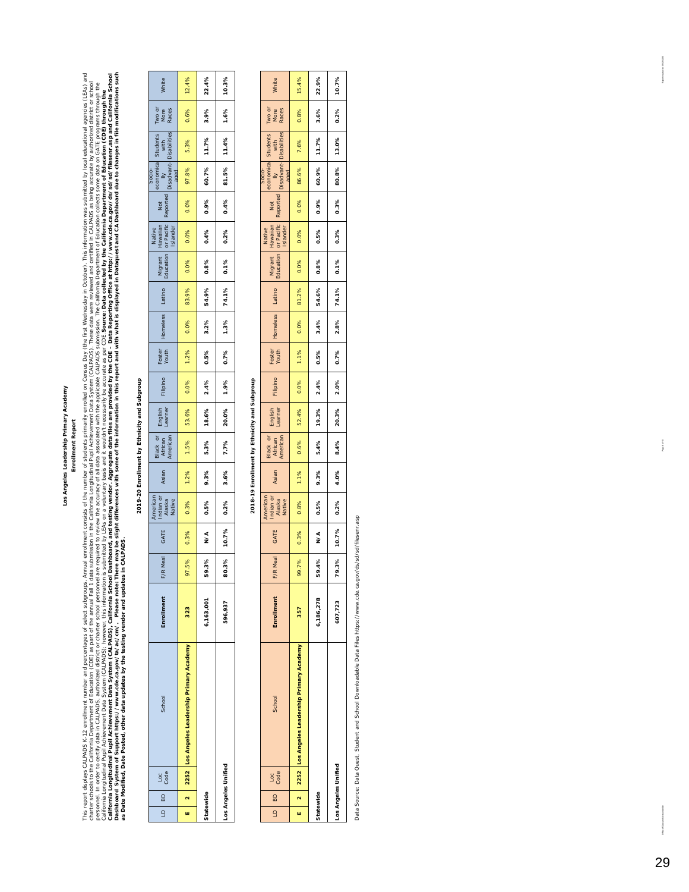#### Los Angeles Leadership Primary Academy **Los Angeles Leadership Primary Academy Enrollment Report Enrollment Report**

This report displays CALPADS K-12 enrollment number and percentages of select subgroups. Amountber of students principally enrolled on Careas Day (the first Wednesday in Coctober). This information was submitted by local e Dashboard System of Suppov/ta/2ac/cm/. Please note: There may be slight differences with some of the information in this report and with what is displayed in Dataquest and CA Dashboard due to changes in file modifications This report displays cALPADS K-12 enrollment rumber and percentages of energy enrolenced suddent consition of the first Wedness Media Party in the interpret internation was submitted by local educational agencies (LEAS) an California Longitudinal Pata System (CALPADS), California School Dashboard, and testing vendor. Aggregate data files are provided by the CDE – Data Reporting office at http://www.cde.ca.gov/ds/sd/sd/filesenr.asp and Califo charter schools to the California Depart of the annual tell, as part of the California India Longitudinal Public Androidinal Public Addamia Data System (CALPADS). These data were reviewed and certified in CALPADS as being bersonnel. In order to certify data includion contact or charget or charget or charget of the accuracy of all data associated with the applicable CALPADS submission. The California Department of Education collects some dat *Source: Data collected by the California Department of Education (CDE) through the*  California Longitudinal Pupil Achievement Data System (CALPADS); however, this information is submitted by LEAs on a voluntary basis and it wouldn't necessarily be accurate as per CDE.5 *as Date Modified, Date Posted, other data updates by the testing vendor and updates in CALPADS.* 

## 2019-20 Enrollment by Ethnicity and Subgroup **2019-20 Enrollment by Ethnicity and Subgroup**

 $\mathsf{l}$ 

| 60<br>$\subseteq$   | Loc<br>Code | School                                       | Enrollment | <b>Aeal</b><br>F/R | GATE    | American<br>Indian or<br>Alaska<br>Native | Asian | Black or<br>African<br>American | English<br>Learner | Filipino | Foster<br>Youth | <b>+omeless</b> | Latino | Migrant<br>Education | Native<br>Hawaiian Not<br>or Pacific Reported <mark>I</mark><br>Islander |      |       | Socio-<br>economica Students<br>Disabant- Disabilities<br>Disabant- Disabilities<br>aged | Two or<br>More<br>Races | White |
|---------------------|-------------|----------------------------------------------|------------|--------------------|---------|-------------------------------------------|-------|---------------------------------|--------------------|----------|-----------------|-----------------|--------|----------------------|--------------------------------------------------------------------------|------|-------|------------------------------------------------------------------------------------------|-------------------------|-------|
| ш                   |             | 2 252 Los Angeles Leadership Primary Academy | 323        | 97.5%              | 0.3%    | 0.3%                                      | 1.2%  | 1.5%                            | 53.6%              | 0.0%     | 1.2%            | 0.0%            | 83.9%  | 0.0%                 | 0.0%                                                                     | 0.0% | 97.8% | 5.3%                                                                                     | 0.6%                    | 12.4% |
| Statewide           |             |                                              | 6,163,001  | 59.3%              | ₹<br>N∕ | 0.5%                                      | 9.3%  | 5.3%                            | 18.6%              | 2.4%     | 0.5%            | 3.2%            | 54.9%  | 0.8%                 | 0.4%                                                                     | 0.9% | 60.7% | 11.7%                                                                                    | 3.9%                    | 22.4% |
| Los Angeles Unified |             |                                              | 596,937    | 80.3%              | 10.7%   | 0.2%                                      | 3.6%  | 7.7%                            | 20.0%              | 1.9%     | 0.7%            | 1.3%            | 74.1%  | 0.1%                 | 0.2%                                                                     | 0.4% | 81.5% | 11.4%                                                                                    | 1.6%                    | 10.3% |

## 2018-19 Enrollment by Ethnicity and Subgroup **2018-19 Enrollment by Ethnicity and Subgroup**

| $\frac{8}{2}$<br>$\overline{a}$ | Loc<br>Code | School                                          | Enrollment | Meal<br>F/R | GATE  | American<br>Indian or<br>Alaska<br>Native | Asian | Black or<br>African<br>American | English<br>Learner | Filipino | Foster<br>Youth | Homeless | Latino | Migrant<br>Education | Native<br>Hawailan<br>or Pacific<br>Islander | Not<br>Reported | economica Students<br>Ily with<br>Disadvant-Disabilities<br>Socio-<br>aned |       | Two or<br>More<br>Races | White |
|---------------------------------|-------------|-------------------------------------------------|------------|-------------|-------|-------------------------------------------|-------|---------------------------------|--------------------|----------|-----------------|----------|--------|----------------------|----------------------------------------------|-----------------|----------------------------------------------------------------------------|-------|-------------------------|-------|
| ш                               |             | 2   2252 Los Angeles Leadership Primary Academy | 357        | 99.7%       | 0.3%  | 0.8%                                      | 1.1%  | 0.6%                            | 52.4%              | 0.0%     | 1.1%            | 0.0%     | 81.2%  | 0.0%                 | 0.0%                                         | 0.0%            | 86.6%                                                                      | 7.6%  | 0.8%                    | 15.4% |
| Statewide                       |             |                                                 | 6,186,278  | 59.4%       | Տ∕    | 0.5%                                      | 9.3%  | 5.4%                            | 19.3%              | 2.4%     | 0.5%            | 3.4%     | 54.6%  | 0.8%                 | 0.5%                                         | 0.9%            | 60.9%                                                                      | 11.7% | 3.6%                    | 22.9% |
| Los Angeles Unified             |             |                                                 | 607,723    | 79.3%       | 10.7% | 0.2%                                      | 4.0%  | 8.4%                            | 20.3%              | 2.0%     | 0.7%            | 2.8%     | 74.1%  | 0.1%                 | 0.3%                                         | 0.3%            | 80.8%                                                                      | 13.0% | 0.2%                    | 10.7% |

Data Source: Data Quest, Student and School Downloadable Data Files https://www.cde.ca.gov/ds/sd/filesenr.asp Data Source: Data Quest, Student and School Downloadable Data Files https://www.cde.ca.gov/ds/sd/sd/filesenr.asp

3026200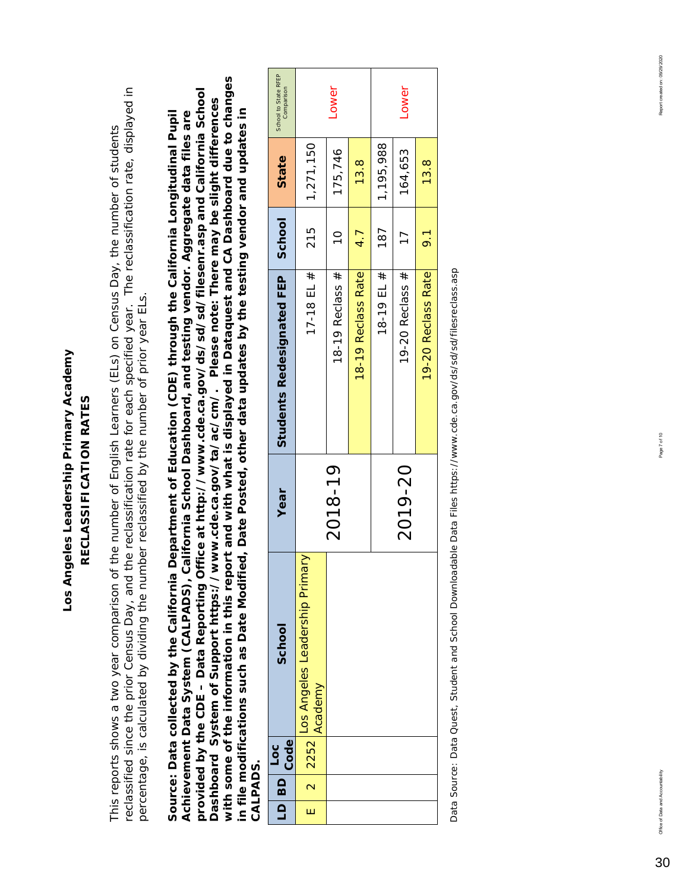## Los Angeles Leadership Primary Academy **Los Angeles Leadership Primary Academy** RECLASSIFICATION RATES **RECLASSIFICATION RATES**

reclassified since the prior Census Day, and the reclassification rate for each specified year. The reclassification rate, displayed in reclassified since the prior Census Day, and the reclassification rate for each specified year. The reclassification rate, displayed in This reports shows a two year comparison of the number of English Learners (ELs) on Census Day, the number of students This reports shows a two year comparison of the number of English Learners (ELs) on Census Day, the number of students percentage, is calculated by dividing the number reclassified by the number of prior year ELs. percentage, is calculated by dividing the number reclassified by the number of prior year ELs.

*with some of the information in this report and with what is displayed in Dataquest and CA Dashboard due to changes*  with some of the information in this report and with what is displayed in Dataquest and CA Dashboard due to changes *provided by the CDE – Data Reporting Office at http://www.cde.ca.gov/ds/sd/sd/filesenr.asp and California School*  provided by the CDE - Data Reporting Office at http://www.cde.ca.gov/ds/sd/sd/filesenr.asp and California School *Dashboard System of Support https://www.cde.ca.gov/ta/ac/cm/. Please note: There may be slight differences*  Dashboard System of Support https://www.cde.ca.gov/ta/ac/cm/. Please note: There may be slight differences *in file modifications such as Date Modified, Date Posted, other data updates by the testing vendor and updates in Source: Data collected by the California Department of Education (CDE) through the California Longitudinal Pupil*  in file modifications such as Date Modified, Date Posted, other data updates by the testing vendor and updates in *Achievement Data System (CALPADS), California School Dashboard, and testing vendor. Aggregate data files are*  Achievement Data System (CALPADS), California School Dashboard, and testing vendor. Aggregate data files are Source: Data collected by the California Department of Education (CDE) through the California Longitudinal Pupil *CALPADS.*  **CALPADS** 

|   | LD BD | Code<br>$\overline{\phantom{0}}^{\rm c}$ | School                                    | Year    | Students Redesignated FEP   School |                  | State           | School to State RFEP<br>Comparison |
|---|-------|------------------------------------------|-------------------------------------------|---------|------------------------------------|------------------|-----------------|------------------------------------|
| Ш |       | 2 2252                                   | Los Angeles Leadership Primary<br>Academy |         | 17-18 EL $#$                       | 215              | 1,271,150       |                                    |
|   |       |                                          |                                           | 2018-19 | 18-19 Reclass #                    | $\frac{1}{2}$    | 175,746         | Lower                              |
|   |       |                                          |                                           |         | 18-19 Reclass Rate                 | 4.7              | 13.8            |                                    |
|   |       |                                          |                                           |         | 18-19 EL #                         | 187              | 1,195,988       |                                    |
|   |       |                                          |                                           | 2019-20 | 19-20 Reclass #                    | $\overline{17}$  | 164,653         | Lower                              |
|   |       |                                          |                                           |         | 19-20 Reclass Rate                 | $\overline{9}$ . | $\frac{3.8}{5}$ |                                    |

Data Source: Data Quest, Student and School Downloadable Data Files https://www.cde.ca.gov/ds/sd/filesreclass.asp Data Source: Data Quest, Student and School Downloadable Data Files https://www.cde.ca.gov/ds/sd/sd/filesreclass.asp

30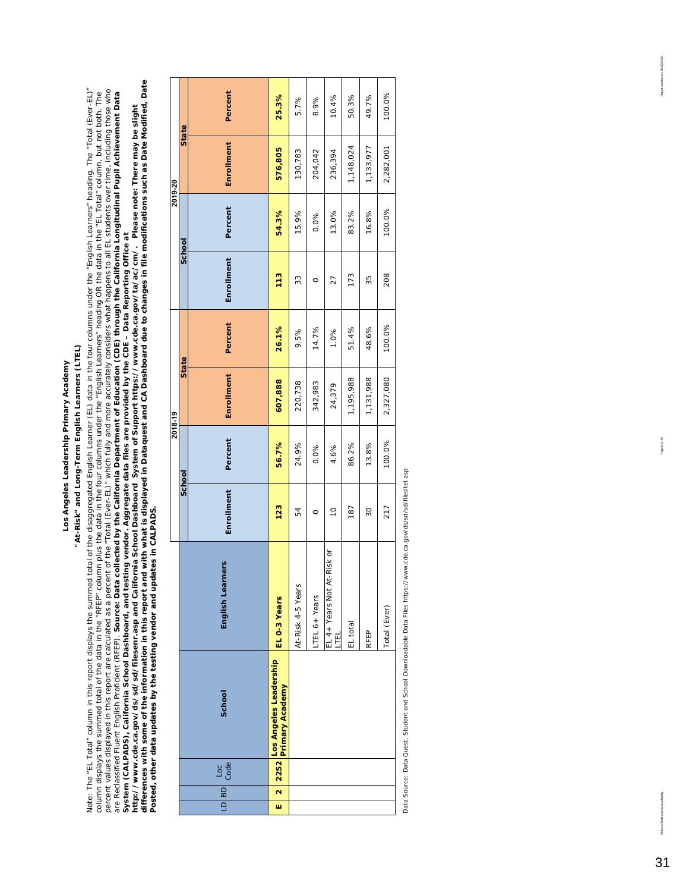## Los Angeles Leadership Primary Academy **Los Angeles Leadership Primary Academy**

## "At-Risk" and Long-Term English Learners (LTEL) **"At-Risk" and Long-Term English Learners (LTEL)**

persences and thent Enjarchent in Fig. 1980. A person in the detection and the control of the securities will be a matematic or an intermed problem in the security of the security of the security of the security of the sec *differences with some of the information in this report and with what is displayed in Dataquest and CA Dashboard due to changes in file modifications such as Date Modified, Date*  Note: The "EL Total" column in this report displays the summed total of the disaggregated English Learner (EL) data in the four columns under the "English Learners" heading. The "Total (Ever-EL)" Note: The "EL Total" column in this report displays the summed total of the disaggregated English Learner (EL) data in the four columns under the "English Learners" heading. The "Total (Ever-EL)"<br>column displays the summed percent values displayed in this report are calculated as a percent of the "Total (Ever-EL)" which fully and more accurately considers what happens to all EL students over time, including those who are Reclassified Fluent English Proficient (RFEP). *Source: Data collected by the California Department of Education (CDE) through the California Longitudinal Pupil Achievement Data*  column displays the summed total of the data in the "RFEP" column plus the data in the four columns under the "Finglish Learners" heading OR the data in the "EL Total" column, but not both. The *http://www.cde.ca.gov/ds/sd/sd/filesenr.asp and California School Dashboard System of Support https://www.cde.ca.gov/ta/ac/cm/. Please note: There may be slight System (CALPADS), California School Dashboard, and testing vendor. Aggregate data files are provided by the CDE – Data Reporting Office at* 

*Posted, other data updates by the testing vendor and updates in CALPADS.* 

|         |        | Percent          | 25.3%                                               | 5.7%              | 8.9%         | 10.4%                           | 50.3%     | 49.7%     | 100.0%       |
|---------|--------|------------------|-----------------------------------------------------|-------------------|--------------|---------------------------------|-----------|-----------|--------------|
|         | State  | Enrollment       | 576,805                                             | 130,783           | 204,042      | 236,394                         | 1,148,024 | 1,133,977 | 2,282,001    |
| 2019-20 |        | Percent          | 54.3%                                               | 15.9%             | 0.0%         | 13.0%                           | 83.2%     | 16.8%     | 100.0%       |
|         | School | Enrollment       | 113                                                 | 33                | O            | 27                              | 173       | 35        | 208          |
|         | State  | Percent          | 26.1%                                               | 9.5%              | 14.7%        | 1.0%                            | 51.4%     | 48.6%     | 100.0%       |
| 2018-19 |        | Enrollment       | 607,888                                             | 220,738           | 342,983      | 24,379                          | 1,195,988 | 1,131,988 | 2,327,080    |
|         | School | Percent          | 56.7%                                               | 24.9%             | 0.0%         | 4.6%                            | 86.2%     | 13.8%     | 100.0%       |
|         |        | Enrollment       | 123                                                 | 54                | O            | $\overline{C}$                  | 187       | 30        | 217          |
|         |        | English Learners | EL 0-3 Years                                        | At-Risk 4-5 Years | TEL 6+ Years | EL 4+ Years Not At-Risk or<br>Ę | EL total  | RFEP      | Total (Ever) |
|         |        | School           | 2252 Los Angeles Leadership<br>2252 Primary Academy |                   |              |                                 |           |           |              |
|         |        | Loc<br>Code      |                                                     |                   |              |                                 |           |           |              |
|         |        | LD BD            | $\overline{\mathbf{r}}$<br>w                        |                   |              |                                 |           |           |              |
|         |        |                  |                                                     |                   |              |                                 |           |           |              |

Data Source: Data Quest, Student and School Downloadable Data Files https://www.cde.ca.gov/ds/sd/sd/files/tel.asp Data Source: Data Quest, Student and School Downloadable Data Files https://www.cde.ca.gov/ds/sd/sd/filesltel.asp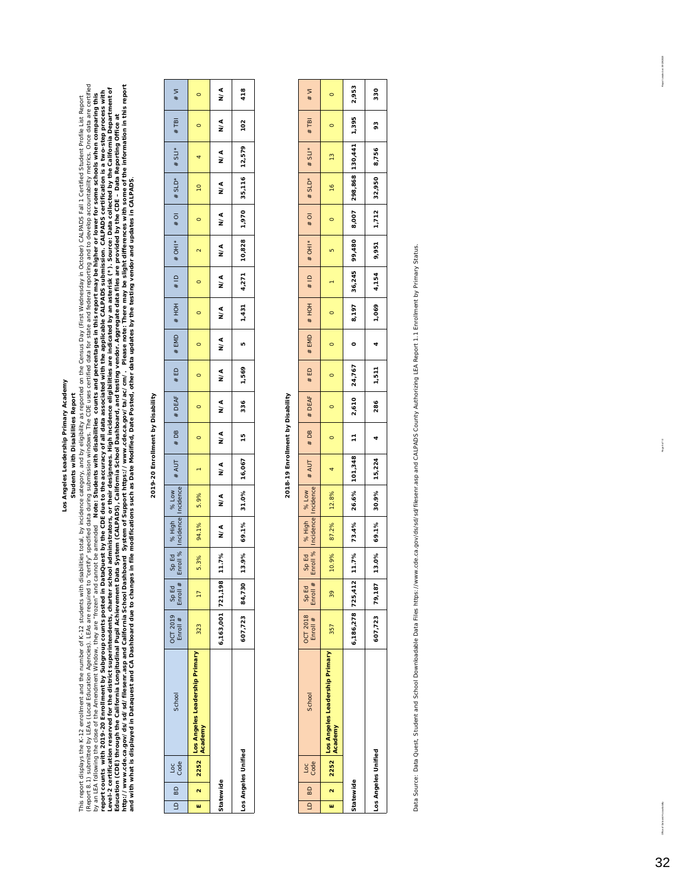Los Angeles Leadership Primary Academy **Los Angeles Leadership Primary Academy** Students with Disabilities Report **Students with Disabilities Report**

This report displays the K-12 anolinment and the number of K-12 students with disabilities total, by indence category, and by eligibility as reported on the Census Day (First Wednesday in Qctober) CALPADS Fail 1 Certified Report 8.1) submitted by LEAs are required to "certify" specified data during submission windows. The CDE uses certified data for state and rederal reporting and to develop accountability metrics. Once data are certified *http://www.cde.ca.gov/ds/sd/sd/filesenr.asp and California School Dashboard System of Support https://www.cde.ca.gov/ta/ac/cm/. Please note: There may be slight differences with some of the information in this report*  Level-2 certification reserved for the district superintentents charter school administrators, or their designees. High incidence eligibilities are indicated by an asterisk (\*). Source: Data collected by the California Dep report counts with 2019-20 Enrollment by Subgroup counts posted in DataQuest by the CDE due to the accuracy of all data associated with the applicable CALPADS submission. CALPADS certification is a two-step process with by an LEA following the of the Amendment Window, they are "frozen" and cannot cannot be amended Note: Students with disabilities counts and percentages in this report may be higher or lower for some schools when comparing This report displays the K-12 enrollment and the number of K-12 students with disabilities total, by incidence category, and by eligibility as reported on the Census Day (First Wednesday in Octuber) CALPADS Fall 1 Certifie *Education (CDE) through the California Longitudinal Pupil Achievement Data System (CALPADS), California School Dashboard, and testing vendor. Aggregate data files are provided by the CDE – Data Reporting Office at and with what is displayed in Dataquest and CA Dashboard due to changes in file modifications such as Date Modified, Date Posted, other data updates by the testing vendor and updates in CALPADS.*

### 2019-20 Enrollment by Disability **2019-20 Enrollment by Disability**

| $\overline{a}$ | BD        | Loc<br>Code         | <b>School</b>                                                   | OCT 2019 SpEd<br>Enroll # Enroll # |                 | Enroll %  | Sp Ed   % High   % Low  <br>Enroll %   Incidence   Incidence |               | # AUT                       |         |                                    |         |         |                          |         | / # DB   # DLAF   # H^   # HO   # HOH   # HOH   # HOH   # HOH   # HOH   # HOH   # HOH   # HOH   # HO |               |                 |               | #TBI    | W#      |
|----------------|-----------|---------------------|-----------------------------------------------------------------|------------------------------------|-----------------|-----------|--------------------------------------------------------------|---------------|-----------------------------|---------|------------------------------------|---------|---------|--------------------------|---------|------------------------------------------------------------------------------------------------------|---------------|-----------------|---------------|---------|---------|
| ш              | $\sim$    |                     | ା 2252 <mark>Los Angeles Leadership Primary</mark> ।<br>Academy | 323                                | $\overline{17}$ |           | 5.3%   94.1%                                                 | 5.9%          |                             | $\circ$ | $\circ$                            | $\circ$ | $\circ$ | $\overline{\phantom{0}}$ | $\circ$ | $\sim$                                                                                               | $\circ$       | $\overline{10}$ | 4             | $\circ$ | $\circ$ |
|                | Statewide |                     |                                                                 | 6,163,001 721,198                  |                 | 11.7% N/A |                                                              | $\frac{4}{2}$ | $\frac{4}{2}$               | N/A     | $\alpha$ $>$ $\alpha$ $>$ $\alpha$ |         | N/A     | N/A                      | $N^A$   | $\frac{4}{2}$                                                                                        | $\frac{4}{2}$ | $\frac{1}{2}$   | $\frac{4}{2}$ | N/A     | ₹<br>≥  |
|                |           | Los Angeles Unified |                                                                 | 607,723 84,730                     |                 |           |                                                              |               | 13.9% 69.1% 31.0% 16,067 15 |         | 336 1,569                          |         | LO      |                          |         | $1,431$ $4,271$ $10,828$ $1,970$ $35,116$ $12,579$                                                   |               |                 |               | 102     | 418     |

## 2018-19 Enrollment by Disability **2018-19 Enrollment by Disability**

| $\overline{a}$ | BD        | Loc<br>Code         | School                                    | <b>OCT 2018</b><br>Enroll # | Sp Ed<br>Enroll # |       | Sp Ed   % High   % Low<br>Enroll %   Incidence   Incidence | # AUT                                                                                       |         | # DB   # DEAF   # ED   # EMD   # HOH |         |         |         | # LD # UH  *   d # OH  * JHO #   4 SL  *                   |         |                |                | $#$ TBI | $\frac{1}{2}$ |
|----------------|-----------|---------------------|-------------------------------------------|-----------------------------|-------------------|-------|------------------------------------------------------------|---------------------------------------------------------------------------------------------|---------|--------------------------------------|---------|---------|---------|------------------------------------------------------------|---------|----------------|----------------|---------|---------------|
| W              |           | 2252                | Los Angeles Leadership Primary<br>Academy | 357                         | 39                | 10.9% | 87.2% 12.8%                                                |                                                                                             | $\circ$ | $\circ$                              | $\circ$ | $\circ$ | $\circ$ | LO <sub>.</sub>                                            | $\circ$ | $\frac{16}{1}$ | $\frac{13}{2}$ | $\circ$ | $\circ$       |
|                | Statewide |                     |                                           | 6,186,278 725,412           |                   |       |                                                            | 11.7% 73.4% 26.6% 101.348 11 2.610 24.767 0 8.197 36.245 99,480 8.007 298.868 130,441 1.395 |         |                                      |         |         |         |                                                            |         |                |                |         | 2,953         |
|                |           | Los Angeles Unified |                                           | 607,723 79,187              |                   |       |                                                            | 13.0% 69.1% 30.9% 15,224                                                                    |         |                                      |         |         |         | 4 286   1,511   4   4,154   9,951   1,712   32,950   8,756 |         |                |                | 93      | 330           |

Data Source: Data Quest, Student and School Downloadable Data Files https://www.cde.ca.gov/ds/sd/allesenr.asp and CALPADS County Authorizing LEA Report 1.1 Enrollment by Primary Status. Data Source: Data Quest, Student and School Downloadable Data Files https://www.cde.ca.gov/ds/sd/sd/filesenr.asp and CALPADS County Authorizing LEA Report 1.1 Enrollment by Primary Status. boost mated on 0.929/2020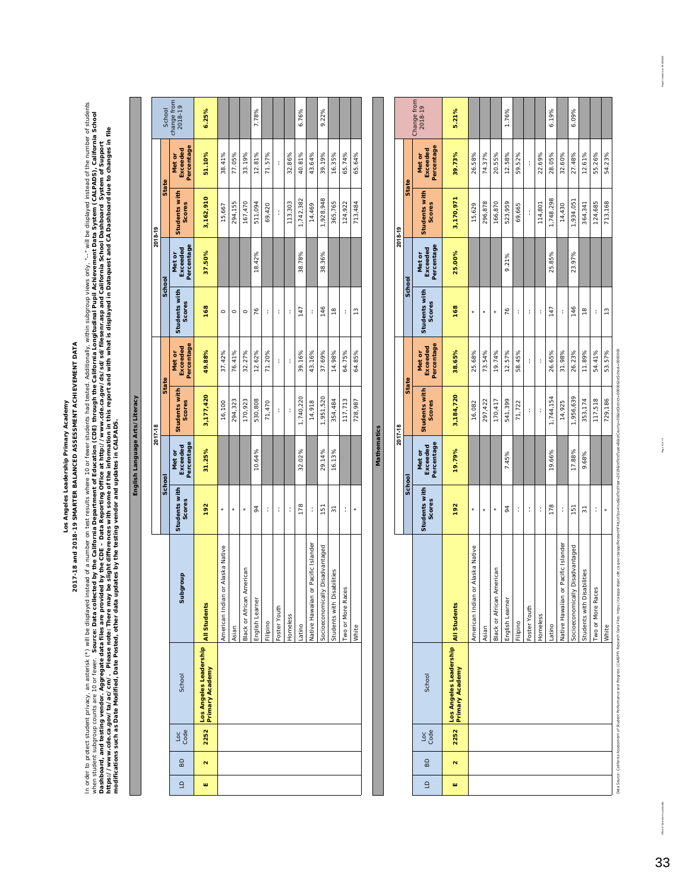2017-18 and 2018-19 SMARTER BALANCED ASSESSMENT ACHIEVEMENT DATA **2017-18 and 2018-19 SMARTER BALANCED ASSESSMENT ACHIEVEMENT DATA** Los Angeles Leadership Primary Academy **Los Angeles Leadership Primary Academy**

In order to protect student privacy, an asterisk (\*) will be displayed instead of a number on test results where 10 or fewer students had tested. Additionally, within subgroup views only, "--" will be displayed instead of In order to protect strivacy, an asterisk (\*) will be displayed instead of a number on test results where 10 or fewer students had tested. Additionally, within subgroup views only,"--" will be displayed instead of the numb when student subgroup counts are 10 or fewer. **Source: Data collected by the California Department of Education (CDE) through the California Longitudinal Pupil Achievement Data System (CALPADS), California School** *https://www.cde.ca.gov/ta/ac/cm/. Please note: There may be slight differences with some of the information in this report and with what is displayed in Dataquest and CA Dashboard due to changes in file Dashboard, and testing vendor. Aggregate data files are provided by the CDE – Data Reporting Office at http://www.cde.ca.gov/ds/sd/sd/filesenr.asp and California School Dashboard System of Support modifications such as Date Modified, Date Posted, other data updates by the testing vendor and updates in CALPADS.* 

**English Language Arts/Literacy**

English Language Arts/Literacy

|         |              | Change from<br>2018-19           | 5.21%                                                         |                                  |         |                           | 1.76%              |          |              |          | 6.19%     |                                     | 6.09%                           |                                      |                      |               |
|---------|--------------|----------------------------------|---------------------------------------------------------------|----------------------------------|---------|---------------------------|--------------------|----------|--------------|----------|-----------|-------------------------------------|---------------------------------|--------------------------------------|----------------------|---------------|
|         |              | Percentage<br>Exceeded<br>Met or | 39.73%                                                        | 26.58%                           | 74.37%  | 20.55%                    | 12.58%             | 59.52%   | ł            | 22.69%   | 28.05%    | 32.60%                              | 27.48%                          | 12.61%                               | 55.26%               | 54.23%        |
| 2018-19 | <b>State</b> | Students with<br><b>Scores</b>   | 3,170,971                                                     | 15,629                           | 296,878 | 166,870                   | 523,959            | 69,665   | ł            | 114,801  | 1,748,298 | 14,430                              | 1,934,051                       | 364,341                              | 124,685              | 713,168       |
|         |              | Percentage<br>Exceeded<br>Met or | 25.00%                                                        |                                  |         |                           | 9.21%              |          |              |          | 25.85%    |                                     | 23.97%                          |                                      |                      |               |
|         | School       | Students with<br>Scores          | 168                                                           | ×                                |         | $\star$                   | 76                 | ł        | ł            | ţ        | 147       | ł                                   | 146                             | $\frac{8}{10}$                       | ţ                    | $\frac{3}{2}$ |
|         | State        | Percentage<br>Exceeded<br>Met or | 38.65%                                                        | 25.68%                           | 73.54%  | 19.74%                    | 12.57%             | 58.45%   | ł            | ł        | 26.65%    | 31.98%                              | 26.23%                          | 11.89%                               | 54.41%               | 53.57%        |
| 2017-18 |              | Students with<br>Scores          | 3,184,720                                                     | 16,082                           | 297,422 | 170,417                   | 541,399            | 71,722   | ł            | ł        | 1,744,154 | 14,925                              | 1,956,639                       | 353,174                              | 117,518              | 729,186       |
|         |              | Percentage<br>Exceeded<br>Met or | 19.79%                                                        |                                  |         |                           | 7.45%              |          |              |          | 19.66%    |                                     | 17.88%                          | 9.68%                                |                      |               |
|         | School       | Students with<br>Scores          | 192                                                           | ×                                | $\star$ | $\star$                   | $\overline{6}$     | ł        | ţ            | Í        | 178       | ł                                   | 151                             | 51                                   | Í                    | ¥             |
|         |              |                                  |                                                               | American Indian or Alaska Native | Asian   | Black or African American | ₫<br>English Learr | Filipino | Foster Youth | Homeless | Latino    | Native Hawaiian or Pacific Islander | Socioeconomically Disadvantaged | <b>Disabilities</b><br>Students with | Races<br>Two or More | White         |
|         |              | School                           | Los Angeles Leadership All Students<br><b>Primary Academy</b> |                                  |         |                           |                    |          |              |          |           |                                     |                                 |                                      |                      |               |
|         |              | <b>S</b> de                      | 2252                                                          |                                  |         |                           |                    |          |              |          |           |                                     |                                 |                                      |                      |               |
|         |              | BD                               | $\mathbf{\alpha}$                                             |                                  |         |                           |                    |          |              |          |           |                                     |                                 |                                      |                      |               |
|         |              | $\triangleq$                     | ш                                                             |                                  |         |                           |                    |          |              |          |           |                                     |                                 |                                      |                      |               |

**Mathematics**

**Mathematics** 

our one offerent of Student Pedformance and Progress (CAASPP) Research Research Research Research Research Research Research Research Research Data Flast Data Research Data Flast Data Research Data Research Pass School Da Type=B&lst kistTes Research Data Files. https: tance and Progress (CAASPP) Data Source: California

Office of Data and Accountability Page 10 of 10 Page 10 0 Page 10 Page 10 Page 10 Page 10 Page 10 Page 10 Page 10 Page 10 Page 10 Page 10 Page 10 Page 10 Page 10 Page 10 Page 10 Page 10 Page 10 Page 10 Page 10 Page 10 Page

Page 10 of 10

Report anested on: 0 9/29/2020

33

rtability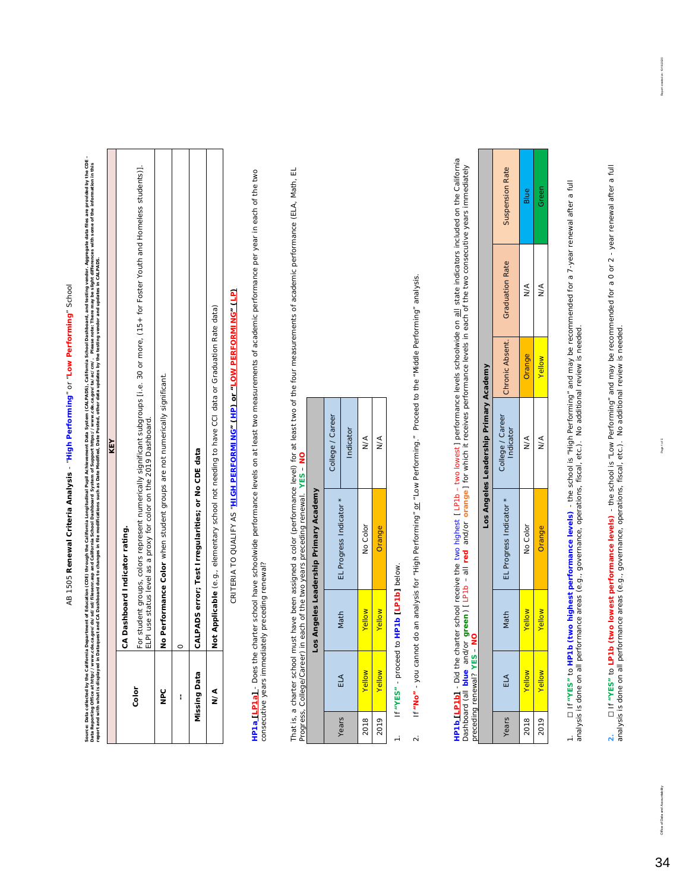# AB 1505 Renewal Criteria Analysis - "High Performing" or "Low Performing" School AB 1505 **Renewal Criteria Analysis** - "**High Performing**" or "**Low Performing**" School

Source: Data collected by the California Department of Education (CDE) the California the California Longitudinal Pupil Achievement Data System School Dashboard, and testing vendor. Aggregate data files are provided by the Source: Data collected by the California Dopathent (CDE) through the California Longitudinal Achievement Data System (CALPADS), California School Dashboard, and testing winder, Aggregate data flies are provided by the CDE<br> Data Reporting Office at http://www.cde.ca.gov/ds/sd/filesenr.asp and California School Dashboard Stystem of System of Support https://www.cde.ca.gov/ta/ac/cn/. Please note: There may be slight differences with some of the *report and with what is displayed in Dataquest and CA Dashboard due to changes in file modifications such as Date Modified, Date Posted, other data updates by the testing vendor and updates in CALPADS.* 

|                     | KEY                                                                                                                                                                                                          |
|---------------------|--------------------------------------------------------------------------------------------------------------------------------------------------------------------------------------------------------------|
|                     | CA Dashboard Indicator rating.                                                                                                                                                                               |
| Color               | For student groups, colors represent numerically significant subgroups [i.e. 30 or more, (15+ for Foster Youth and Homeless students)].<br>ELPI use status level as a proxy for color on the 2019 Dashboard. |
| °<br>≌              | No Performance Color when student groups are not numerically significant.                                                                                                                                    |
| i                   |                                                                                                                                                                                                              |
| <b>Missing Data</b> | CALPADS error; Test Irregularities; or No CDE data                                                                                                                                                           |
| ∖∕                  | Not Applicable (e.g., elementary school not needing to have CCI data or Graduation Rate data)                                                                                                                |
|                     |                                                                                                                                                                                                              |

CRITERIA TO QUALIFY AS "<mark>HIGH PERFORMI NG" (HP) or "LOW PERFORMING" (LP)</mark> CRITERIA TO QUALIFY AS "**HIGH PERFORMING" (HP) or "LOW PERFORMING" (LP)** HP1a LLP1a] - Does the charter school have schoolwide performance levels on at least two measurements of academic performance per year in each of the two **HP1a [LP1a]** - *Does the charter school have schoolwide performance levels on at least two measurements of academic performance per year in each of the two consecutive years immediately preceding renewal?*  consecutive years immediately preceding renewal?

That is, a charter school must have been assigned a color (performance level) for at least two of the four measurements of academic performance (ELA, Math, EL That is, a charter school must have been assigned a color (performance level) for at least two of the four measurements of academic performance (ELA, Math, EL Progress, College/Career) in each of the two years preceding renewal. **YES** – **NO** rnat is, a cnarter school must nave been assigned a color (performance lever) to<br>Progress, College/Career) in each of the two years preceding renewal. YES – <mark>N</mark>C

|                                        | College / Career | Indicator               | $\frac{4}{2}$ | $\frac{4}{2}$ |
|----------------------------------------|------------------|-------------------------|---------------|---------------|
| Los Angeles Leadership Primary Academy |                  | EL Progress Indicator * | No Color      | Orange        |
|                                        |                  | Math                    | Vellow        | Vellow        |
|                                        |                  | ELA                     | Yellow        | Yellow        |
|                                        |                  | Years                   | 2018          | 2019          |

1. If **"YES"** - proceed to **HP1b [LP1b]** below. If "YES" - proceed to HP1b [LP1b] below.  $\frac{1}{2}$ 

If "No" - you cannot do an analysis for "High Performing" or "Low Performing." Proceed to the "Middle Performing" analysis. 2. If **"No"** - you cannot do an analysis for "High Performing" or "Low Performing." Proceed to the "Middle Performing" analysis.  $\sim$ 

**HP1b [LP1b]** - Did the charter school receive the two highest [LP1b – two lowest] performance levels schoolwide on <u>all</u> state indicators included on the California<br>Dashboard (all **blue** and/or **green**) [LP1b – all **red HP1b [LP1b]** - *Did the charter school receive the two highest [ LP1b – two lowest ] performance levels schoolwide on all state indicators included on the California*  Dashboard (all blue and/or green) [LP1b – all red and/or orange] for which it receives performance levels in each of the two consecutive years immediately *preceding renewal?* **YES** – **NO**

|                                        | Suspension Rate               | Blue          | Green         |
|----------------------------------------|-------------------------------|---------------|---------------|
|                                        | <b>Graduation Rate</b>        | $\frac{1}{2}$ | $\frac{1}{2}$ |
|                                        | Chronic Absent.               | Orange        | Yellow        |
| Los Angeles Leadership Primary Academy | College / Career<br>Indicator | $\frac{8}{5}$ | $\frac{4}{2}$ |
|                                        | EL Progress Indicator         | No Color      | Jrange        |
|                                        | Math                          | Yellow        | Yellow        |
|                                        | È                             | Yellow        | <b>/ellow</b> |
|                                        | /ears                         | 2018          | 2019          |

1. ☐ If **"YES"** to **HP1b (two highest performance levels)** - the school is "High Performing" and may be recommended for a 7-year renewal after a full analysis is done on all performance areas (e.g., governance, operations, fiscal, etc.). No additional review is needed.

2. [1 f "YES" to L**P1b (two lowest performance levels)** - the school is "Low Performing" and may be recommended for a 0 or 2 - year renewal after a full<br>analysis is done on all performance areas (e.g., governance, operatio **2.** ☐ If **"YES"** to **LP1b (two lowest performance levels)** - the school is "Low Performing" and may be recommended for a 0 or 2 - year renewal after a full analysis is done on all performance areas (e.g., governance, operations, fiscal, etc.). No additional review is needed.

34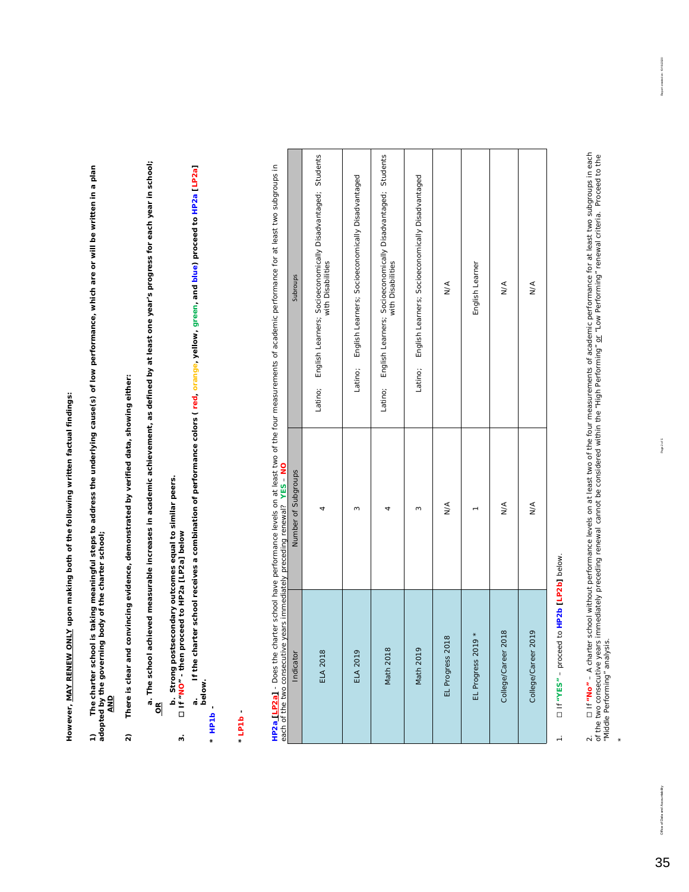However, MAY RENEW ONLY upon making both of the following written factual findings: **However, MAY RENEW ONLY upon making both of the following written factual findings:**

**1) The charter school is taking meaningful steps to address the underlying cause(s) of low performance, which are or will be written in a plan adopted by the governing body of the charter school;**  1) The charter school is taking meaningful steps to address the underlying cause(s) of low performance, which are or will be written in a plan<br>adopted by the governing body of the charter school;<br>\_<u>AND</u>

There is clear and convincing evidence, demonstrated by verified data, showing either: **2) There is clear and convincing evidence, demonstrated by verified data, showing either:**  $\hat{\mathbf{z}}$ 

**a. The school achieved measurable increases in academic achievement, as defined by at least one year's progress for each year in school;** a. The school achieved measurable increases in academic achievement, as defined by at least one year's progress for each year in school;<br><u>OR</u>

b. Strong postsecondary outcomes equal to similar peers<br>[11 "NO" - then proceed to HP2a [LP2a] below **b. Strong postsecondary outcomes equal to similar peers. 3.** ☐ **If "NO" - then proceed to HP2a [LP2a] below**

 $\ddot{\phantom{0}}$ 

**a. If the charter school receives a combination of performance colors ( red, orange, yellow, green, and blue) proceed to HP2a [LP2a]**  If the charter school receives a combination of performance colors (red, orange, yellow, green, and blue) proceed to HP2a [LP2a] a.<br>below. **below.** 

**\****HP1b -* 

#### *\*LP1b -*

**HP2a [LP2a]** - Does the charter school have performance levels on at least two of the four measurements of academic performance for at least two subgroups in<br>each of the two consecutive vears immediately preceding renewal **HP2a [LP2a]** - *Does the charter school have performance levels on at least two of the four measurements of academic performance for at least two subgroups in each of the two consecutive years immediately preceding renewal?* **YES** – **NO**

| Subroups                                                                              | Latino; English Learners; Socioeconomically Disadvantaged; Students<br>with Disabilities | Latino; English Learners; Socioeconomically Disadvantaged | Latino; English Learners; Socioeconomically Disadvantaged; Students<br>with Disabilities | Latino; English Learners; Socioeconomically Disadvantaged | $\frac{4}{2}$    | English Learner          | $\frac{4}{2}$       | N/A                 |
|---------------------------------------------------------------------------------------|------------------------------------------------------------------------------------------|-----------------------------------------------------------|------------------------------------------------------------------------------------------|-----------------------------------------------------------|------------------|--------------------------|---------------------|---------------------|
| Number of Subgroups                                                                   | 4                                                                                        | 3                                                         |                                                                                          | 3                                                         | $\frac{4}{2}$    |                          | $\frac{4}{2}$       | $\frac{4}{2}$       |
| פפטוד טי נוזפ נשט כטוואפטענע צפטו ווווופטופנפוץ פונט פעט און די דרש דושט<br>Indicator | <b>ELA 2018</b>                                                                          | <b>ELA 2019</b>                                           | Math 2018                                                                                | Math 2019                                                 | EL Progress 2018 | $19 *$<br>EL Progress 20 | College/Career 2018 | College/Career 2019 |

1. ☐ If **"YES"** – proceed to **HP2b [LP2b]** below. [I If "YES" - proceed to HP2b [LP2b] below.  $\frac{1}{2}$ 

35

\*

9/2020

<sup>2. [1</sup> f "**No**" – A charter school without performance levels on at least two of the four measurements of academic performance for at least two subgroups in each<br>of the two consecutive years immediately preceding renewal ca 2. ☐ If **"No"** – A charter school without *performance levels on at least two of the four measurements of academic performance for at least two subgroups in each of the two consecutive years immediately preceding renewal* cannot be considered within the "High Performing" or "Low Performing" renewal criteria. Proceed to the "Middle Performing" analysis.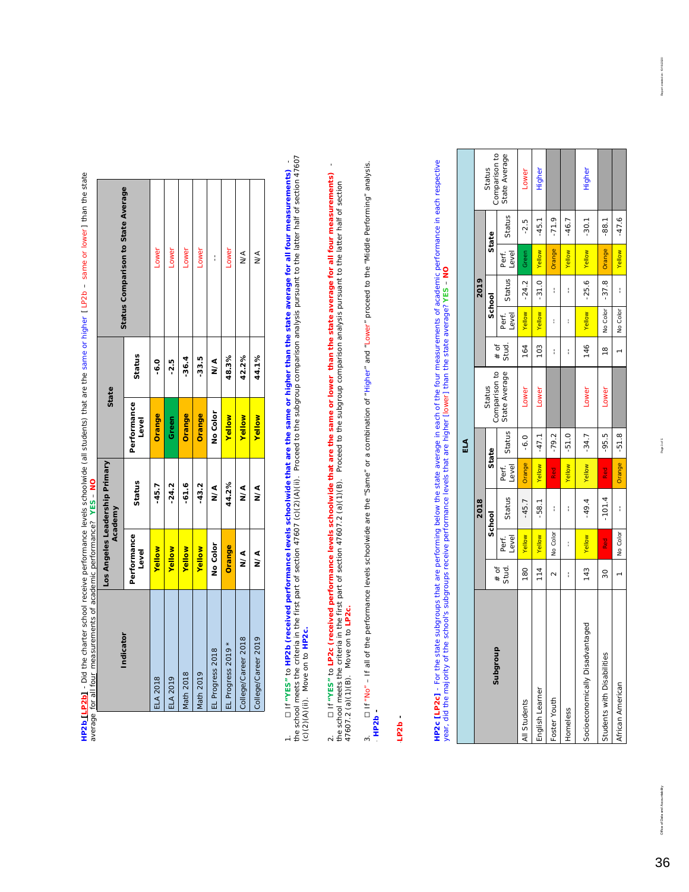|                                                                                                                                                                                                                                |                                           | Status Comparison to State Average | Lower         | Lower           | Lower     | Lower         | I                       | Lower              | ∕<<br>≥             | ∖<br>≥              |
|--------------------------------------------------------------------------------------------------------------------------------------------------------------------------------------------------------------------------------|-------------------------------------------|------------------------------------|---------------|-----------------|-----------|---------------|-------------------------|--------------------|---------------------|---------------------|
|                                                                                                                                                                                                                                |                                           | Status                             | -6.0          | -2.5            | $-36.4$   | $-33.5$       | ∕<br>≥                  | 48.3%              | 42.2%               | 44.1%               |
|                                                                                                                                                                                                                                | State                                     | Performance<br>Level               | Orange        | Green           | Orange    | Orange        | No Color                | <b>Yellow</b>      | <b>Yellow</b>       | <b>Yellow</b>       |
|                                                                                                                                                                                                                                | Los Angeles Leadership Primary<br>Academy | Status                             | $-45.7$       | $-24.2$         | $-61.6$   | $-43.2$       | ∕<br>≥                  | 44.2%              | ∧<<br>N             | Տ∕∢                 |
|                                                                                                                                                                                                                                |                                           | Performance<br>Level               | <b>Yellow</b> | Yellow          | Yellow    | <b>Yellow</b> | No Color                | Orange             | ∕<br>≥              | ∖<br>≥              |
| on the call of the periodic periodic property of the control interest of the control of the control of the control of the control of the control of the control of the control of the control of the control of the control of |                                           | Indicator                          | ELA 2018      | <b>ELA 2019</b> | Math 2018 | Math 2019     | <b>EL Progress 2018</b> | EL Progress 2019 * | College/Career 2018 | College/Career 2019 |

**HP2b<u> [LP2b]</u> -** Did the charter school receive performance levels schoolwide (all students) that are the same or higher [LP2b – same or lower] than the state<br>average <u>for all four</u> measurements of academic performance? Y **HP2b [LP2b]** - *Did the charter school receive performance levels schoolwide (all students) that are the same or higher [ LP2b – same or lower ] than the state average for all four measurements of academic performance?* **YES** – **NO**

the school meets the criteria in the first part of section 47607 (c)(2)(A)(ii). Proceed to the subgroup comparison analysis pursuant to the latter half of section 47607 1. [] if "YES" to HP2b (received performance levels schoolwide that are the same or higher than the state average for all four measurements)<br>the school meets the criteria in the first part of section 47607 (c)(2)(A) 1. ☐ If **"YES"** to **HP2b (received performance levels schoolwide that are the same or higher than the state average for all four measurements)** - (c)(2)(A)(ii). Move on to **HP2c.**

2. ☐ If **"YES"** to **LP2c (received performance levels schoolwide that are the same or lower than the state average for all four measurements)** - the school meets the criteria in the first part of section 47607.2 (a)(1)(B). Proceed to the subgroup comparison analysis pursuant to the latter half of section 47607.2 (a)(1)(B). Move on to **LP2c.**

 $\bar{1}$ 

D If "No" - If all of the performance levels schoolwide are the "Same" or a combination of "Higher" and "Lower" proceed to the "Middle Performing" analysis. 3. ☐ If "No" – If all of the performance levels schoolwide are the "Same" or a combination of "Higher" and "Lower" proceed to the "Middle Performing" analysis.  $HPP2b$  \* *HP2b -*   $\dot{\mathfrak{g}}$ 

LP<sub>2b</sub>-\**LP2b -* 

**HP2c [LP2c]** - For the state subgroups that are performing below the state average in each of the four measurements of academic performance in each respective<br>year, did the majority of the school's subgroups receive perfo **HP2c [LP2c]** - For the state subgroups that are performing below the state average in each of the four measurements of academic performance in each respective year, did the majority of the school's subgroups receive performance levels that are higher [lower] than the state average? **YES** – **NO**

|                                 |                 |                |          |                | ELA     |                         |                 |                |         |                |         |                         |
|---------------------------------|-----------------|----------------|----------|----------------|---------|-------------------------|-----------------|----------------|---------|----------------|---------|-------------------------|
|                                 |                 |                | 2018     |                |         |                         |                 |                | 2019    |                |         |                         |
| Subgroup                        |                 |                | School   |                | State   | Comparison to<br>Status |                 | School         |         |                | State   | Comparison to<br>Status |
|                                 | $#$ of<br>Stud. | Level<br>Perf. | Status   | Level<br>Perf. | Status  | State Average           | $#$ of<br>Stud. | Level<br>Perf. | Status  | Level<br>Perf. | Status  | State Average           |
| All Students                    | 180             | Yellow         | $-45.7$  | Orange         | $-6.0$  | Lower                   | 164             | <b>Yellow</b>  | $-24.2$ | Green          | $-2.5$  | LOWer                   |
| English Learner                 | 114             | Yellow         | $-58.1$  | Yellow         | $-47.1$ | Lower                   | 103             | Yellow         | $-31.0$ | <b>Yellow</b>  | $-45.1$ | Higher                  |
| Foster Youth                    | $\sim$          | No Color       | í        | Red<br>R       | $-79.2$ |                         | I               | ł              | I       | Orange         | $-71.9$ |                         |
| Homeless                        | í               | I              | í        | Yellow         | $-51.0$ |                         | I               | ł              | i       | Yellow         | $-46.7$ |                         |
| Socioeconomically Disadvantaged | 143             | Yellow         | $-49.4$  | Yellow         | $-34.7$ | Lower                   | 146             | Yellow         | $-25.6$ | <b>Yellow</b>  | $-30.1$ | Higher                  |
| Students with Disabilities      | 30              | Red<br>R       | $-101.4$ | Red            | $-95.5$ | Lower                   | $\frac{8}{10}$  | No Color       | $-37.8$ | Orange         | $-88.1$ |                         |
| African American                |                 | No Color       | i        | Orange         | $-51.8$ |                         |                 | No Color       | i       | <b>Yellow</b>  | $-47.6$ |                         |

Page 3 of 5

6/2020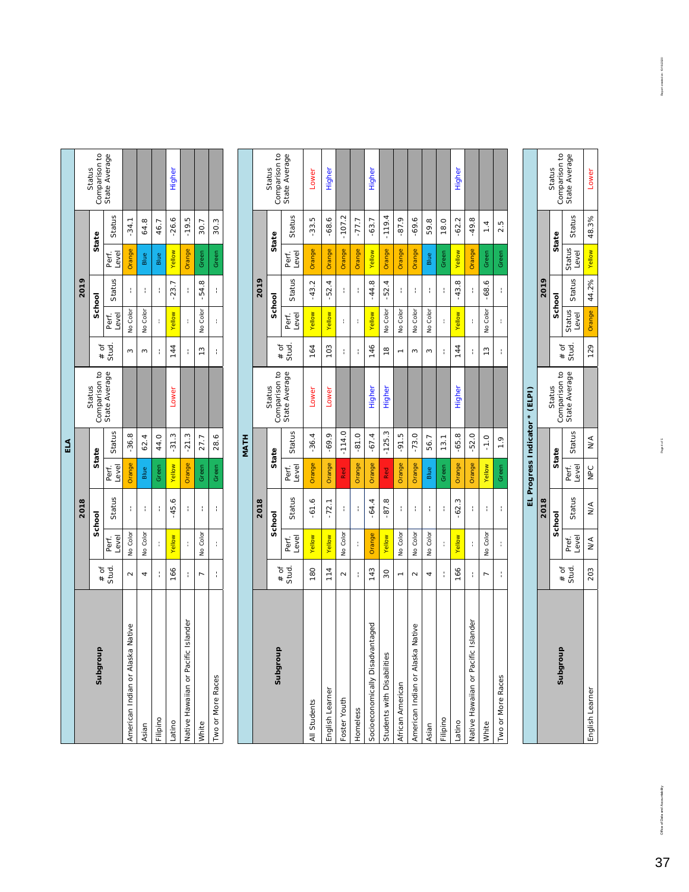|     |      | Comparison to<br>Status | State Average                     |                                       |          |          | Higher  |                                     |               |                   |      |
|-----|------|-------------------------|-----------------------------------|---------------------------------------|----------|----------|---------|-------------------------------------|---------------|-------------------|------|
|     |      | State                   | Status                            | $-34.1$                               | 64.8     | 46.7     | $-26.6$ | $-19.5$                             | 30.7          | 30.3              |      |
|     |      |                         | Level<br>Perf.                    | Orange                                | Blue     | Blue     | Yellow  | Orange                              | Green         | Green             |      |
|     | 2019 |                         | Status                            | Î                                     | I        | Î        | $-23.7$ | ł                                   | $-54.8$       | í                 |      |
|     |      | School                  | Level<br>Perf.                    | No Color                              | No Color | I        | Yellow  | ł                                   | No Color      | ł                 |      |
|     |      | $#$ of                  | Stud.                             | 3                                     | 3        | I        | 144     | ł                                   | $\frac{3}{2}$ | ł                 |      |
|     |      | Comparison to<br>Status | State Average                     |                                       |          |          | Lower   |                                     |               |                   |      |
| ELA |      |                         | Status                            | $-36.8$                               | 62.4     | 44.0     | $-31.3$ | $-21.3$                             | 27.7          | 28.6              | MATH |
|     |      | State                   | Level<br>Perf.                    | Orange                                | Blue     | Green    | Yellow  | Orange                              | Green         | Green             |      |
|     | 2018 | School                  | Status                            | Î                                     | I        | Î        | $-45.6$ | I                                   | Í             | í                 |      |
|     |      |                         | Level<br>Perf.                    | No Color                              | No Color | I        | Yellow  | ł                                   | No Color      | ţ                 |      |
|     |      |                         | $\frac{\text{* of}}{\text{stud}}$ | $\sim$                                | 4        | Î        | 166     | I                                   |               | ł                 |      |
|     |      | 우<br>Subgrou            |                                   | ca Native<br>American Indian or Alask | Asian    | Filipino | Latino  | Native Hawaiian or Pacific Islander | White         | Two or More Races |      |

|                                          |                |                | 2018           |                |              |                         |               |                | 2019               |                |                    |                         |
|------------------------------------------|----------------|----------------|----------------|----------------|--------------|-------------------------|---------------|----------------|--------------------|----------------|--------------------|-------------------------|
| dnoubqns                                 | # of           |                | School         | State          |              | Comparison to<br>Status | ð<br>$\ast$   | School         |                    |                | State              | Comparison to<br>Status |
|                                          | Stud.          | Level<br>Perf. | Status         | Level<br>Perf. | Status       | State Average           | Stud.         | Level<br>Perf. | Status             | Perf.<br>Level | Status             | State Average           |
| All Students                             | 180            | Yellow         | $-61.6$        | Orange         | $-36.4$      | Lower                   | 164           | Yellow         | $-43.2$            | Orange         | $-33.5$            | Lower                   |
| English Learner                          | 114            | Yellow         | $-72.1$        | Orange         | $-69.9$      | Lower                   | 103           | Yellow         | $-52.4$            | <b>Orange</b>  | $-68.6$            | Higher                  |
| Foster Youth                             | $\sim$         | No Color       | ţ              | Red            | $-114.0$     |                         | ł             | ł              | ţ                  | Orange         | $-107.2$           |                         |
| Homeless                                 | ţ              | ł              | ţ              | Orange         | $-81.0$      |                         | ł             | t              | ţ                  | <b>Orange</b>  | $-77.7$            |                         |
| Socioeconomically Disadvantaged          | 143            | Orange         | $-64.4$        | Orange         | $-67.4$      | Higher                  | 146           | Yellow         | $-44.8$            | Yellow         | $-63.7$            | Higher                  |
| Students with Disabilities               | 30             | Yellow         | $-87.8$        | <b>Red</b>     | $-125.3$     | Higher                  | $\frac{8}{1}$ | No Color       | $-52.4$            | Orange         | $-119.4$           |                         |
| African American                         | $\overline{a}$ | No Color       | t              | Orange         | $-91.5$      |                         |               | No Color       | ţ                  | Orange         | $-87.9$            |                         |
| va Native<br>American Indian or Alask    | $\sim$         | No Color       | t              | Orange         | $-73.0$      |                         | S             | No Color       | ţ                  | Orange         | $-69.6$            |                         |
| Asian                                    | 4              | No Color       | I              | Blue           | 56.7         |                         | S             | No Color       | Í                  | Blue           | 59.8               |                         |
| Filipino                                 | í              | ł              | I              | Green          | 13.1         |                         | I             | ł              | í                  | Green          | 18.0               |                         |
| Latino                                   | 166            | Yellow         | S<br>$\dot{5}$ | Orange         | $-65.8$      | Higher                  | 144           | Yellow         | $\infty$<br>$-43.$ | Yellow         | $-62.2$            | <b>Higher</b>           |
| ic Islander<br>Native Hawaiian or Pacifi | ţ              | ł              | I              | Orange         | $-52.0$      |                         | I             | ł              | ţ                  | Orange         | $-49.8$            |                         |
| White                                    | L              | No Color       | I              | Yellow         | $-1.0$       |                         | $\frac{3}{2}$ | No Color       | $-68.6$            | Green          | $\overline{1}$     |                         |
| Two or More Races                        | ţ              | ł              | ţ              | Green          | $\ddot{ }$ . |                         | ł             | ł              | ţ                  | Green          | rú<br>$\dot{\sim}$ |                         |
|                                          |                |                |                |                |              |                         |               |                |                    |                |                    |                         |

|              |                 |                |               |                              | EL Progress Indicator * (ELPI)                 |  |               |                 |                                       |                                |
|--------------|-----------------|----------------|---------------|------------------------------|------------------------------------------------|--|---------------|-----------------|---------------------------------------|--------------------------------|
|              |                 |                | 2018          |                              |                                                |  | 2019          |                 |                                       |                                |
|              |                 |                | School        | State                        | Status                                         |  | School        |                 | State                                 | Status                         |
|              | Stud.<br>$#$ of | Pref.<br>Level | Status        | Perf. Status<br>Level Status | Comparison to # of  -<br>State Average   Stud. |  | Status Status | Status<br>Level | Status                                | Comparison to<br>State Average |
| dish Learner |                 | 203 N/A        | $\frac{1}{2}$ | NPC N/A                      |                                                |  |               |                 | 129   Orange   44.2%   Yellow   48.3% | Lower                          |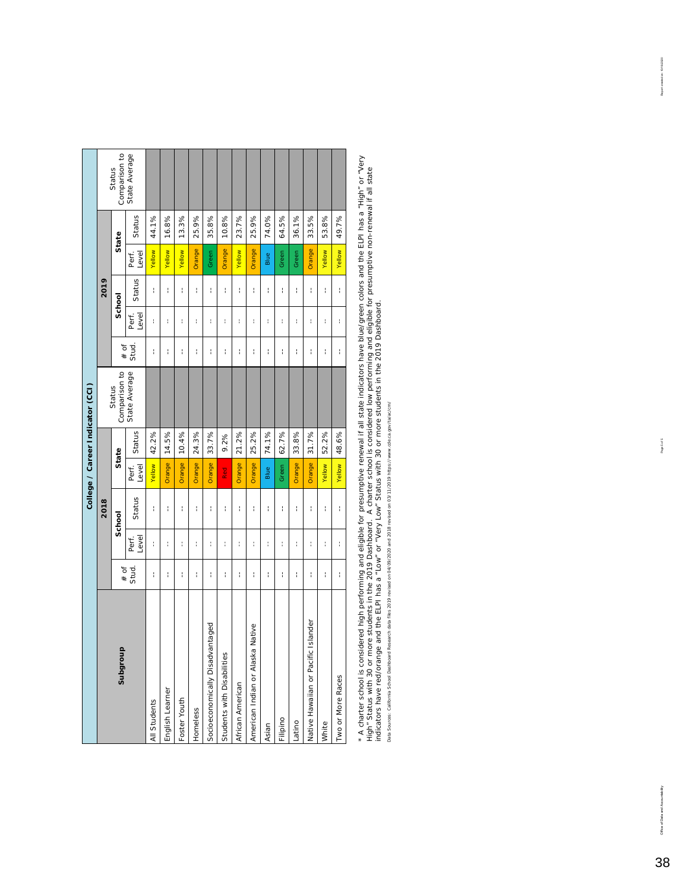|                                       |        |                |        |                |        | College / Career Indicator (CCI) |        |                |               |                |        |                         |
|---------------------------------------|--------|----------------|--------|----------------|--------|----------------------------------|--------|----------------|---------------|----------------|--------|-------------------------|
|                                       |        |                | 2018   |                |        |                                  |        |                | 2019          |                |        |                         |
| Subgroup                              | $#$ of |                | School |                | State  | Comparison to<br>Status          | $#$ of | School         |               |                | State  | Comparison to<br>Status |
|                                       | Stud.  | Level<br>Perf. | Status | Level<br>Perf. | Status | State Average                    | Stud.  | Level<br>Perf. | Status        | Level<br>Perf. | Status | State Average           |
| All Students                          | ţ      | ł              | ţ      | Yellow         | 42.2%  |                                  | I      | ł              | ţ             | Yellow         | 44.1%  |                         |
| English Learner                       | ţ      | ł              | ţ      | Orange         | 14.5%  |                                  | I      | ł              | ţ             | Yellow         | 16.8%  |                         |
| Foster Youth                          | ţ      | ł              | ţ      | Orange         | 10.4%  |                                  | ł      | ţ              | ţ             | Yellow         | 13.3%  |                         |
| Homeless                              | ł      | t              | t      | Orange         | 24.3%  |                                  | ł      | ł              | $\frac{1}{1}$ | Orange         | 25.9%  |                         |
| Socioeconomically Disadvantaged       | ţ      | t              | t      | Orange         | 33.7%  |                                  | ł      | ł              | ţ             | Green          | 35.8%  |                         |
| Students with Disabilities            | ţ      | ł              | ţ      | Red<br>R       | 9.2%   |                                  | ł      | ţ              | ţ             | Orange         | 10.8%  |                         |
| African American                      | I      | t              | t      | Orange         | 21.2%  |                                  | ł      | ţ              | Í             | Yellow         | 23.7%  |                         |
| a Native<br>American Indian or Alaska | ţ      | t              | t      | Orange         | 25.2%  |                                  | ł      | ţ              | Í             | Orange         | 25.9%  |                         |
| Asian                                 | I      | t              | I      | Blue           | 74.1%  |                                  | ł      | ţ              | ţ             | Blue           | 74.0%  |                         |
| Filipino                              | ţ      | ł              | ţ      | Green          | 62.7%  |                                  | ł      | ł              | ţ             | Green          | 64.5%  |                         |
| -atino                                | I      | ŧ              | ţ      | Orange         | 33.8%  |                                  | ł      | $\mathfrak{f}$ | ţ             | Green          | 36.1%  |                         |
| Native Hawaiian or Pacific Islander   | I      | ł              | I      | Orange         | 31.7%  |                                  | ł      | ł              | í             | Orange         | 33.5%  |                         |
| White                                 | ţ      | ł              | ţ      | Yellow         | 52.2%  |                                  | ł      | ł              | ţ             | Yellow         | 53.8%  |                         |
| Two or More Races                     | ţ      | ł              | ţ      | Yellow         | 48.6%  |                                  | ł      | ţ              | ţ             | Yellow         | 49.7%  |                         |
|                                       |        |                |        |                |        |                                  |        |                |               |                |        |                         |

\* A charter school is considered high performing and eligible for presumptive renewal if all state indicators have blue/green colors and the ELPI has a "High" or "Very<br>High" Status with 30 or more students in the 2019 Dash \* A charter school is considered high performing and eligible for presumptive renewal if all state indicators have blue/green colors and the ELPI has a "High" or "Very High" Status with 30 or more students in the 2019 Dashboard. A charter school is considered low performing and eligible for presumptive non-renewal if all state indicators have red/orange and the ELPI has a "Low" or "Very Low" Status with 30 or more students in the 2019 Dashboard. Data Sources: California School Dashboard Research data files 2019 revised on 04/09/2020 and 2018 revised on 03/11/2019 https://www.cde.ca.gov/ta/ac/cm/ Data Sources: California School Dashboard Research data files 2019 revised on 04/09/2020 and 2018 revised on 03/11/2019 https://www.cde.ca.gov/ta/ac/cm/

02023101

Office of Data and Accountability